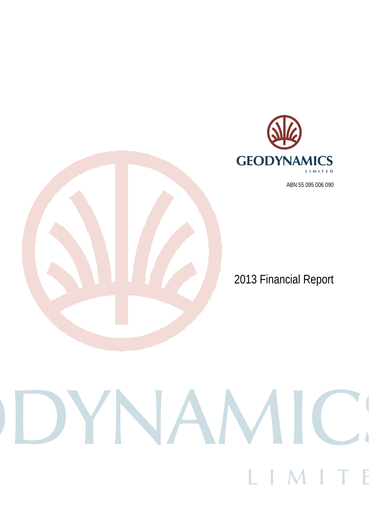

ABN 55 095 006 090

# 2013 Financial Report

# YNA. MIC L I M I T E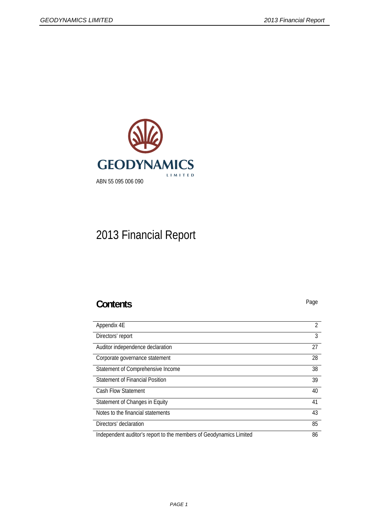

# 2013 Financial Report

# **Contents** Page

Appendix 4E 2 Directors' report 3 Auditor independence declaration 27 Corporate governance statement 28 Statement of Comprehensive Income 38 Statement of Financial Position 39 Cash Flow Statement 40 Statement of Changes in Equity 41 Notes to the financial statements 43 Directors' declaration 85 Independent auditor's report to the members of Geodynamics Limited 86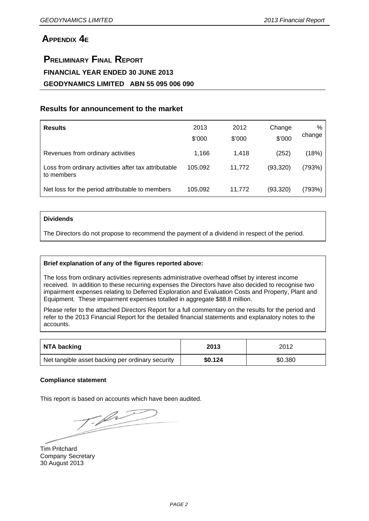# **APPENDIX 4E**

# **PRELIMINARY FINAL REPORT FINANCIAL YEAR ENDED 30 JUNE 2013 GEODYNAMICS LIMITED ABN 55 095 006 090**

#### **Results for announcement to the market**

| <b>Results</b>                                                     | 2013<br>\$'000 | 2012<br>\$'000 | Change<br>\$'000 | $\%$<br>change |
|--------------------------------------------------------------------|----------------|----------------|------------------|----------------|
| Revenues from ordinary activities                                  | 1,166          | 1.418          | (252)            | (18%)          |
| Loss from ordinary activities after tax attributable<br>to members | 105.092        | 11,772         | (93, 320)        | (793%)         |
| Net loss for the period attributable to members                    | 105,092        | 11,772         | (93, 320)        | (793%)         |

#### **Dividends**

The Directors do not propose to recommend the payment of a dividend in respect of the period.

#### **Brief explanation of any of the figures reported above:**

The loss from ordinary activities represents administrative overhead offset by interest income received. In addition to these recurring expenses the Directors have also decided to recognise two impairment expenses relating to Deferred Exploration and Evaluation Costs and Property, Plant and Equipment. These impairment expenses totalled in aggregate \$88.8 million.

Please refer to the attached Directors Report for a full commentary on the results for the period and refer to the 2013 Financial Report for the detailed financial statements and explanatory notes to the accounts.

| NTA backing                                      | 2013    | 2012    |
|--------------------------------------------------|---------|---------|
| Net tangible asset backing per ordinary security | \$0.124 | \$0.380 |

#### **Compliance statement**

This report is based on accounts which have been audited.

 $\mathbb{Z}$ 

Tim Pritchard Company Secretary 30 August 2013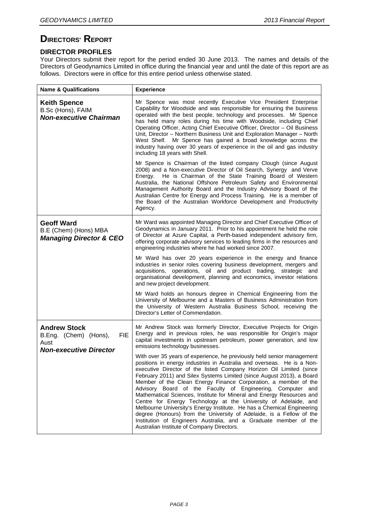# **DIRECTORS' REPORT**

#### **DIRECTOR PROFILES**

Your Directors submit their report for the period ended 30 June 2013. The names and details of the Directors of Geodynamics Limited in office during the financial year and until the date of this report are as follows. Directors were in office for this entire period unless otherwise stated.

| <b>Name &amp; Qualifications</b>                                                                    | <b>Experience</b>                                                                                                                                                                                                                                                                                                                                                                                                                                                                                                                                                                                                                                                                                                                                                                                                                                 |
|-----------------------------------------------------------------------------------------------------|---------------------------------------------------------------------------------------------------------------------------------------------------------------------------------------------------------------------------------------------------------------------------------------------------------------------------------------------------------------------------------------------------------------------------------------------------------------------------------------------------------------------------------------------------------------------------------------------------------------------------------------------------------------------------------------------------------------------------------------------------------------------------------------------------------------------------------------------------|
| <b>Keith Spence</b><br>B.Sc (Hons), FAIM<br><b>Non-executive Chairman</b>                           | Mr Spence was most recently Executive Vice President Enterprise<br>Capability for Woodside and was responsible for ensuring the business<br>operated with the best people, technology and processes. Mr Spence<br>has held many roles during his time with Woodside, including Chief<br>Operating Officer, Acting Chief Executive Officer, Director - Oil Business<br>Unit, Director - Northern Business Unit and Exploration Manager - North<br>West Shelf. Mr Spence has gained a broad knowledge across the<br>industry having over 30 years of experience in the oil and gas industry<br>including 18 years with Shell.                                                                                                                                                                                                                       |
|                                                                                                     | Mr Spence is Chairman of the listed company Clough (since August<br>2008) and a Non-executive Director of Oil Search, Synergy and Verve<br>He is Chairman of the State Training Board of Western<br>Energy.<br>Australia, the National Offshore Petroleum Safety and Environmental<br>Management Authority Board and the Industry Advisory Board of the<br>Australian Centre for Energy and Process Training. He is a member of<br>the Board of the Australian Workforce Development and Productivity<br>Agency.                                                                                                                                                                                                                                                                                                                                  |
| <b>Geoff Ward</b><br>B.E (Chem) (Hons) MBA<br><b>Managing Director &amp; CEO</b>                    | Mr Ward was appointed Managing Director and Chief Executive Officer of<br>Geodynamics in January 2011. Prior to his appointment he held the role<br>of Director at Azure Capital, a Perth-based independent advisory firm,<br>offering corporate advisory services to leading firms in the resources and<br>engineering industries where he had worked since 2007.                                                                                                                                                                                                                                                                                                                                                                                                                                                                                |
|                                                                                                     | Mr Ward has over 20 years experience in the energy and finance<br>industries in senior roles covering business development, mergers and<br>acquisitions, operations, oil and product trading, strategic and<br>organisational development, planning and economics, investor relations<br>and new project development.                                                                                                                                                                                                                                                                                                                                                                                                                                                                                                                             |
|                                                                                                     | Mr Ward holds an honours degree in Chemical Engineering from the<br>University of Melbourne and a Masters of Business Administration from<br>the University of Western Australia Business School, receiving the<br>Director's Letter of Commendation.                                                                                                                                                                                                                                                                                                                                                                                                                                                                                                                                                                                             |
| <b>Andrew Stock</b><br><b>FIE</b><br>B.Eng. (Chem) (Hons),<br>Aust<br><b>Non-executive Director</b> | Mr Andrew Stock was formerly Director, Executive Projects for Origin<br>Energy and in previous roles, he was responsible for Origin's major<br>capital investments in upstream petroleum, power generation, and low<br>emissions technology businesses.                                                                                                                                                                                                                                                                                                                                                                                                                                                                                                                                                                                           |
|                                                                                                     | With over 35 years of experience, he previously held senior management<br>positions in energy industries in Australia and overseas. He is a Non-<br>executive Director of the listed Company Horizon Oil Limited (since<br>February 2011) and Silex Systems Limited (since August 2013), a Board<br>Member of the Clean Energy Finance Corporation, a member of the<br>Advisory Board of the Faculty of Engineering, Computer and<br>Mathematical Sciences, Institute for Mineral and Energy Resources and<br>Centre for Energy Technology at the University of Adelaide, and<br>Melbourne University's Energy Institute. He has a Chemical Engineering<br>degree (Honours) from the University of Adelaide, is a Fellow of the<br>Institution of Engineers Australia, and a Graduate member of the<br>Australian Institute of Company Directors. |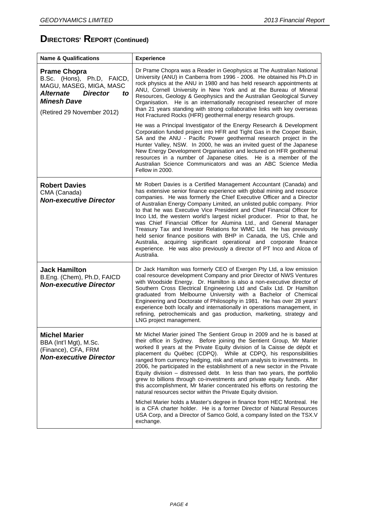| <b>Name &amp; Qualifications</b>                                                                                                                                              | <b>Experience</b>                                                                                                                                                                                                                                                                                                                                                                                                                                                                                                                                                                                                                                                                                                                                                                                                                       |
|-------------------------------------------------------------------------------------------------------------------------------------------------------------------------------|-----------------------------------------------------------------------------------------------------------------------------------------------------------------------------------------------------------------------------------------------------------------------------------------------------------------------------------------------------------------------------------------------------------------------------------------------------------------------------------------------------------------------------------------------------------------------------------------------------------------------------------------------------------------------------------------------------------------------------------------------------------------------------------------------------------------------------------------|
| <b>Prame Chopra</b><br>B.Sc. (Hons), Ph.D, FAICD,<br>MAGU, MASEG, MIGA, MASC<br><b>Alternate</b><br><b>Director</b><br>to<br><b>Minesh Dave</b><br>(Retired 29 November 2012) | Dr Prame Chopra was a Reader in Geophysics at The Australian National<br>University (ANU) in Canberra from 1996 - 2006. He obtained his Ph.D in<br>rock physics at the ANU in 1980 and has held research appointments at<br>ANU, Cornell University in New York and at the Bureau of Mineral<br>Resources, Geology & Geophysics and the Australian Geological Survey<br>Organisation. He is an internationally recognised researcher of more<br>than 21 years standing with strong collaborative links with key overseas<br>Hot Fractured Rocks (HFR) geothermal energy research groups.                                                                                                                                                                                                                                                |
|                                                                                                                                                                               | He was a Principal Investigator of the Energy Research & Development<br>Corporation funded project into HFR and Tight Gas in the Cooper Basin,<br>SA and the ANU - Pacific Power geothermal research project in the<br>Hunter Valley, NSW. In 2000, he was an invited guest of the Japanese<br>New Energy Development Organisation and lectured on HFR geothermal<br>resources in a number of Japanese cities. He is a member of the<br>Australian Science Communicators and was an ABC Science Media<br>Fellow in 2000.                                                                                                                                                                                                                                                                                                                |
| <b>Robert Davies</b><br>CMA (Canada)<br><b>Non-executive Director</b>                                                                                                         | Mr Robert Davies is a Certified Management Accountant (Canada) and<br>has extensive senior finance experience with global mining and resource<br>companies. He was formerly the Chief Executive Officer and a Director<br>of Australian Energy Company Limited, an unlisted public company. Prior<br>to that he was Executive Vice President and Chief Financial Officer for<br>Inco Ltd, the western world's largest nickel producer. Prior to that, he<br>was Chief Financial Officer for Alumina Ltd., and General Manager<br>Treasury Tax and Investor Relations for WMC Ltd. He has previously<br>held senior finance positions with BHP in Canada, the US, Chile and<br>Australia, acquiring significant operational and corporate finance<br>experience. He was also previously a director of PT Inco and Alcoa of<br>Australia. |
| <b>Jack Hamilton</b><br>B.Eng. (Chem), Ph.D, FAICD<br><b>Non-executive Director</b>                                                                                           | Dr Jack Hamilton was formerly CEO of Exergen Pty Ltd, a low emission<br>coal resource development Company and prior Director of NWS Ventures<br>with Woodside Energy. Dr. Hamilton is also a non-executive director of<br>Southern Cross Electrical Engineering Ltd and Calix Ltd. Dr Hamilton<br>graduated from Melbourne University with a Bachelor of Chemical<br>Engineering and Doctorate of Philosophy in 1981. He has over 28 years'<br>experience both locally and internationally in operations management, in<br>refining, petrochemicals and gas production, marketing, strategy and<br>LNG project management.                                                                                                                                                                                                              |
| <b>Michel Marier</b><br>BBA (Int'l Mgt), M.Sc.<br>(Finance), CFA, FRM<br><b>Non-executive Director</b>                                                                        | Mr Michel Marier joined The Sentient Group in 2009 and he is based at<br>their office in Sydney. Before joining the Sentient Group, Mr Marier<br>worked 8 years at the Private Equity division of la Caisse de dépôt et<br>placement du Québec (CDPQ). While at CDPQ, his responsibilities<br>ranged from currency hedging, risk and return analysis to investments. In<br>2006, he participated in the establishment of a new sector in the Private<br>Equity division – distressed debt. In less than two years, the portfolio<br>grew to billions through co-investments and private equity funds. After<br>this accomplishment, Mr Marier concentrated his efforts on restoring the<br>natural resources sector within the Private Equity division.<br>Michel Marier holds a Master's degree in finance from HEC Montreal. He       |
|                                                                                                                                                                               | is a CFA charter holder. He is a former Director of Natural Resources<br>USA Corp, and a Director of Samco Gold, a company listed on the TSX.V<br>exchange.                                                                                                                                                                                                                                                                                                                                                                                                                                                                                                                                                                                                                                                                             |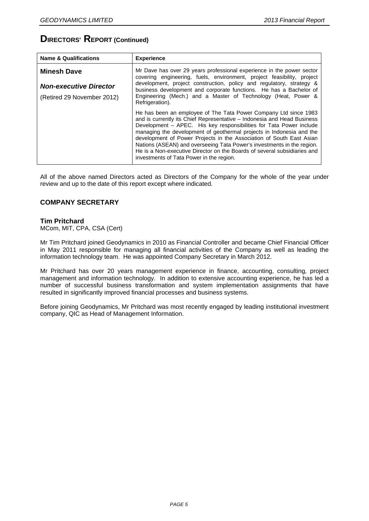| <b>Name &amp; Qualifications</b> | <b>Experience</b>                                                                                                                                                                                                                                                                                                                                                                                                                                                                                                                                                    |
|----------------------------------|----------------------------------------------------------------------------------------------------------------------------------------------------------------------------------------------------------------------------------------------------------------------------------------------------------------------------------------------------------------------------------------------------------------------------------------------------------------------------------------------------------------------------------------------------------------------|
| <b>Minesh Dave</b>               | Mr Dave has over 29 years professional experience in the power sector<br>covering engineering, fuels, environment, project feasibility, project                                                                                                                                                                                                                                                                                                                                                                                                                      |
| <b>Non-executive Director</b>    | development, project construction, policy and regulatory, strategy &<br>business development and corporate functions. He has a Bachelor of                                                                                                                                                                                                                                                                                                                                                                                                                           |
| (Retired 29 November 2012)       | Engineering (Mech.) and a Master of Technology (Heat, Power &<br>Refrigeration).                                                                                                                                                                                                                                                                                                                                                                                                                                                                                     |
|                                  | He has been an employee of The Tata Power Company Ltd since 1983<br>and is currently its Chief Representative – Indonesia and Head Business<br>Development – APEC. His key responsibilities for Tata Power include<br>managing the development of geothermal projects in Indonesia and the<br>development of Power Projects in the Association of South East Asian<br>Nations (ASEAN) and overseeing Tata Power's investments in the region.<br>He is a Non-executive Director on the Boards of several subsidiaries and<br>investments of Tata Power in the region. |

All of the above named Directors acted as Directors of the Company for the whole of the year under review and up to the date of this report except where indicated.

#### **COMPANY SECRETARY**

#### **Tim Pritchard**

MCom, MIT, CPA, CSA (Cert)

Mr Tim Pritchard joined Geodynamics in 2010 as Financial Controller and became Chief Financial Officer in May 2011 responsible for managing all financial activities of the Company as well as leading the information technology team. He was appointed Company Secretary in March 2012.

Mr Pritchard has over 20 years management experience in finance, accounting, consulting, project management and information technology. In addition to extensive accounting experience, he has led a number of successful business transformation and system implementation assignments that have resulted in significantly improved financial processes and business systems.

Before joining Geodynamics, Mr Pritchard was most recently engaged by leading institutional investment company, QIC as Head of Management Information.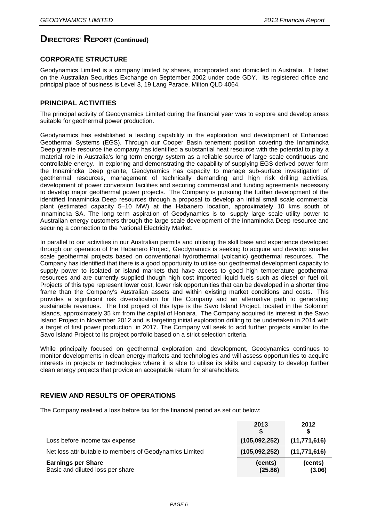#### **CORPORATE STRUCTURE**

Geodynamics Limited is a company limited by shares, incorporated and domiciled in Australia. It listed on the Australian Securities Exchange on September 2002 under code GDY. Its registered office and principal place of business is Level 3, 19 Lang Parade, Milton QLD 4064.

#### **PRINCIPAL ACTIVITIES**

The principal activity of Geodynamics Limited during the financial year was to explore and develop areas suitable for geothermal power production.

Geodynamics has established a leading capability in the exploration and development of Enhanced Geothermal Systems (EGS). Through our Cooper Basin tenement position covering the Innamincka Deep granite resource the company has identified a substantial heat resource with the potential to play a material role in Australia's long term energy system as a reliable source of large scale continuous and controllable energy. In exploring and demonstrating the capability of supplying EGS derived power form the Innamincka Deep granite, Geodynamics has capacity to manage sub-surface investigation of geothermal resources, management of technically demanding and high risk drilling activities, development of power conversion facilities and securing commercial and funding agreements necessary to develop major geothermal power projects. The Company is pursuing the further development of the identified Innamincka Deep resources through a proposal to develop an initial small scale commercial plant (estimated capacity 5–10 MW) at the Habanero location, approximately 10 kms south of Innamincka SA. The long term aspiration of Geodynamics is to supply large scale utility power to Australian energy customers through the large scale development of the Innamincka Deep resource and securing a connection to the National Electricity Market.

In parallel to our activities in our Australian permits and utilising the skill base and experience developed through our operation of the Habanero Project, Geodynamics is seeking to acquire and develop smaller scale geothermal projects based on conventional hydrothermal (volcanic) geothermal resources. The Company has identified that there is a good opportunity to utilise our geothermal development capacity to supply power to isolated or island markets that have access to good high temperature geothermal resources and are currently supplied though high cost imported liquid fuels such as diesel or fuel oil. Projects of this type represent lower cost, lower risk opportunities that can be developed in a shorter time frame than the Company's Australian assets and within existing market conditions and costs. This provides a significant risk diversification for the Company and an alternative path to generating sustainable revenues. The first project of this type is the Savo Island Project, located in the Solomon Islands, approximately 35 km from the capital of Honiara. The Company acquired its interest in the Savo Island Project in November 2012 and is targeting initial exploration drilling to be undertaken in 2014 with a target of first power production in 2017. The Company will seek to add further projects similar to the Savo Island Project to its project portfolio based on a strict selection criteria.

While principally focused on geothermal exploration and development, Geodynamics continues to monitor developments in clean energy markets and technologies and will assess opportunities to acquire interests in projects or technologies where it is able to utilise its skills and capacity to develop further clean energy projects that provide an acceptable return for shareholders.

#### **REVIEW AND RESULTS OF OPERATIONS**

The Company realised a loss before tax for the financial period as set out below:

|                                                               | 2013<br>S          | 2012              |
|---------------------------------------------------------------|--------------------|-------------------|
| Loss before income tax expense                                | (105, 092, 252)    | (11, 771, 616)    |
| Net loss attributable to members of Geodynamics Limited       | (105, 092, 252)    | (11, 771, 616)    |
| <b>Earnings per Share</b><br>Basic and diluted loss per share | (cents)<br>(25.86) | (cents)<br>(3.06) |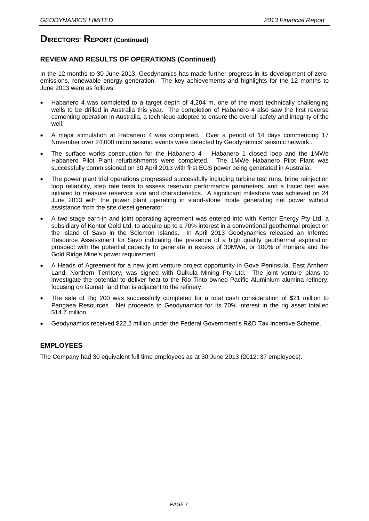#### **REVIEW AND RESULTS OF OPERATIONS (Continued)**

In the 12 months to 30 June 2013, Geodynamics has made further progress in its development of zeroemissions, renewable energy generation. The key achievements and highlights for the 12 months to June 2013 were as follows:

- Habanero 4 was completed to a target depth of 4,204 m, one of the most technically challenging wells to be drilled in Australia this year. The completion of Habanero 4 also saw the first reverse cementing operation in Australia, a technique adopted to ensure the overall safety and integrity of the well.
- A major stimulation at Habanero 4 was completed. Over a period of 14 days commencing 17 November over 24,000 micro seismic events were detected by Geodynamics' seismic network..
- The surface works construction for the Habanero  $4$  Habanero 1 closed loop and the 1MWe Habanero Pilot Plant refurbishments were completed. The 1MWe Habanero Pilot Plant was successfully commissioned on 30 April 2013 with first EGS power being generated in Australia.
- The power plant trial operations progressed successfully including turbine test runs, brine reinjection loop reliability, step rate tests to assess reservoir performance parameters, and a tracer test was initiated to measure reservoir size and characteristics. A significant milestone was achieved on 24 June 2013 with the power plant operating in stand-alone mode generating net power without assistance from the site diesel generator.
- A two stage earn-in and joint operating agreement was entered into with Kentor Energy Pty Ltd, a subsidiary of Kentor Gold Ltd, to acquire up to a 70% interest in a conventional geothermal project on the island of Savo in the Solomon Islands. In April 2013 Geodynamics released an Inferred Resource Assessment for Savo indicating the presence of a high quality geothermal exploration prospect with the potential capacity to generate in excess of 30MWe, or 100% of Honiara and the Gold Ridge Mine's power requirement.
- A Heads of Agreement for a new joint venture project opportunity in Gove Peninsula, East Arnhem Land, Northern Territory, was signed with Gulkula Mining Pty Ltd. The joint venture plans to investigate the potential to deliver heat to the Rio Tinto owned Pacific Aluminium alumina refinery, focusing on Gumatj land that is adjacent to the refinery.
- The sale of Rig 200 was successfully completed for a total cash consideration of \$21 million to Pangaea Resources. Net proceeds to Geodynamics for its 70% interest in the rig asset totalled \$14.7 million.
- Geodynamics received \$22.2 million under the Federal Government's R&D Tax Incentive Scheme.

#### **EMPLOYEES**

The Company had 30 equivalent full time employees as at 30 June 2013 (2012: 37 employees).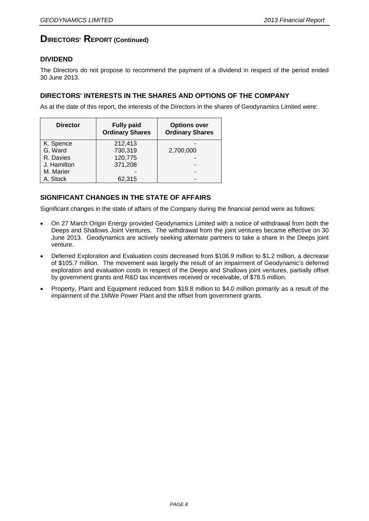#### **DIVIDEND**

The Directors do not propose to recommend the payment of a dividend in respect of the period ended 30 June 2013.

#### **DIRECTORS' INTERESTS IN THE SHARES AND OPTIONS OF THE COMPANY**

As at the date of this report, the interests of the Directors in the shares of Geodynamics Limited were:

| <b>Director</b> | <b>Fully paid</b><br><b>Ordinary Shares</b> | <b>Options over</b><br><b>Ordinary Shares</b> |
|-----------------|---------------------------------------------|-----------------------------------------------|
| K. Spence       | 212,413                                     |                                               |
| G. Ward         | 730,319                                     | 2,700,000                                     |
| R. Davies       | 120,775                                     |                                               |
| J. Hamilton     | 371,208                                     |                                               |
| M. Marier       |                                             |                                               |
| A. Stock        | 62,315                                      |                                               |

#### **SIGNIFICANT CHANGES IN THE STATE OF AFFAIRS**

Significant changes in the state of affairs of the Company during the financial period were as follows:

- On 27 March Origin Energy provided Geodynamics Limited with a notice of withdrawal from both the Deeps and Shallows Joint Ventures. The withdrawal from the joint ventures became effective on 30 June 2013. Geodynamics are actively seeking alternate partners to take a share in the Deeps joint venture.
- Deferred Exploration and Evaluation costs decreased from \$106.9 million to \$1.2 million, a decrease of \$105.7 million. The movement was largely the result of an impairment of Geodynamic's deferred exploration and evaluation costs in respect of the Deeps and Shallows joint ventures, partially offset by government grants and R&D tax incentives received or receivable, of \$78.5 million.
- Property, Plant and Equipment reduced from \$19.8 million to \$4.0 million primarily as a result of the impairment of the 1MWe Power Plant and the offset from government grants.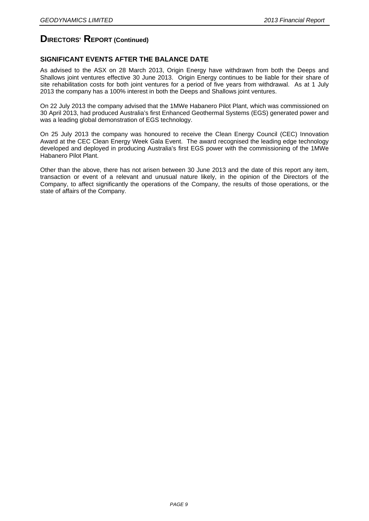#### **SIGNIFICANT EVENTS AFTER THE BALANCE DATE**

As advised to the ASX on 28 March 2013, Origin Energy have withdrawn from both the Deeps and Shallows joint ventures effective 30 June 2013. Origin Energy continues to be liable for their share of site rehabilitation costs for both joint ventures for a period of five years from withdrawal. As at 1 July 2013 the company has a 100% interest in both the Deeps and Shallows joint ventures.

On 22 July 2013 the company advised that the 1MWe Habanero Pilot Plant, which was commissioned on 30 April 2013, had produced Australia's first Enhanced Geothermal Systems (EGS) generated power and was a leading global demonstration of EGS technology.

On 25 July 2013 the company was honoured to receive the Clean Energy Council (CEC) Innovation Award at the CEC Clean Energy Week Gala Event. The award recognised the leading edge technology developed and deployed in producing Australia's first EGS power with the commissioning of the 1MWe Habanero Pilot Plant.

Other than the above, there has not arisen between 30 June 2013 and the date of this report any item, transaction or event of a relevant and unusual nature likely, in the opinion of the Directors of the Company, to affect significantly the operations of the Company, the results of those operations, or the state of affairs of the Company.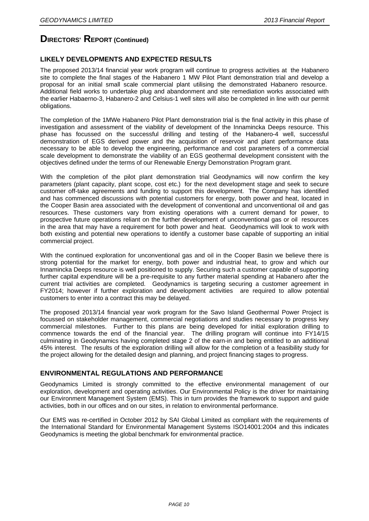#### **LIKELY DEVELOPMENTS AND EXPECTED RESULTS**

The proposed 2013/14 financial year work program will continue to progress activities at the Habanero site to complete the final stages of the Habanero 1 MW Pilot Plant demonstration trial and develop a proposal for an initial small scale commercial plant utilising the demonstrated Habanero resource. Additional field works to undertake plug and abandonment and site remediation works associated with the earlier Habaerno-3, Habanero-2 and Celsius-1 well sites will also be completed in line with our permit obligations.

The completion of the 1MWe Habanero Pilot Plant demonstration trial is the final activity in this phase of investigation and assessment of the viability of development of the Innamincka Deeps resource. This phase has focussed on the successful drilling and testing of the Habanero-4 well, successful demonstration of EGS derived power and the acquisition of reservoir and plant performance data necessary to be able to develop the engineering, performance and cost parameters of a commercial scale development to demonstrate the viability of an EGS geothermal development consistent with the objectives defined under the terms of our Renewable Energy Demonstration Program grant.

With the completion of the pilot plant demonstration trial Geodynamics will now confirm the key parameters (plant capacity, plant scope, cost etc.) for the next development stage and seek to secure customer off-take agreements and funding to support this development. The Company has identified and has commenced discussions with potential customers for energy, both power and heat, located in the Cooper Basin area associated with the development of conventional and unconventional oil and gas resources. These customers vary from existing operations with a current demand for power, to prospective future operations reliant on the further development of unconventional gas or oil resources in the area that may have a requirement for both power and heat. Geodynamics will look to work with both existing and potential new operations to identify a customer base capable of supporting an initial commercial project.

With the continued exploration for unconventional gas and oil in the Cooper Basin we believe there is strong potential for the market for energy, both power and industrial heat, to grow and which our Innamincka Deeps resource is well positioned to supply. Securing such a customer capable of supporting further capital expenditure will be a pre-requisite to any further material spending at Habanero after the current trial activities are completed. Geodynamics is targeting securing a customer agreement in FY2014; however if further exploration and development activities are required to allow potential customers to enter into a contract this may be delayed.

The proposed 2013/14 financial year work program for the Savo Island Geothermal Power Project is focussed on stakeholder management, commercial negotiations and studies necessary to progress key commercial milestones. Further to this plans are being developed for initial exploration drilling to commence towards the end of the financial year. The drilling program will continue into FY14/15 culminating in Geodynamics having completed stage 2 of the earn-in and being entitled to an additional 45% interest. The results of the exploration drilling will allow for the completion of a feasibility study for the project allowing for the detailed design and planning, and project financing stages to progress.

#### **ENVIRONMENTAL REGULATIONS AND PERFORMANCE**

Geodynamics Limited is strongly committed to the effective environmental management of our exploration, development and operating activities. Our Environmental Policy is the driver for maintaining our Environment Management System (EMS). This in turn provides the framework to support and guide activities, both in our offices and on our sites, in relation to environmental performance.

Our EMS was re-certified in October 2012 by SAI Global Limited as compliant with the requirements of the International Standard for Environmental Management Systems ISO14001:2004 and this indicates Geodynamics is meeting the global benchmark for environmental practice.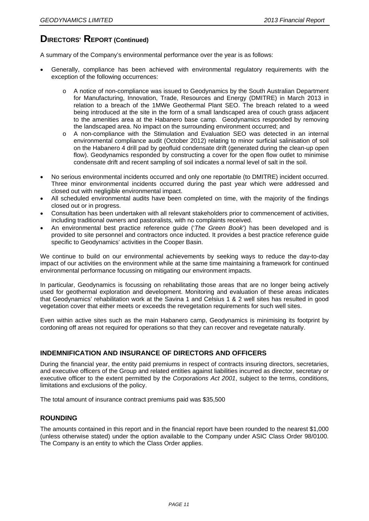A summary of the Company's environmental performance over the year is as follows:

- Generally, compliance has been achieved with environmental regulatory requirements with the exception of the following occurrences:
	- o A notice of non-compliance was issued to Geodynamics by the South Australian Department for Manufacturing, Innovation, Trade, Resources and Energy (DMITRE) in March 2013 in relation to a breach of the 1MWe Geothermal Plant SEO. The breach related to a weed being introduced at the site in the form of a small landscaped area of couch grass adjacent to the amenities area at the Habanero base camp. Geodynamics responded by removing the landscaped area. No impact on the surrounding environment occurred; and
	- o A non-compliance with the Stimulation and Evaluation SEO was detected in an internal environmental compliance audit (October 2012) relating to minor surficial salinisation of soil on the Habanero 4 drill pad by geofluid condensate drift (generated during the clean-up open flow). Geodynamics responded by constructing a cover for the open flow outlet to minimise condensate drift and recent sampling of soil indicates a normal level of salt in the soil.
- No serious environmental incidents occurred and only one reportable (to DMITRE) incident occurred. Three minor environmental incidents occurred during the past year which were addressed and closed out with negligible environmental impact.
- All scheduled environmental audits have been completed on time, with the majority of the findings closed out or in progress.
- Consultation has been undertaken with all relevant stakeholders prior to commencement of activities, including traditional owners and pastoralists, with no complaints received.
- An environmental best practice reference guide ('*The Green Book*') has been developed and is provided to site personnel and contractors once inducted. It provides a best practice reference guide specific to Geodynamics' activities in the Cooper Basin.

We continue to build on our environmental achievements by seeking ways to reduce the day-to-day impact of our activities on the environment while at the same time maintaining a framework for continued environmental performance focussing on mitigating our environment impacts.

In particular, Geodynamics is focussing on rehabilitating those areas that are no longer being actively used for geothermal exploration and development. Monitoring and evaluation of these areas indicates that Geodynamics' rehabilitation work at the Savina 1 and Celsius 1 & 2 well sites has resulted in good vegetation cover that either meets or exceeds the revegetation requirements for such well sites.

Even within active sites such as the main Habanero camp, Geodynamics is minimising its footprint by cordoning off areas not required for operations so that they can recover and revegetate naturally.

#### **INDEMNIFICATION AND INSURANCE OF DIRECTORS AND OFFICERS**

During the financial year, the entity paid premiums in respect of contracts insuring directors, secretaries, and executive officers of the Group and related entities against liabilities incurred as director, secretary or executive officer to the extent permitted by the *Corporations Act 2001*, subject to the terms, conditions, limitations and exclusions of the policy.

The total amount of insurance contract premiums paid was \$35,500

#### **ROUNDING**

The amounts contained in this report and in the financial report have been rounded to the nearest \$1,000 (unless otherwise stated) under the option available to the Company under ASIC Class Order 98/0100. The Company is an entity to which the Class Order applies.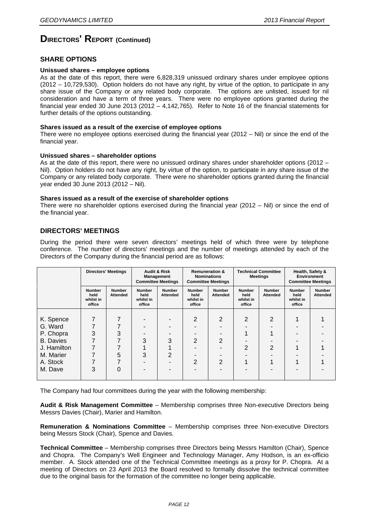#### **SHARE OPTIONS**

#### **Unissued shares – employee options**

As at the date of this report, there were 6,828,319 unissued ordinary shares under employee options (2012 – 10,729,530). Option holders do not have any right, by virtue of the option, to participate in any share issue of the Company or any related body corporate. The options are unlisted, issued for nil consideration and have a term of three years. There were no employee options granted during the financial year ended 30 June 2013 (2012 – 4,142,765). Refer to Note 16 of the financial statements for further details of the options outstanding.

#### **Shares issued as a result of the exercise of employee options**

There were no employee options exercised during the financial year (2012 – Nil) or since the end of the financial year.

#### **Unissued shares – shareholder options**

As at the date of this report, there were no unissued ordinary shares under shareholder options (2012 – Nil). Option holders do not have any right, by virtue of the option, to participate in any share issue of the Company or any related body corporate. There were no shareholder options granted during the financial year ended 30 June 2013 (2012 – Nil).

#### **Shares issued as a result of the exercise of shareholder options**

There were no shareholder options exercised during the financial year (2012 – Nil) or since the end of the financial year.

#### **DIRECTORS' MEETINGS**

During the period there were seven directors' meetings held of which three were by telephone conference. The number of directors' meetings and the number of meetings attended by each of the Directors of the Company during the financial period are as follows:

|                  |                                              | <b>Directors' Meetings</b>       |                                              | <b>Audit &amp; Risk</b><br><b>Management</b><br><b>Committee Meetings</b> | <b>Remuneration &amp;</b><br><b>Nominations</b><br><b>Committee Meetings</b> |                                  | <b>Technical Committee</b><br><b>Meetings</b> |                                  | Health, Safety &<br><b>Environment</b><br><b>Committee Meetings</b> |                                  |
|------------------|----------------------------------------------|----------------------------------|----------------------------------------------|---------------------------------------------------------------------------|------------------------------------------------------------------------------|----------------------------------|-----------------------------------------------|----------------------------------|---------------------------------------------------------------------|----------------------------------|
|                  | <b>Number</b><br>held<br>whilst in<br>office | <b>Number</b><br><b>Attended</b> | <b>Number</b><br>held<br>whilst in<br>office | <b>Number</b><br><b>Attended</b>                                          | <b>Number</b><br>held<br>whilst in<br>office                                 | <b>Number</b><br><b>Attended</b> | <b>Number</b><br>held<br>whilst in<br>office  | <b>Number</b><br><b>Attended</b> | <b>Number</b><br>held<br>whilst in<br>office                        | <b>Number</b><br><b>Attended</b> |
|                  |                                              |                                  |                                              |                                                                           |                                                                              |                                  |                                               |                                  |                                                                     |                                  |
| K. Spence        |                                              |                                  |                                              | -                                                                         | 2                                                                            | 2                                | 2                                             | 2                                |                                                                     |                                  |
| G. Ward          |                                              |                                  |                                              |                                                                           |                                                                              |                                  |                                               |                                  |                                                                     |                                  |
| P. Chopra        | 3                                            | 3                                |                                              |                                                                           |                                                                              |                                  |                                               |                                  |                                                                     |                                  |
| <b>B.</b> Davies | 7                                            |                                  | 3                                            | 3                                                                         | 2                                                                            | 2                                |                                               |                                  |                                                                     |                                  |
| J. Hamilton      |                                              |                                  |                                              |                                                                           |                                                                              |                                  | $\overline{2}$                                | $\mathcal{P}$                    |                                                                     |                                  |
| M. Marier        |                                              | 5                                | 3                                            | 2                                                                         |                                                                              |                                  |                                               |                                  |                                                                     |                                  |
| A. Stock         |                                              |                                  |                                              |                                                                           | 2                                                                            | 2                                |                                               |                                  |                                                                     |                                  |
| M. Dave          | 3                                            | 0                                |                                              |                                                                           |                                                                              |                                  |                                               |                                  |                                                                     |                                  |

The Company had four committees during the year with the following membership:

**Audit & Risk Management Committee** – Membership comprises three Non-executive Directors being Messrs Davies (Chair), Marier and Hamilton.

**Remuneration & Nominations Committee** – Membership comprises three Non-executive Directors being Messrs Stock (Chair), Spence and Davies.

**Technical Committee** – Membership comprises three Directors being Messrs Hamilton (Chair), Spence and Chopra. The Company's Well Engineer and Technology Manager, Amy Hodson, is an ex-officio member. A. Stock attended one of the Technical Committee meetings as a proxy for P. Chopra. At a meeting of Directors on 23 April 2013 the Board resolved to formally dissolve the technical committee due to the original basis for the formation of the committee no longer being applicable.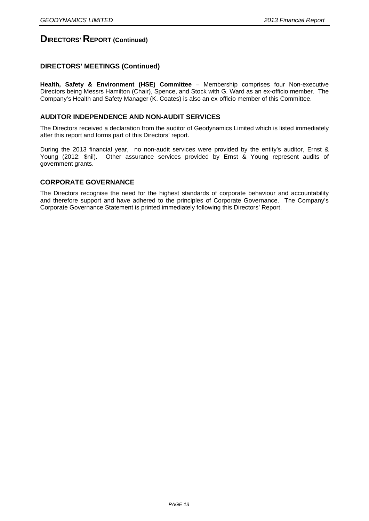#### **DIRECTORS' MEETINGS (Continued)**

**Health, Safety & Environment (HSE) Committee** – Membership comprises four Non-executive Directors being Messrs Hamilton (Chair), Spence, and Stock with G. Ward as an ex-officio member. The Company's Health and Safety Manager (K. Coates) is also an ex-officio member of this Committee.

#### **AUDITOR INDEPENDENCE AND NON-AUDIT SERVICES**

The Directors received a declaration from the auditor of Geodynamics Limited which is listed immediately after this report and forms part of this Directors' report.

During the 2013 financial year, no non-audit services were provided by the entity's auditor, Ernst & Young (2012: \$nil). Other assurance services provided by Ernst & Young represent audits of government grants.

#### **CORPORATE GOVERNANCE**

The Directors recognise the need for the highest standards of corporate behaviour and accountability and therefore support and have adhered to the principles of Corporate Governance. The Company's Corporate Governance Statement is printed immediately following this Directors' Report.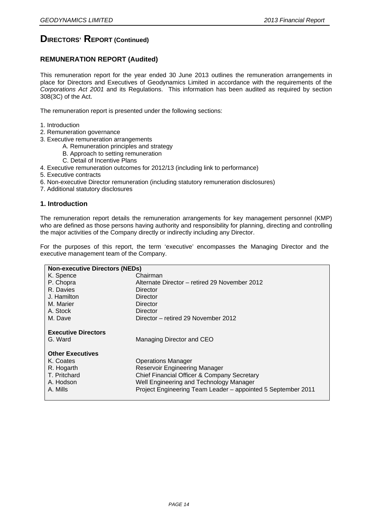#### **REMUNERATION REPORT (Audited)**

This remuneration report for the year ended 30 June 2013 outlines the remuneration arrangements in place for Directors and Executives of Geodynamics Limited in accordance with the requirements of the *Corporations Act 2001* and its Regulations. This information has been audited as required by section 308(3C) of the Act.

The remuneration report is presented under the following sections:

- 1. Introduction
- 2. Remuneration governance
- 3. Executive remuneration arrangements
	- A. Remuneration principles and strategy
	- B. Approach to setting remuneration
	- C. Detail of Incentive Plans
- 4. Executive remuneration outcomes for 2012/13 (including link to performance)
- 5. Executive contracts
- 6. Non-executive Director remuneration (including statutory remuneration disclosures)
- 7. Additional statutory disclosures

#### **1. Introduction**

The remuneration report details the remuneration arrangements for key management personnel (KMP) who are defined as those persons having authority and responsibility for planning, directing and controlling the major activities of the Company directly or indirectly including any Director.

For the purposes of this report, the term 'executive' encompasses the Managing Director and the executive management team of the Company.

| <b>Non-executive Directors (NEDs)</b> |                                                              |
|---------------------------------------|--------------------------------------------------------------|
| K. Spence                             | Chairman                                                     |
| P. Chopra                             | Alternate Director - retired 29 November 2012                |
| R. Davies                             | Director                                                     |
| J. Hamilton                           | <b>Director</b>                                              |
| M. Marier                             | Director                                                     |
| A. Stock                              | Director                                                     |
| M. Dave                               | Director – retired 29 November 2012                          |
| <b>Executive Directors</b><br>G. Ward | Managing Director and CEO                                    |
| <b>Other Executives</b>               |                                                              |
| K. Coates                             | <b>Operations Manager</b>                                    |
| R. Hogarth                            | <b>Reservoir Engineering Manager</b>                         |
| T. Pritchard                          | Chief Financial Officer & Company Secretary                  |
| A. Hodson                             | Well Engineering and Technology Manager                      |
| A. Mills                              | Project Engineering Team Leader - appointed 5 September 2011 |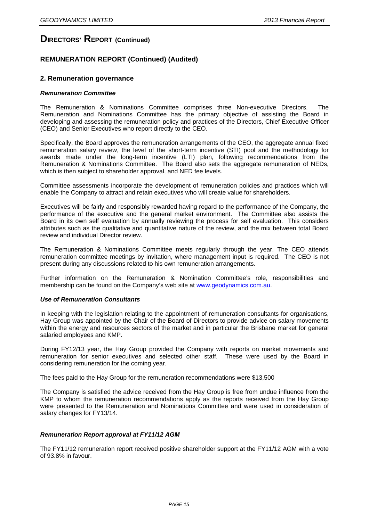#### **REMUNERATION REPORT (Continued) (Audited)**

#### **2. Remuneration governance**

#### *Remuneration Committee*

The Remuneration & Nominations Committee comprises three Non-executive Directors. The Remuneration and Nominations Committee has the primary objective of assisting the Board in developing and assessing the remuneration policy and practices of the Directors, Chief Executive Officer (CEO) and Senior Executives who report directly to the CEO.

Specifically, the Board approves the remuneration arrangements of the CEO, the aggregate annual fixed remuneration salary review, the level of the short-term incentive (STI) pool and the methodology for awards made under the long-term incentive (LTI) plan, following recommendations from the Remuneration & Nominations Committee. The Board also sets the aggregate remuneration of NEDs, which is then subject to shareholder approval, and NED fee levels.

Committee assessments incorporate the development of remuneration policies and practices which will enable the Company to attract and retain executives who will create value for shareholders.

Executives will be fairly and responsibly rewarded having regard to the performance of the Company, the performance of the executive and the general market environment. The Committee also assists the Board in its own self evaluation by annually reviewing the process for self evaluation. This considers attributes such as the qualitative and quantitative nature of the review, and the mix between total Board review and individual Director review.

The Remuneration & Nominations Committee meets regularly through the year. The CEO attends remuneration committee meetings by invitation, where management input is required. The CEO is not present during any discussions related to his own remuneration arrangements.

Further information on the Remuneration & Nomination Committee's role, responsibilities and membership can be found on the Company's web site at www.geodynamics.com.au.

#### *Use of Remuneration Consultants*

In keeping with the legislation relating to the appointment of remuneration consultants for organisations, Hay Group was appointed by the Chair of the Board of Directors to provide advice on salary movements within the energy and resources sectors of the market and in particular the Brisbane market for general salaried employees and KMP.

During FY12/13 year, the Hay Group provided the Company with reports on market movements and remuneration for senior executives and selected other staff. These were used by the Board in considering remuneration for the coming year.

The fees paid to the Hay Group for the remuneration recommendations were \$13,500

The Company is satisfied the advice received from the Hay Group is free from undue influence from the KMP to whom the remuneration recommendations apply as the reports received from the Hay Group were presented to the Remuneration and Nominations Committee and were used in consideration of salary changes for FY13/14.

#### *Remuneration Report approval at FY11/12 AGM*

The FY11/12 remuneration report received positive shareholder support at the FY11/12 AGM with a vote of 93.8% in favour.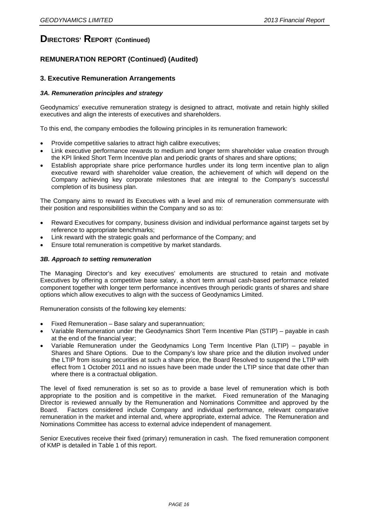#### **REMUNERATION REPORT (Continued) (Audited)**

#### **3. Executive Remuneration Arrangements**

#### *3A. Remuneration principles and strategy*

Geodynamics' executive remuneration strategy is designed to attract, motivate and retain highly skilled executives and align the interests of executives and shareholders.

To this end, the company embodies the following principles in its remuneration framework:

- Provide competitive salaries to attract high calibre executives;
- Link executive performance rewards to medium and longer term shareholder value creation through the KPI linked Short Term Incentive plan and periodic grants of shares and share options;
- Establish appropriate share price performance hurdles under its long term incentive plan to align executive reward with shareholder value creation, the achievement of which will depend on the Company achieving key corporate milestones that are integral to the Company's successful completion of its business plan.

The Company aims to reward its Executives with a level and mix of remuneration commensurate with their position and responsibilities within the Company and so as to:

- Reward Executives for company, business division and individual performance against targets set by reference to appropriate benchmarks;
- Link reward with the strategic goals and performance of the Company; and
- Ensure total remuneration is competitive by market standards.

#### *3B. Approach to setting remuneration*

The Managing Director's and key executives' emoluments are structured to retain and motivate Executives by offering a competitive base salary, a short term annual cash-based performance related component together with longer term performance incentives through periodic grants of shares and share options which allow executives to align with the success of Geodynamics Limited.

Remuneration consists of the following key elements:

- Fixed Remuneration Base salary and superannuation;
- Variable Remuneration under the Geodynamics Short Term Incentive Plan (STIP) payable in cash at the end of the financial year;
- Variable Remuneration under the Geodynamics Long Term Incentive Plan (LTIP) payable in Shares and Share Options. Due to the Company's low share price and the dilution involved under the LTIP from issuing securities at such a share price, the Board Resolved to suspend the LTIP with effect from 1 October 2011 and no issues have been made under the LTIP since that date other than where there is a contractual obligation.

The level of fixed remuneration is set so as to provide a base level of remuneration which is both appropriate to the position and is competitive in the market. Fixed remuneration of the Managing Director is reviewed annually by the Remuneration and Nominations Committee and approved by the Board. Factors considered include Company and individual performance, relevant comparative remuneration in the market and internal and, where appropriate, external advice. The Remuneration and Nominations Committee has access to external advice independent of management.

Senior Executives receive their fixed (primary) remuneration in cash. The fixed remuneration component of KMP is detailed in Table 1 of this report.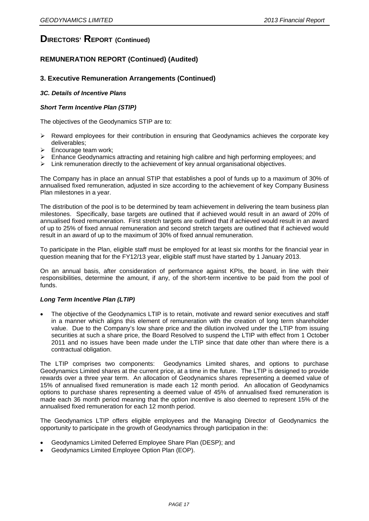#### **REMUNERATION REPORT (Continued) (Audited)**

#### **3. Executive Remuneration Arrangements (Continued)**

#### *3C. Details of Incentive Plans*

#### *Short Term Incentive Plan (STIP)*

The objectives of the Geodynamics STIP are to:

- $\triangleright$  Reward employees for their contribution in ensuring that Geodynamics achieves the corporate key deliverables;
- $\triangleright$  Encourage team work;
- $\triangleright$  Enhance Geodynamics attracting and retaining high calibre and high performing employees; and
- $\triangleright$  Link remuneration directly to the achievement of key annual organisational objectives.

The Company has in place an annual STIP that establishes a pool of funds up to a maximum of 30% of annualised fixed remuneration, adjusted in size according to the achievement of key Company Business Plan milestones in a year.

The distribution of the pool is to be determined by team achievement in delivering the team business plan milestones. Specifically, base targets are outlined that if achieved would result in an award of 20% of annualised fixed remuneration. First stretch targets are outlined that if achieved would result in an award of up to 25% of fixed annual remuneration and second stretch targets are outlined that if achieved would result in an award of up to the maximum of 30% of fixed annual remuneration.

To participate in the Plan, eligible staff must be employed for at least six months for the financial year in question meaning that for the FY12/13 year, eligible staff must have started by 1 January 2013.

On an annual basis, after consideration of performance against KPIs, the board, in line with their responsibilities, determine the amount, if any, of the short-term incentive to be paid from the pool of funds.

#### *Long Term Incentive Plan (LTIP)*

 The objective of the Geodynamics LTIP is to retain, motivate and reward senior executives and staff in a manner which aligns this element of remuneration with the creation of long term shareholder value. Due to the Company's low share price and the dilution involved under the LTIP from issuing securities at such a share price, the Board Resolved to suspend the LTIP with effect from 1 October 2011 and no issues have been made under the LTIP since that date other than where there is a contractual obligation.

The LTIP comprises two components: Geodynamics Limited shares, and options to purchase Geodynamics Limited shares at the current price, at a time in the future. The LTIP is designed to provide rewards over a three year term. An allocation of Geodynamics shares representing a deemed value of 15% of annualised fixed remuneration is made each 12 month period. An allocation of Geodynamics options to purchase shares representing a deemed value of 45% of annualised fixed remuneration is made each 36 month period meaning that the option incentive is also deemed to represent 15% of the annualised fixed remuneration for each 12 month period.

The Geodynamics LTIP offers eligible employees and the Managing Director of Geodynamics the opportunity to participate in the growth of Geodynamics through participation in the:

- Geodynamics Limited Deferred Employee Share Plan (DESP); and
- Geodynamics Limited Employee Option Plan (EOP).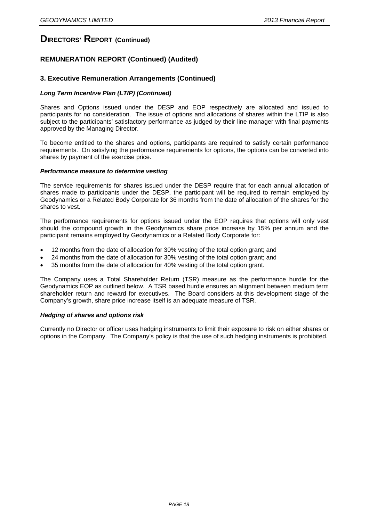#### **REMUNERATION REPORT (Continued) (Audited)**

#### **3. Executive Remuneration Arrangements (Continued)**

#### *Long Term Incentive Plan (LTIP) (Continued)*

Shares and Options issued under the DESP and EOP respectively are allocated and issued to participants for no consideration. The issue of options and allocations of shares within the LTIP is also subject to the participants' satisfactory performance as judged by their line manager with final payments approved by the Managing Director.

To become entitled to the shares and options, participants are required to satisfy certain performance requirements. On satisfying the performance requirements for options, the options can be converted into shares by payment of the exercise price.

#### *Performance measure to determine vesting*

The service requirements for shares issued under the DESP require that for each annual allocation of shares made to participants under the DESP, the participant will be required to remain employed by Geodynamics or a Related Body Corporate for 36 months from the date of allocation of the shares for the shares to vest.

The performance requirements for options issued under the EOP requires that options will only vest should the compound growth in the Geodynamics share price increase by 15% per annum and the participant remains employed by Geodynamics or a Related Body Corporate for:

- 12 months from the date of allocation for 30% vesting of the total option grant; and
- 24 months from the date of allocation for 30% vesting of the total option grant; and
- 35 months from the date of allocation for 40% vesting of the total option grant.

The Company uses a Total Shareholder Return (TSR) measure as the performance hurdle for the Geodynamics EOP as outlined below. A TSR based hurdle ensures an alignment between medium term shareholder return and reward for executives. The Board considers at this development stage of the Company's growth, share price increase itself is an adequate measure of TSR.

#### *Hedging of shares and options risk*

Currently no Director or officer uses hedging instruments to limit their exposure to risk on either shares or options in the Company. The Company's policy is that the use of such hedging instruments is prohibited.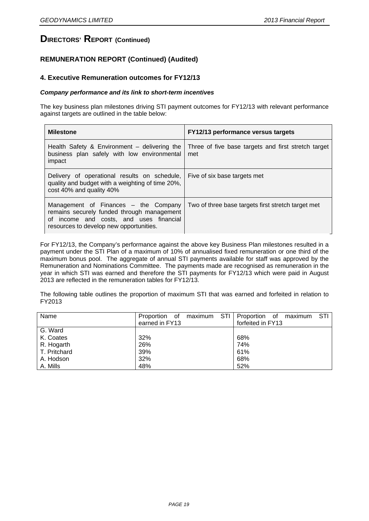#### **REMUNERATION REPORT (Continued) (Audited)**

#### **4. Executive Remuneration outcomes for FY12/13**

#### *Company performance and its link to short-term incentives*

The key business plan milestones driving STI payment outcomes for FY12/13 with relevant performance against targets are outlined in the table below:

| <b>Milestone</b>                                                                                                                                                         | FY12/13 performance versus targets                         |
|--------------------------------------------------------------------------------------------------------------------------------------------------------------------------|------------------------------------------------------------|
| Health Safety & Environment - delivering the<br>business plan safely with low environmental<br>impact                                                                    | Three of five base targets and first stretch target<br>met |
| Delivery of operational results on schedule,<br>quality and budget with a weighting of time 20%,<br>cost 40% and quality 40%                                             | Five of six base targets met                               |
| Management of Finances – the Company<br>remains securely funded through management<br>of income and costs, and uses financial<br>resources to develop new opportunities. | Two of three base targets first stretch target met         |

For FY12/13, the Company's performance against the above key Business Plan milestones resulted in a payment under the STI Plan of a maximum of 10% of annualised fixed remuneration or one third of the maximum bonus pool. The aggregate of annual STI payments available for staff was approved by the Remuneration and Nominations Committee. The payments made are recognised as remuneration in the year in which STI was earned and therefore the STI payments for FY12/13 which were paid in August 2013 are reflected in the remuneration tables for FY12/13.

The following table outlines the proportion of maximum STI that was earned and forfeited in relation to FY2013

| Name         | earned in FY13 | Proportion of maximum STI Proportion of maximum STI<br>forfeited in FY13 |
|--------------|----------------|--------------------------------------------------------------------------|
| G. Ward      |                |                                                                          |
| K. Coates    | 32%            | 68%                                                                      |
| R. Hogarth   | 26%            | 74%                                                                      |
| T. Pritchard | 39%            | 61%                                                                      |
| A. Hodson    | 32%            | 68%                                                                      |
| A. Mills     | 48%            | 52%                                                                      |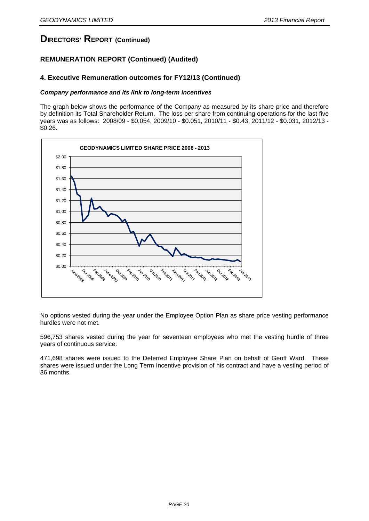#### **REMUNERATION REPORT (Continued) (Audited)**

#### **4. Executive Remuneration outcomes for FY12/13 (Continued)**

#### *Company performance and its link to long-term incentives*

The graph below shows the performance of the Company as measured by its share price and therefore by definition its Total Shareholder Return. The loss per share from continuing operations for the last five years was as follows: 2008/09 - \$0.054, 2009/10 - \$0.051, 2010/11 - \$0.43, 2011/12 - \$0.031, 2012/13 -  $$0.26$ .



No options vested during the year under the Employee Option Plan as share price vesting performance hurdles were not met.

596,753 shares vested during the year for seventeen employees who met the vesting hurdle of three years of continuous service.

471,698 shares were issued to the Deferred Employee Share Plan on behalf of Geoff Ward. These shares were issued under the Long Term Incentive provision of his contract and have a vesting period of 36 months.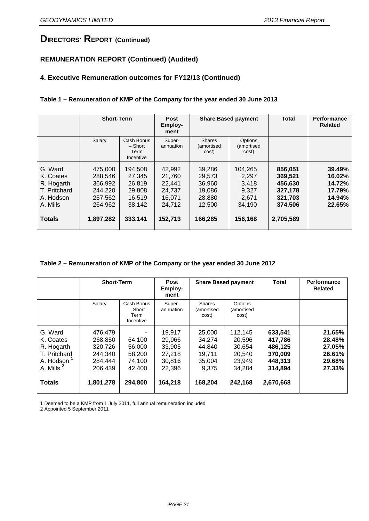### **REMUNERATION REPORT (Continued) (Audited)**

#### **4. Executive Remuneration outcomes for FY12/13 (Continued)**

#### **Table 1 – Remuneration of KMP of the Company for the year ended 30 June 2013**

|                                                                                              |                                                                             | <b>Short-Term</b>                                                    |                                                                     | <b>Share Based payment</b>                                                                                                              |                                | Total                                                                       | <b>Performance</b><br><b>Related</b>                     |
|----------------------------------------------------------------------------------------------|-----------------------------------------------------------------------------|----------------------------------------------------------------------|---------------------------------------------------------------------|-----------------------------------------------------------------------------------------------------------------------------------------|--------------------------------|-----------------------------------------------------------------------------|----------------------------------------------------------|
|                                                                                              | Salary                                                                      | Cash Bonus<br>$-$ Short<br>Term<br>Incentive                         | Super-<br>annuation                                                 | <b>Shares</b><br>(amortised<br>cost)                                                                                                    | Options<br>(amortised<br>cost) |                                                                             |                                                          |
| G. Ward<br>K. Coates<br>R. Hogarth<br>T. Pritchard<br>A. Hodson<br>A. Mills<br><b>Totals</b> | 475,000<br>288,546<br>366,992<br>244.220<br>257,562<br>264.962<br>1,897,282 | 194,508<br>27,345<br>26,819<br>29,808<br>16.519<br>38.142<br>333,141 | 42.992<br>21,760<br>22,441<br>24.737<br>16.071<br>24.712<br>152,713 | 39.286<br>104.265<br>29,573<br>2.297<br>36,960<br>3,418<br>9,327<br>19,086<br>28,880<br>2.671<br>12.500<br>34.190<br>156,168<br>166,285 |                                | 856.051<br>369,521<br>456,630<br>327,178<br>321,703<br>374.506<br>2,705,589 | 39.49%<br>16.02%<br>14.72%<br>17.79%<br>14.94%<br>22.65% |

#### **Table 2 – Remuneration of KMP of the Company or the year ended 30 June 2012**

|                                                                                                             | <b>Short-Term</b>                                                           |                                                           | <b>Post</b><br>Employ-<br>ment                                      | <b>Share Based payment</b>                                         |                                                                      | <b>Total</b>                                                                | <b>Performance</b><br><b>Related</b>                     |
|-------------------------------------------------------------------------------------------------------------|-----------------------------------------------------------------------------|-----------------------------------------------------------|---------------------------------------------------------------------|--------------------------------------------------------------------|----------------------------------------------------------------------|-----------------------------------------------------------------------------|----------------------------------------------------------|
|                                                                                                             | Salary                                                                      | Cash Bonus<br>- Short<br>Term<br>Incentive                | Super-<br>annuation                                                 | <b>Shares</b><br>(amortised<br>cost)                               | Options<br>amortised<br>cost)                                        |                                                                             |                                                          |
| G. Ward<br>K. Coates<br>R. Hogarth<br>T. Pritchard<br>A. Hodson '<br>A. Mills <sup>2</sup><br><b>Totals</b> | 476,479<br>268,850<br>320,726<br>244,340<br>284.444<br>206,439<br>1,801,278 | 64,100<br>56,000<br>58,200<br>74.100<br>42.400<br>294,800 | 19,917<br>29,966<br>33,905<br>27,218<br>30.816<br>22,396<br>164,218 | 25,000<br>34.274<br>44,840<br>19.711<br>35,004<br>9.375<br>168,204 | 112,145<br>20,596<br>30,654<br>20,540<br>23,949<br>34.284<br>242,168 | 633,541<br>417.786<br>486,125<br>370,009<br>448.313<br>314.894<br>2,670,668 | 21.65%<br>28.48%<br>27.05%<br>26.61%<br>29.68%<br>27.33% |

1 Deemed to be a KMP from 1 July 2011, full annual remuneration included

2 Appointed 5 September 2011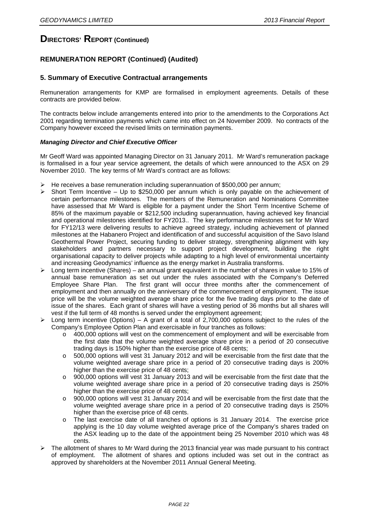#### **REMUNERATION REPORT (Continued) (Audited)**

#### **5. Summary of Executive Contractual arrangements**

Remuneration arrangements for KMP are formalised in employment agreements. Details of these contracts are provided below.

The contracts below include arrangements entered into prior to the amendments to the Corporations Act 2001 regarding termination payments which came into effect on 24 November 2009. No contracts of the Company however exceed the revised limits on termination payments.

#### *Managing Director and Chief Executive Officer*

Mr Geoff Ward was appointed Managing Director on 31 January 2011. Mr Ward's remuneration package is formalised in a four year service agreement, the details of which were announced to the ASX on 29 November 2010. The key terms of Mr Ward's contract are as follows:

- He receives a base remuneration including superannuation of \$500,000 per annum;
- $\triangleright$  Short Term Incentive Up to \$250,000 per annum which is only payable on the achievement of certain performance milestones. The members of the Remuneration and Nominations Committee have assessed that Mr Ward is eligible for a payment under the Short Term Incentive Scheme of 85% of the maximum payable or \$212,500 including superannuation, having achieved key financial and operational milestones identified for FY2013.. The key performance milestones set for Mr Ward for FY12/13 were delivering results to achieve agreed strategy, including achievement of planned milestones at the Habanero Project and identification of and successful acquisition of the Savo Island Geothermal Power Project, securing funding to deliver strategy, strengthening alignment with key stakeholders and partners necessary to support project development, building the right organisational capacity to deliver projects while adapting to a high level of environmental uncertainty and increasing Geodynamics' influence as the energy market in Australia transforms.
- $\triangleright$  Long term incentive (Shares) an annual grant equivalent in the number of shares in value to 15% of annual base remuneration as set out under the rules associated with the Company's Deferred Employee Share Plan. The first grant will occur three months after the commencement of employment and then annually on the anniversary of the commencement of employment. The issue price will be the volume weighted average share price for the five trading days prior to the date of issue of the shares. Each grant of shares will have a vesting period of 36 months but all shares will vest if the full term of 48 months is served under the employment agreement;
- $\triangleright$  Long term incentive (Options) A grant of a total of 2,700,000 options subject to the rules of the Company's Employee Option Plan and exercisable in four tranches as follows:
	- o 400,000 options will vest on the commencement of employment and will be exercisable from the first date that the volume weighted average share price in a period of 20 consecutive trading days is 150% higher than the exercise price of 48 cents;
	- o 500,000 options will vest 31 January 2012 and will be exercisable from the first date that the volume weighted average share price in a period of 20 consecutive trading days is 200% higher than the exercise price of 48 cents:
	- $\circ$  900,000 options will vest 31 January 2013 and will be exercisable from the first date that the volume weighted average share price in a period of 20 consecutive trading days is 250% higher than the exercise price of 48 cents;
	- o 900,000 options will vest 31 January 2014 and will be exercisable from the first date that the volume weighted average share price in a period of 20 consecutive trading days is 250% higher than the exercise price of 48 cents.
	- The last exercise date of all tranches of options is 31 January 2014. The exercise price applying is the 10 day volume weighted average price of the Company's shares traded on the ASX leading up to the date of the appointment being 25 November 2010 which was 48 cents.
- > The allotment of shares to Mr Ward during the 2013 financial year was made pursuant to his contract of employment. The allotment of shares and options included was set out in the contract as approved by shareholders at the November 2011 Annual General Meeting.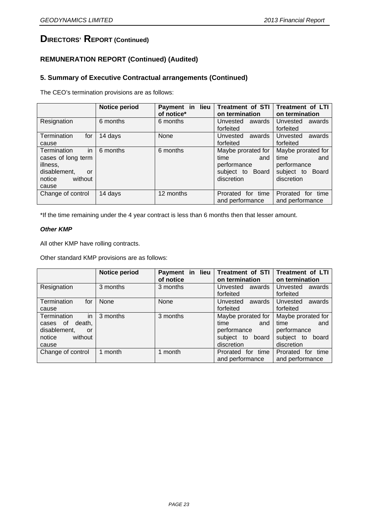# **REMUNERATION REPORT (Continued) (Audited)**

#### **5. Summary of Executive Contractual arrangements (Continued)**

The CEO's termination provisions are as follows:

|                    | <b>Notice period</b> | Payment in<br>lieu | <b>Treatment of STI</b> | <b>Treatment of LTI</b>    |  |
|--------------------|----------------------|--------------------|-------------------------|----------------------------|--|
|                    |                      | of notice*         | on termination          | on termination             |  |
| Resignation        | 6 months             | 6 months           | Unvested<br>awards      | Unvested<br>awards         |  |
|                    |                      |                    | forfeited               | forfeited                  |  |
| Termination<br>for | 14 days              | None               | Unvested<br>awards      | Unvested<br>awards         |  |
| cause              |                      |                    | forfeited               | forfeited                  |  |
| in<br>Termination  | 6 months             | 6 months           | Maybe prorated for      | Maybe prorated for         |  |
| cases of long term |                      |                    | time<br>and             | time<br>and                |  |
| illness,           |                      |                    | performance             | performance                |  |
| disablement,<br>or |                      |                    | subject to Board        | subject to<br><b>Board</b> |  |
| without<br>notice  |                      |                    | discretion              | discretion                 |  |
| cause              |                      |                    |                         |                            |  |
| Change of control  | 14 days              | 12 months          | for time<br>Prorated    | Prorated<br>time<br>for    |  |
|                    |                      |                    | and performance         | and performance            |  |

\*If the time remaining under the 4 year contract is less than 6 months then that lesser amount.

#### *Other KMP*

All other KMP have rolling contracts.

Other standard KMP provisions are as follows:

|                                                                                             | <b>Notice period</b> | lieu<br>Payment in<br>of notice | <b>Treatment of STI</b><br>on termination                                             | <b>Treatment of LTI</b><br>on termination                                             |
|---------------------------------------------------------------------------------------------|----------------------|---------------------------------|---------------------------------------------------------------------------------------|---------------------------------------------------------------------------------------|
| Resignation                                                                                 | 3 months             | 3 months                        | Unvested<br>awards<br>forfeited                                                       | Unvested<br>awards<br>forfeited                                                       |
| Termination<br>for<br>cause                                                                 | None                 | <b>None</b>                     | Unvested<br>awards<br>forfeited                                                       | awards<br>Unvested<br>forfeited                                                       |
| in<br>Termination<br>death,<br>cases of<br>disablement,<br>or<br>without<br>notice<br>cause | 3 months             | 3 months                        | Maybe prorated for<br>time<br>and<br>performance<br>subject to<br>board<br>discretion | Maybe prorated for<br>time<br>and<br>performance<br>subject to<br>board<br>discretion |
| Change of control                                                                           | 1 month              | 1 month                         | Prorated for time<br>and performance                                                  | time<br>Prorated<br>for<br>and performance                                            |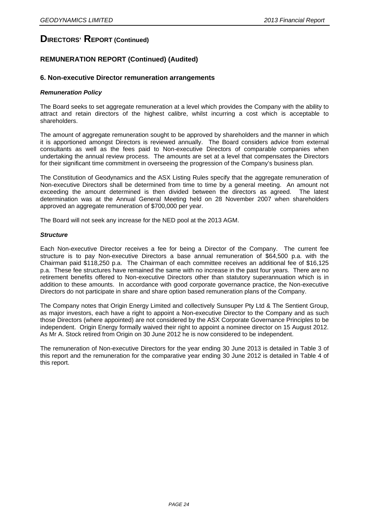#### **REMUNERATION REPORT (Continued) (Audited)**

#### **6. Non-executive Director remuneration arrangements**

#### *Remuneration Policy*

The Board seeks to set aggregate remuneration at a level which provides the Company with the ability to attract and retain directors of the highest calibre, whilst incurring a cost which is acceptable to shareholders.

The amount of aggregate remuneration sought to be approved by shareholders and the manner in which it is apportioned amongst Directors is reviewed annually. The Board considers advice from external consultants as well as the fees paid to Non-executive Directors of comparable companies when undertaking the annual review process. The amounts are set at a level that compensates the Directors for their significant time commitment in overseeing the progression of the Company's business plan.

The Constitution of Geodynamics and the ASX Listing Rules specify that the aggregate remuneration of Non-executive Directors shall be determined from time to time by a general meeting. An amount not exceeding the amount determined is then divided between the directors as agreed. The latest determination was at the Annual General Meeting held on 28 November 2007 when shareholders approved an aggregate remuneration of \$700,000 per year.

The Board will not seek any increase for the NED pool at the 2013 AGM.

#### *Structure*

Each Non-executive Director receives a fee for being a Director of the Company. The current fee structure is to pay Non-executive Directors a base annual remuneration of \$64,500 p.a. with the Chairman paid \$118,250 p.a. The Chairman of each committee receives an additional fee of \$16,125 p.a. These fee structures have remained the same with no increase in the past four years. There are no retirement benefits offered to Non-executive Directors other than statutory superannuation which is in addition to these amounts. In accordance with good corporate governance practice, the Non-executive Directors do not participate in share and share option based remuneration plans of the Company.

The Company notes that Origin Energy Limited and collectively Sunsuper Pty Ltd & The Sentient Group, as major investors, each have a right to appoint a Non-executive Director to the Company and as such those Directors (where appointed) are not considered by the ASX Corporate Governance Principles to be independent. Origin Energy formally waived their right to appoint a nominee director on 15 August 2012. As Mr A. Stock retired from Origin on 30 June 2012 he is now considered to be independent.

The remuneration of Non-executive Directors for the year ending 30 June 2013 is detailed in Table 3 of this report and the remuneration for the comparative year ending 30 June 2012 is detailed in Table 4 of this report.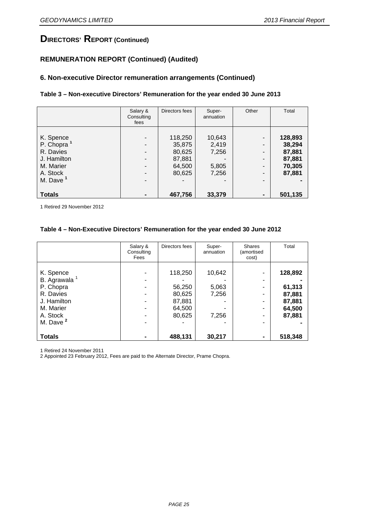## **REMUNERATION REPORT (Continued) (Audited)**

#### **6. Non-executive Director remuneration arrangements (Continued)**

#### **Table 3 – Non-executive Directors' Remuneration for the year ended 30 June 2013**

|                                                                                                                  | Salary &<br>Consulting<br>fees | Directors fees                                            | Super-<br>annuation                        | Other | Total                                                     |
|------------------------------------------------------------------------------------------------------------------|--------------------------------|-----------------------------------------------------------|--------------------------------------------|-------|-----------------------------------------------------------|
| K. Spence<br>P. Chopra <sup>1</sup><br>R. Davies<br>J. Hamilton<br>M. Marier<br>A. Stock<br>M. Dave <sup>1</sup> |                                | 118,250<br>35,875<br>80,625<br>87,881<br>64,500<br>80,625 | 10,643<br>2,419<br>7,256<br>5,805<br>7,256 |       | 128,893<br>38,294<br>87,881<br>87,881<br>70,305<br>87,881 |
| <b>Totals</b>                                                                                                    |                                | 467,756                                                   | 33,379                                     |       | 501,135                                                   |

1 Retired 29 November 2012

#### **Table 4 – Non-Executive Directors' Remuneration for the year ended 30 June 2012**

|                                                                                                                                 | Salary &<br>Consulting<br>Fees | Directors fees                                            | Super-<br>annuation               | <b>Shares</b><br>(amortised<br>cost) | Total                                                     |
|---------------------------------------------------------------------------------------------------------------------------------|--------------------------------|-----------------------------------------------------------|-----------------------------------|--------------------------------------|-----------------------------------------------------------|
| K. Spence<br>B. Agrawala <sup>1</sup><br>P. Chopra<br>R. Davies<br>J. Hamilton<br>M. Marier<br>A. Stock<br>M. Dave <sup>2</sup> |                                | 118,250<br>56,250<br>80,625<br>87,881<br>64,500<br>80,625 | 10,642<br>5,063<br>7,256<br>7,256 | ۰<br>۰<br>۰<br>۰<br>۰<br>٠<br>۰      | 128,892<br>61,313<br>87,881<br>87,881<br>64,500<br>87,881 |
| <b>Totals</b>                                                                                                                   |                                | 488,131                                                   | 30,217                            | $\blacksquare$                       | 518,348                                                   |

1 Retired 24 November 2011

2 Appointed 23 February 2012, Fees are paid to the Alternate Director, Prame Chopra.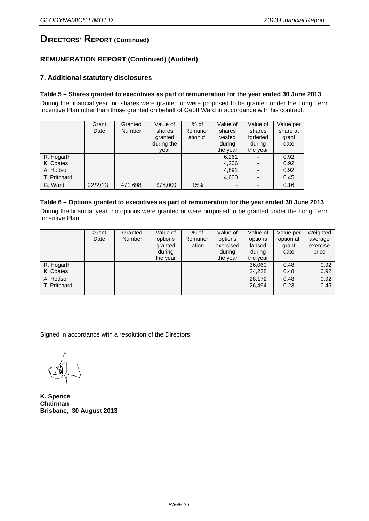#### **REMUNERATION REPORT (Continued) (Audited)**

#### **7. Additional statutory disclosures**

#### **Table 5 – Shares granted to executives as part of remuneration for the year ended 30 June 2013**

During the financial year, no shares were granted or were proposed to be granted under the Long Term Incentive Plan other than those granted on behalf of Geoff Ward in accordance with his contract.

|              | Grant   | Granted | Value of   | $%$ of    | Value of | Value of       | Value per |
|--------------|---------|---------|------------|-----------|----------|----------------|-----------|
|              | Date    | Number  | shares     | Remuner   | shares   | shares         | share at  |
|              |         |         | granted    | ation $#$ | vested   | forfeited      | grant     |
|              |         |         | during the |           | during   | during         | date      |
|              |         |         | vear       |           | the year | the year       |           |
| R. Hogarth   |         |         |            |           | 6,261    |                | 0.92      |
| K. Coates    |         |         |            |           | 4,206    | $\blacksquare$ | 0.92      |
| A. Hodson    |         |         |            |           | 4,891    | $\blacksquare$ | 0.92      |
| T. Pritchard |         |         |            |           | 4,600    | $\blacksquare$ | 0.45      |
| G. Ward      | 22/2/13 | 471,698 | \$75,000   | 15%       | -        |                | 0.16      |

#### **Table 6 – Options granted to executives as part of remuneration for the year ended 30 June 2013**

During the financial year, no options were granted or were proposed to be granted under the Long Term Incentive Plan.

|              | Grant | Granted | Value of | $%$ of  | Value of  | Value of | Value per | Weighted |
|--------------|-------|---------|----------|---------|-----------|----------|-----------|----------|
|              | Date  | Number  | options  | Remuner | options   | options  | option at | average  |
|              |       |         | granted  | ation   | exercised | lapsed   | grant     | exercise |
|              |       |         | during   |         | during    | during   | date      | price    |
|              |       |         | the year |         | the year  | the year |           |          |
| R. Hogarth   |       |         |          |         |           | 36,060   | 0.48      | 0.92     |
| K. Coates    |       |         |          |         |           | 24,228   | 0.48      | 0.92     |
| A. Hodson    |       |         |          |         |           | 28,172   | 0.48      | 0.92     |
| T. Pritchard |       |         |          |         |           | 26.494   | 0.23      | 0.45     |
|              |       |         |          |         |           |          |           |          |

Signed in accordance with a resolution of the Directors.

**K. Spence Chairman Brisbane, 30 August 2013**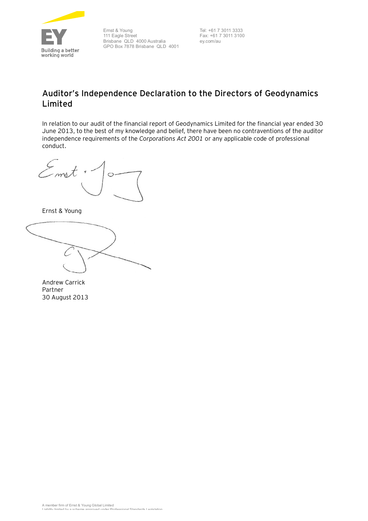

Ernst & Young 111 Eagle Street Brisbane QLD 4000 Australia GPO Box 7878 Brisbane QLD 4001

Tel: +61 7 3011 3333 Fax: +61 7 3011 3100 ey.com/au

# **Auditor's Independence Declaration to the Directors of Geodynamics Limited**

In relation to our audit of the financial report of Geodynamics Limited for the financial year ended 30 June 2013, to the best of my knowledge and belief, there have been no contraventions of the auditor independence requirements of the *Corporations Act 2001* or any applicable code of professional conduct.

met  $\bigcirc$ 

Ernst & Young

Andrew Carrick Partner 30 August 2013

.<br>Inal Rtandarde Legisla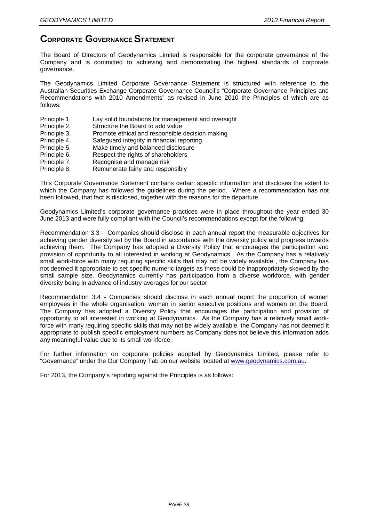# **CORPORATE GOVERNANCE STATEMENT**

The Board of Directors of Geodynamics Limited is responsible for the corporate governance of the Company and is committed to achieving and demonstrating the highest standards of corporate governance.

The Geodynamics Limited Corporate Governance Statement is structured with reference to the Australian Securities Exchange Corporate Governance Council's "Corporate Governance Principles and Recommendations with 2010 Amendments" as revised in June 2010 the Principles of which are as follows:

- Principle 1. Lay solid foundations for management and oversight
- Principle 2. Structure the Board to add value<br>Principle 3. Promote ethical and responsible
- Promote ethical and responsible decision making
- Principle 4. Safeguard integrity in financial reporting
- Principle 5. Make timely and balanced disclosure
- Principle 6. Respect the rights of shareholders
- Principle 7. Recognise and manage risk
- Principle 8. Remunerate fairly and responsibly

This Corporate Governance Statement contains certain specific information and discloses the extent to which the Company has followed the guidelines during the period. Where a recommendation has not been followed, that fact is disclosed, together with the reasons for the departure.

Geodynamics Limited's corporate governance practices were in place throughout the year ended 30 June 2013 and were fully compliant with the Council's recommendations except for the following:

Recommendation 3.3 - Companies should disclose in each annual report the measurable objectives for achieving gender diversity set by the Board in accordance with the diversity policy and progress towards achieving them. The Company has adopted a Diversity Policy that encourages the participation and provision of opportunity to all interested in working at Geodynamics. As the Company has a relatively small work-force with many requiring specific skills that may not be widely available , the Company has not deemed it appropriate to set specific numeric targets as these could be inappropriately skewed by the small sample size. Geodynamics currently has participation from a diverse workforce, with gender diversity being in advance of industry averages for our sector.

Recommendation 3.4 - Companies should disclose in each annual report the proportion of women employees in the whole organisation, women in senior executive positions and women on the Board. The Company has adopted a Diversity Policy that encourages the participation and provision of opportunity to all interested in working at Geodynamics. As the Company has a relatively small workforce with many requiring specific skills that may not be widely available, the Company has not deemed it appropriate to publish specific employment numbers as Company does not believe this information adds any meaningful value due to its small workforce.

For further information on corporate policies adopted by Geodynamics Limited, please refer to "Governance" under the Our Company Tab on our website located at www.geodynamics.com.au.

For 2013, the Company's reporting against the Principles is as follows: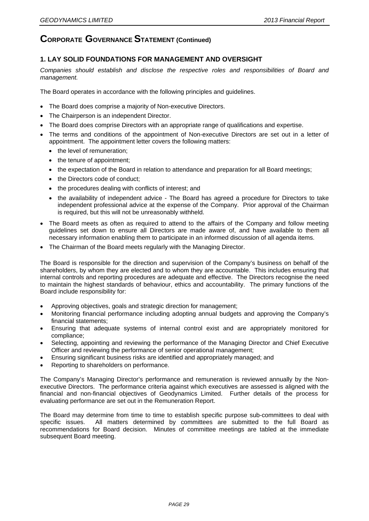#### **1. LAY SOLID FOUNDATIONS FOR MANAGEMENT AND OVERSIGHT**

*Companies should establish and disclose the respective roles and responsibilities of Board and management.* 

The Board operates in accordance with the following principles and guidelines.

- The Board does comprise a majority of Non-executive Directors.
- The Chairperson is an independent Director.
- The Board does comprise Directors with an appropriate range of qualifications and expertise.
- The terms and conditions of the appointment of Non-executive Directors are set out in a letter of appointment. The appointment letter covers the following matters:
	- the level of remuneration;
	- the tenure of appointment:
	- the expectation of the Board in relation to attendance and preparation for all Board meetings;
	- the Directors code of conduct;
	- the procedures dealing with conflicts of interest; and
	- the availability of independent advice The Board has agreed a procedure for Directors to take independent professional advice at the expense of the Company. Prior approval of the Chairman is required, but this will not be unreasonably withheld.
- The Board meets as often as required to attend to the affairs of the Company and follow meeting guidelines set down to ensure all Directors are made aware of, and have available to them all necessary information enabling them to participate in an informed discussion of all agenda items.
- The Chairman of the Board meets regularly with the Managing Director.

The Board is responsible for the direction and supervision of the Company's business on behalf of the shareholders, by whom they are elected and to whom they are accountable. This includes ensuring that internal controls and reporting procedures are adequate and effective. The Directors recognise the need to maintain the highest standards of behaviour, ethics and accountability. The primary functions of the Board include responsibility for:

- Approving objectives, goals and strategic direction for management;
- Monitoring financial performance including adopting annual budgets and approving the Company's financial statements;
- Ensuring that adequate systems of internal control exist and are appropriately monitored for compliance;
- Selecting, appointing and reviewing the performance of the Managing Director and Chief Executive Officer and reviewing the performance of senior operational management;
- Ensuring significant business risks are identified and appropriately managed; and
- Reporting to shareholders on performance.

The Company's Managing Director's performance and remuneration is reviewed annually by the Nonexecutive Directors. The performance criteria against which executives are assessed is aligned with the financial and non-financial objectives of Geodynamics Limited. Further details of the process for evaluating performance are set out in the Remuneration Report.

The Board may determine from time to time to establish specific purpose sub-committees to deal with specific issues. All matters determined by committees are submitted to the full Board as recommendations for Board decision. Minutes of committee meetings are tabled at the immediate subsequent Board meeting.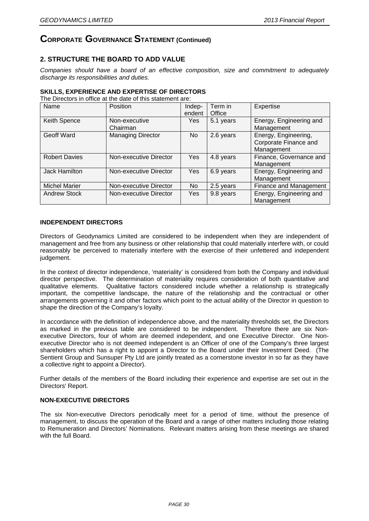#### **2. STRUCTURE THE BOARD TO ADD VALUE**

*Companies should have a board of an effective composition, size and commitment to adequately discharge its responsibilities and duties.* 

#### **SKILLS, EXPERIENCE AND EXPERTISE OF DIRECTORS**

The Directors in office at the date of this statement are:

| Name                 | <b>Position</b>           | Indep- | Term in   | Expertise                                                   |
|----------------------|---------------------------|--------|-----------|-------------------------------------------------------------|
|                      |                           | endent | Office    |                                                             |
| Keith Spence         | Non-executive<br>Chairman | Yes.   | 5.1 years | Energy, Engineering and<br>Management                       |
| Geoff Ward           | <b>Managing Director</b>  | No     | 2.6 years | Energy, Engineering,<br>Corporate Finance and<br>Management |
| <b>Robert Davies</b> | Non-executive Director    | Yes    | 4.8 years | Finance, Governance and<br>Management                       |
| Jack Hamilton        | Non-executive Director    | Yes    | 6.9 years | Energy, Engineering and<br>Management                       |
| <b>Michel Marier</b> | Non-executive Director    | No     | 2.5 years | Finance and Management                                      |
| <b>Andrew Stock</b>  | Non-executive Director    | Yes    | 9.8 years | Energy, Engineering and<br>Management                       |

#### **INDEPENDENT DIRECTORS**

Directors of Geodynamics Limited are considered to be independent when they are independent of management and free from any business or other relationship that could materially interfere with, or could reasonably be perceived to materially interfere with the exercise of their unfettered and independent judgement.

In the context of director independence, 'materiality' is considered from both the Company and individual director perspective. The determination of materiality requires consideration of both quantitative and qualitative elements. Qualitative factors considered include whether a relationship is strategically important, the competitive landscape, the nature of the relationship and the contractual or other arrangements governing it and other factors which point to the actual ability of the Director in question to shape the direction of the Company's loyalty.

In accordance with the definition of independence above, and the materiality thresholds set, the Directors as marked in the previous table are considered to be independent. Therefore there are six Nonexecutive Directors, four of whom are deemed independent, and one Executive Director. One Nonexecutive Director who is not deemed independent is an Officer of one of the Company's three largest shareholders which has a right to appoint a Director to the Board under their Investment Deed. (The Sentient Group and Sunsuper Pty Ltd are jointly treated as a cornerstone investor in so far as they have a collective right to appoint a Director).

Further details of the members of the Board including their experience and expertise are set out in the Directors' Report.

#### **NON-EXECUTIVE DIRECTORS**

The six Non-executive Directors periodically meet for a period of time, without the presence of management, to discuss the operation of the Board and a range of other matters including those relating to Remuneration and Directors' Nominations. Relevant matters arising from these meetings are shared with the full Board.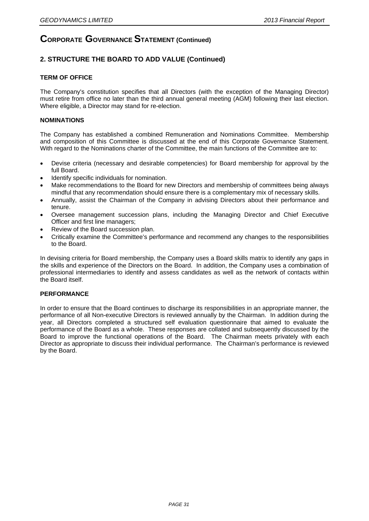#### **2. STRUCTURE THE BOARD TO ADD VALUE (Continued)**

#### **TERM OF OFFICE**

The Company's constitution specifies that all Directors (with the exception of the Managing Director) must retire from office no later than the third annual general meeting (AGM) following their last election. Where eligible, a Director may stand for re-election.

#### **NOMINATIONS**

The Company has established a combined Remuneration and Nominations Committee. Membership and composition of this Committee is discussed at the end of this Corporate Governance Statement. With regard to the Nominations charter of the Committee, the main functions of the Committee are to:

- Devise criteria (necessary and desirable competencies) for Board membership for approval by the full Board.
- Identify specific individuals for nomination.
- Make recommendations to the Board for new Directors and membership of committees being always mindful that any recommendation should ensure there is a complementary mix of necessary skills.
- Annually, assist the Chairman of the Company in advising Directors about their performance and tenure.
- Oversee management succession plans, including the Managing Director and Chief Executive Officer and first line managers;
- Review of the Board succession plan.
- Critically examine the Committee's performance and recommend any changes to the responsibilities to the Board.

In devising criteria for Board membership, the Company uses a Board skills matrix to identify any gaps in the skills and experience of the Directors on the Board. In addition, the Company uses a combination of professional intermediaries to identify and assess candidates as well as the network of contacts within the Board itself.

#### **PERFORMANCE**

In order to ensure that the Board continues to discharge its responsibilities in an appropriate manner, the performance of all Non-executive Directors is reviewed annually by the Chairman. In addition during the year, all Directors completed a structured self evaluation questionnaire that aimed to evaluate the performance of the Board as a whole. These responses are collated and subsequently discussed by the .<br>Board to improve the functional operations of the Board. The Chairman meets privately with each Director as appropriate to discuss their individual performance. The Chairman's performance is reviewed by the Board.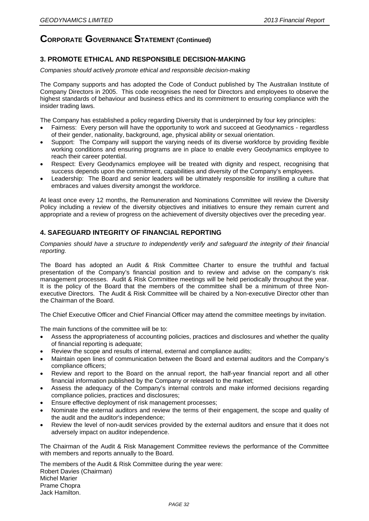#### **3. PROMOTE ETHICAL AND RESPONSIBLE DECISION-MAKING**

*Companies should actively promote ethical and responsible decision-making* 

The Company supports and has adopted the Code of Conduct published by The Australian Institute of Company Directors in 2005. This code recognises the need for Directors and employees to observe the highest standards of behaviour and business ethics and its commitment to ensuring compliance with the insider trading laws.

The Company has established a policy regarding Diversity that is underpinned by four key principles:

- Fairness: Every person will have the opportunity to work and succeed at Geodynamics regardless of their gender, nationality, background, age, physical ability or sexual orientation.
- Support: The Company will support the varying needs of its diverse workforce by providing flexible working conditions and ensuring programs are in place to enable every Geodynamics employee to reach their career potential.
- Respect: Every Geodynamics employee will be treated with dignity and respect, recognising that success depends upon the commitment, capabilities and diversity of the Company's employees.
- Leadership: The Board and senior leaders will be ultimately responsible for instilling a culture that embraces and values diversity amongst the workforce.

At least once every 12 months, the Remuneration and Nominations Committee will review the Diversity Policy including a review of the diversity objectives and initiatives to ensure they remain current and appropriate and a review of progress on the achievement of diversity objectives over the preceding year.

#### **4. SAFEGUARD INTEGRITY OF FINANCIAL REPORTING**

*Companies should have a structure to independently verify and safeguard the integrity of their financial reporting.* 

The Board has adopted an Audit & Risk Committee Charter to ensure the truthful and factual presentation of the Company's financial position and to review and advise on the company's risk management processes. Audit & Risk Committee meetings will be held periodically throughout the year. It is the policy of the Board that the members of the committee shall be a minimum of three Nonexecutive Directors. The Audit & Risk Committee will be chaired by a Non-executive Director other than the Chairman of the Board.

The Chief Executive Officer and Chief Financial Officer may attend the committee meetings by invitation.

The main functions of the committee will be to:

- Assess the appropriateness of accounting policies, practices and disclosures and whether the quality of financial reporting is adequate;
- Review the scope and results of internal, external and compliance audits;
- Maintain open lines of communication between the Board and external auditors and the Company's compliance officers;
- Review and report to the Board on the annual report, the half-year financial report and all other financial information published by the Company or released to the market;
- Assess the adequacy of the Company's internal controls and make informed decisions regarding compliance policies, practices and disclosures;
- Ensure effective deployment of risk management processes;
- Nominate the external auditors and review the terms of their engagement, the scope and quality of the audit and the auditor's independence;
- Review the level of non-audit services provided by the external auditors and ensure that it does not adversely impact on auditor independence.

The Chairman of the Audit & Risk Management Committee reviews the performance of the Committee with members and reports annually to the Board.

The members of the Audit & Risk Committee during the year were: Robert Davies (Chairman) Michel Marier Prame Chopra Jack Hamilton.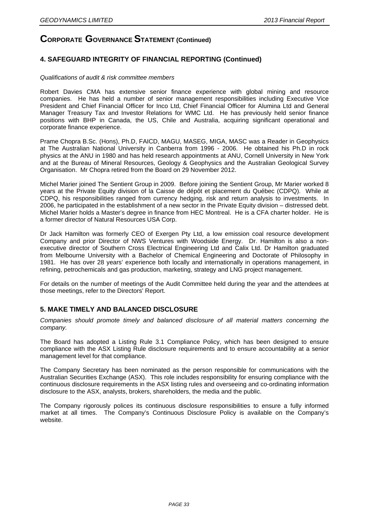#### **4. SAFEGUARD INTEGRITY OF FINANCIAL REPORTING (Continued)**

#### *Qualifications of audit & risk committee members*

Robert Davies CMA has extensive senior finance experience with global mining and resource companies. He has held a number of senior management responsibilities including Executive Vice President and Chief Financial Officer for Inco Ltd, Chief Financial Officer for Alumina Ltd and General Manager Treasury Tax and Investor Relations for WMC Ltd. He has previously held senior finance positions with BHP in Canada, the US, Chile and Australia, acquiring significant operational and corporate finance experience.

Prame Chopra B.Sc. (Hons), Ph.D, FAICD, MAGU, MASEG, MIGA, MASC was a Reader in Geophysics at The Australian National University in Canberra from 1996 - 2006. He obtained his Ph.D in rock physics at the ANU in 1980 and has held research appointments at ANU, Cornell University in New York and at the Bureau of Mineral Resources, Geology & Geophysics and the Australian Geological Survey Organisation. Mr Chopra retired from the Board on 29 November 2012.

Michel Marier joined The Sentient Group in 2009. Before joining the Sentient Group, Mr Marier worked 8 years at the Private Equity division of la Caisse de dépôt et placement du Québec (CDPQ). While at CDPQ, his responsibilities ranged from currency hedging, risk and return analysis to investments. In 2006, he participated in the establishment of a new sector in the Private Equity division – distressed debt. Michel Marier holds a Master's degree in finance from HEC Montreal. He is a CFA charter holder. He is a former director of Natural Resources USA Corp.

Dr Jack Hamilton was formerly CEO of Exergen Pty Ltd, a low emission coal resource development Company and prior Director of NWS Ventures with Woodside Energy. Dr. Hamilton is also a nonexecutive director of Southern Cross Electrical Engineering Ltd and Calix Ltd. Dr Hamilton graduated from Melbourne University with a Bachelor of Chemical Engineering and Doctorate of Philosophy in 1981. He has over 28 years' experience both locally and internationally in operations management, in refining, petrochemicals and gas production, marketing, strategy and LNG project management.

For details on the number of meetings of the Audit Committee held during the year and the attendees at those meetings, refer to the Directors' Report.

#### **5. MAKE TIMELY AND BALANCED DISCLOSURE**

*Companies should promote timely and balanced disclosure of all material matters concerning the company.* 

The Board has adopted a Listing Rule 3.1 Compliance Policy, which has been designed to ensure compliance with the ASX Listing Rule disclosure requirements and to ensure accountability at a senior management level for that compliance.

The Company Secretary has been nominated as the person responsible for communications with the Australian Securities Exchange (ASX). This role includes responsibility for ensuring compliance with the continuous disclosure requirements in the ASX listing rules and overseeing and co-ordinating information disclosure to the ASX, analysts, brokers, shareholders, the media and the public.

The Company rigorously polices its continuous disclosure responsibilities to ensure a fully informed market at all times. The Company's Continuous Disclosure Policy is available on the Company's website.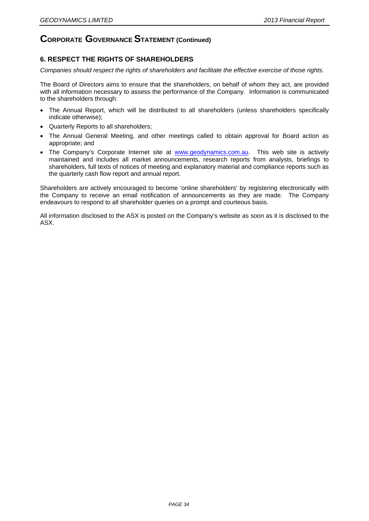#### **6. RESPECT THE RIGHTS OF SHAREHOLDERS**

*Companies should respect the rights of shareholders and facilitate the effective exercise of those rights.* 

The Board of Directors aims to ensure that the shareholders, on behalf of whom they act, are provided with all information necessary to assess the performance of the Company. Information is communicated to the shareholders through:

- The Annual Report, which will be distributed to all shareholders (unless shareholders specifically indicate otherwise);
- Quarterly Reports to all shareholders;
- The Annual General Meeting, and other meetings called to obtain approval for Board action as appropriate; and
- The Company's Corporate Internet site at www.geodynamics.com.au. This web site is actively maintained and includes all market announcements, research reports from analysts, briefings to shareholders, full texts of notices of meeting and explanatory material and compliance reports such as the quarterly cash flow report and annual report.

Shareholders are actively encouraged to become 'online shareholders' by registering electronically with the Company to receive an email notification of announcements as they are made. The Company endeavours to respond to all shareholder queries on a prompt and courteous basis.

All information disclosed to the ASX is posted on the Company's website as soon as it is disclosed to the ASX.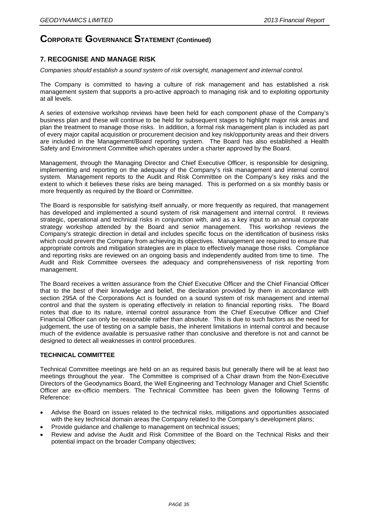#### **7. RECOGNISE AND MANAGE RISK**

*Companies should establish a sound system of risk oversight, management and internal control.* 

The Company is committed to having a culture of risk management and has established a risk management system that supports a pro-active approach to managing risk and to exploiting opportunity at all levels.

A series of extensive workshop reviews have been held for each component phase of the Company's business plan and these will continue to be held for subsequent stages to highlight major risk areas and plan the treatment to manage those risks. In addition, a formal risk management plan is included as part of every major capital acquisition or procurement decision and key risk/opportunity areas and their drivers are included in the Management/Board reporting system. The Board has also established a Health Safety and Environment Committee which operates under a charter approved by the Board.

Management, through the Managing Director and Chief Executive Officer, is responsible for designing, implementing and reporting on the adequacy of the Company's risk management and internal control system. Management reports to the Audit and Risk Committee on the Company's key risks and the extent to which it believes these risks are being managed. This is performed on a six monthly basis or more frequently as required by the Board or Committee.

The Board is responsible for satisfying itself annually, or more frequently as required, that management has developed and implemented a sound system of risk management and internal control. It reviews strategic, operational and technical risks in conjunction with, and as a key input to an annual corporate strategy workshop attended by the Board and senior management. This workshop reviews the Company's strategic direction in detail and includes specific focus on the identification of business risks which could prevent the Company from achieving its objectives. Management are required to ensure that appropriate controls and mitigation strategies are in place to effectively manage those risks. Compliance and reporting risks are reviewed on an ongoing basis and independently audited from time to time. The Audit and Risk Committee oversees the adequacy and comprehensiveness of risk reporting from management.

The Board receives a written assurance from the Chief Executive Officer and the Chief Financial Officer that to the best of their knowledge and belief, the declaration provided by them in accordance with section 295A of the Corporations Act is founded on a sound system of risk management and internal control and that the system is operating effectively in relation to financial reporting risks. The Board notes that due to its nature, internal control assurance from the Chief Executive Officer and Chief Financial Officer can only be reasonable rather than absolute. This is due to such factors as the need for judgement, the use of testing on a sample basis, the inherent limitations in internal control and because much of the evidence available is persuasive rather than conclusive and therefore is not and cannot be designed to detect all weaknesses in control procedures.

#### **TECHNICAL COMMITTEE**

Technical Committee meetings are held on an as required basis but generally there will be at least two meetings throughout the year. The Committee is comprised of a Chair drawn from the Non-Executive Directors of the Geodynamics Board, the Well Engineering and Technology Manager and Chief Scientific Officer are ex-officio members. The Technical Committee has been given the following Terms of Reference:

- Advise the Board on issues related to the technical risks, mitigations and opportunities associated with the key technical domain areas the Company related to the Company's development plans;
- Provide guidance and challenge to management on technical issues;
- Review and advise the Audit and Risk Committee of the Board on the Technical Risks and their potential impact on the broader Company objectives;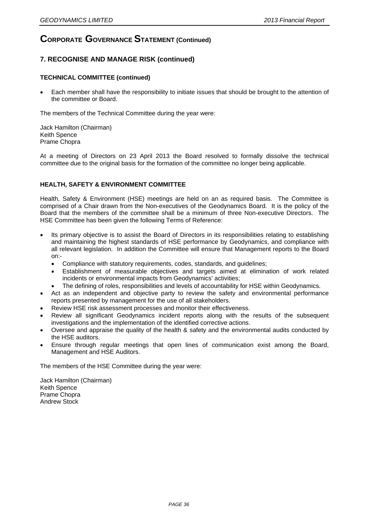## **CORPORATE GOVERNANCE STATEMENT (Continued)**

## **7. RECOGNISE AND MANAGE RISK (continued)**

## **TECHNICAL COMMITTEE (continued)**

 Each member shall have the responsibility to initiate issues that should be brought to the attention of the committee or Board.

The members of the Technical Committee during the year were:

Jack Hamilton (Chairman) Keith Spence Prame Chopra

At a meeting of Directors on 23 April 2013 the Board resolved to formally dissolve the technical committee due to the original basis for the formation of the committee no longer being applicable.

## **HEALTH, SAFETY & ENVIRONMENT COMMITTEE**

Health, Safety & Environment (HSE) meetings are held on an as required basis. The Committee is comprised of a Chair drawn from the Non-executives of the Geodynamics Board. It is the policy of the Board that the members of the committee shall be a minimum of three Non-executive Directors. The HSE Committee has been given the following Terms of Reference:

- Its primary objective is to assist the Board of Directors in its responsibilities relating to establishing and maintaining the highest standards of HSE performance by Geodynamics, and compliance with all relevant legislation. In addition the Committee will ensure that Management reports to the Board on:-
	- Compliance with statutory requirements, codes, standards, and guidelines;
	- Establishment of measurable objectives and targets aimed at elimination of work related incidents or environmental impacts from Geodynamics' activities;
	- The defining of roles, responsibilities and levels of accountability for HSE within Geodynamics.
- Act as an independent and objective party to review the safety and environmental performance reports presented by management for the use of all stakeholders.
- Review HSE risk assessment processes and monitor their effectiveness.
- Review all significant Geodynamics incident reports along with the results of the subsequent investigations and the implementation of the identified corrective actions.
- Oversee and appraise the quality of the health & safety and the environmental audits conducted by the HSE auditors.
- Ensure through regular meetings that open lines of communication exist among the Board, Management and HSE Auditors.

The members of the HSE Committee during the year were:

Jack Hamilton (Chairman) Keith Spence Prame Chopra Andrew Stock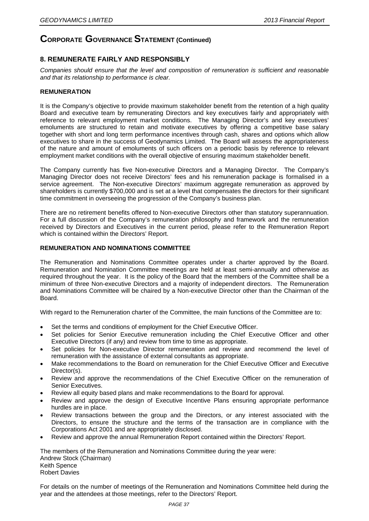## **CORPORATE GOVERNANCE STATEMENT (Continued)**

## **8. REMUNERATE FAIRLY AND RESPONSIBLY**

*Companies should ensure that the level and composition of remuneration is sufficient and reasonable and that its relationship to performance is clear.* 

## **REMUNERATION**

It is the Company's objective to provide maximum stakeholder benefit from the retention of a high quality Board and executive team by remunerating Directors and key executives fairly and appropriately with reference to relevant employment market conditions. The Managing Director's and key executives' emoluments are structured to retain and motivate executives by offering a competitive base salary together with short and long term performance incentives through cash, shares and options which allow executives to share in the success of Geodynamics Limited. The Board will assess the appropriateness of the nature and amount of emoluments of such officers on a periodic basis by reference to relevant employment market conditions with the overall objective of ensuring maximum stakeholder benefit.

The Company currently has five Non-executive Directors and a Managing Director. The Company's Managing Director does not receive Directors' fees and his remuneration package is formalised in a service agreement. The Non-executive Directors' maximum aggregate remuneration as approved by shareholders is currently \$700,000 and is set at a level that compensates the directors for their significant time commitment in overseeing the progression of the Company's business plan.

There are no retirement benefits offered to Non-executive Directors other than statutory superannuation. For a full discussion of the Company's remuneration philosophy and framework and the remuneration received by Directors and Executives in the current period, please refer to the Remuneration Report which is contained within the Directors' Report.

## **REMUNERATION AND NOMINATIONS COMMITTEE**

The Remuneration and Nominations Committee operates under a charter approved by the Board. Remuneration and Nomination Committee meetings are held at least semi-annually and otherwise as required throughout the year. It is the policy of the Board that the members of the Committee shall be a minimum of three Non-executive Directors and a majority of independent directors. The Remuneration and Nominations Committee will be chaired by a Non-executive Director other than the Chairman of the Board.

With regard to the Remuneration charter of the Committee, the main functions of the Committee are to:

- Set the terms and conditions of employment for the Chief Executive Officer.
- Set policies for Senior Executive remuneration including the Chief Executive Officer and other Executive Directors (if any) and review from time to time as appropriate.
- Set policies for Non-executive Director remuneration and review and recommend the level of remuneration with the assistance of external consultants as appropriate.
- Make recommendations to the Board on remuneration for the Chief Executive Officer and Executive Director(s).
- Review and approve the recommendations of the Chief Executive Officer on the remuneration of Senior Executives.
- Review all equity based plans and make recommendations to the Board for approval.
- Review and approve the design of Executive Incentive Plans ensuring appropriate performance hurdles are in place.
- Review transactions between the group and the Directors, or any interest associated with the Directors, to ensure the structure and the terms of the transaction are in compliance with the Corporations Act 2001 and are appropriately disclosed.
- Review and approve the annual Remuneration Report contained within the Directors' Report.

The members of the Remuneration and Nominations Committee during the year were: Andrew Stock (Chairman) Keith Spence Robert Davies

For details on the number of meetings of the Remuneration and Nominations Committee held during the year and the attendees at those meetings, refer to the Directors' Report.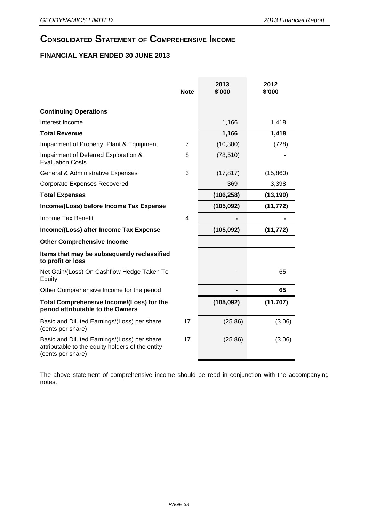# **CONSOLIDATED STATEMENT OF COMPREHENSIVE INCOME**

## **FINANCIAL YEAR ENDED 30 JUNE 2013**

|                                                                                                                      | <b>Note</b>    | 2013<br>\$'000 | 2012<br>\$'000 |
|----------------------------------------------------------------------------------------------------------------------|----------------|----------------|----------------|
| <b>Continuing Operations</b>                                                                                         |                |                |                |
| Interest Income                                                                                                      |                | 1,166          | 1,418          |
| <b>Total Revenue</b>                                                                                                 |                | 1,166          | 1,418          |
| Impairment of Property, Plant & Equipment                                                                            | 7              | (10, 300)      | (728)          |
| Impairment of Deferred Exploration &<br><b>Evaluation Costs</b>                                                      | 8              | (78, 510)      |                |
| <b>General &amp; Administrative Expenses</b>                                                                         | 3              | (17, 817)      | (15,860)       |
| <b>Corporate Expenses Recovered</b>                                                                                  |                | 369            | 3,398          |
| <b>Total Expenses</b>                                                                                                |                | (106, 258)     | (13, 190)      |
| Income/(Loss) before Income Tax Expense                                                                              |                | (105, 092)     | (11, 772)      |
| Income Tax Benefit                                                                                                   | $\overline{4}$ |                |                |
| Income/(Loss) after Income Tax Expense                                                                               |                | (105, 092)     | (11, 772)      |
| <b>Other Comprehensive Income</b>                                                                                    |                |                |                |
| Items that may be subsequently reclassified<br>to profit or loss                                                     |                |                |                |
| Net Gain/(Loss) On Cashflow Hedge Taken To<br>Equity                                                                 |                |                | 65             |
| Other Comprehensive Income for the period                                                                            |                |                | 65             |
| Total Comprehensive Income/(Loss) for the<br>period attributable to the Owners                                       |                | (105, 092)     | (11, 707)      |
| Basic and Diluted Earnings/(Loss) per share<br>(cents per share)                                                     | 17             | (25.86)        | (3.06)         |
| Basic and Diluted Earnings/(Loss) per share<br>attributable to the equity holders of the entity<br>(cents per share) | 17             | (25.86)        | (3.06)         |

The above statement of comprehensive income should be read in conjunction with the accompanying notes.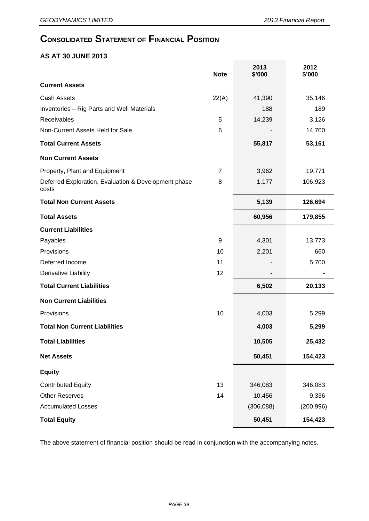# **CONSOLIDATED STATEMENT OF FINANCIAL POSITION**

## **AS AT 30 JUNE 2013**

|                                                               | <b>Note</b> | 2013<br>\$'000 | 2012<br>\$'000 |
|---------------------------------------------------------------|-------------|----------------|----------------|
| <b>Current Assets</b>                                         |             |                |                |
| <b>Cash Assets</b>                                            | 22(A)       | 41,390         | 35,146         |
| Inventories - Rig Parts and Well Materials                    |             | 188            | 189            |
| Receivables                                                   | 5           | 14,239         | 3,126          |
| Non-Current Assets Held for Sale                              | 6           |                | 14,700         |
| <b>Total Current Assets</b>                                   |             | 55,817         | 53,161         |
| <b>Non Current Assets</b>                                     |             |                |                |
| Property, Plant and Equipment                                 | 7           | 3,962          | 19,771         |
| Deferred Exploration, Evaluation & Development phase<br>costs | 8           | 1,177          | 106,923        |
| <b>Total Non Current Assets</b>                               |             | 5,139          | 126,694        |
| <b>Total Assets</b>                                           |             | 60,956         | 179,855        |
| <b>Current Liabilities</b>                                    |             |                |                |
| Payables                                                      | 9           | 4,301          | 13,773         |
| Provisions                                                    | 10          | 2,201          | 660            |
| Deferred Income                                               | 11          |                | 5,700          |
| Derivative Liability                                          | 12          |                |                |
| <b>Total Current Liabilities</b>                              |             | 6,502          | 20,133         |
| <b>Non Current Liabilities</b>                                |             |                |                |
| Provisions                                                    | 10          | 4,003          | 5,299          |
| <b>Total Non Current Liabilities</b>                          |             | 4,003          | 5,299          |
| <b>Total Liabilities</b>                                      |             | 10,505         | 25,432         |
| <b>Net Assets</b>                                             |             | 50,451         | 154,423        |
| <b>Equity</b>                                                 |             |                |                |
| <b>Contributed Equity</b>                                     | 13          | 346,083        | 346,083        |
| <b>Other Reserves</b>                                         | 14          | 10,456         | 9,336          |
| <b>Accumulated Losses</b>                                     |             | (306, 088)     | (200, 996)     |
| <b>Total Equity</b>                                           |             | 50,451         | 154,423        |

The above statement of financial position should be read in conjunction with the accompanying notes.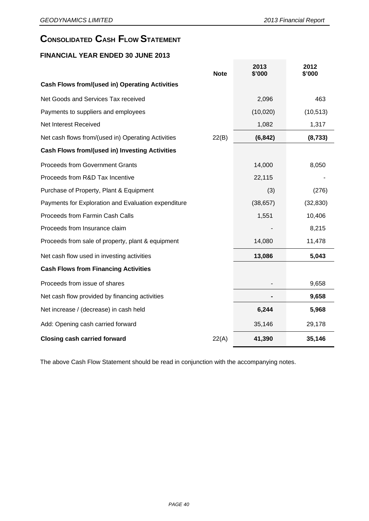# **CONSOLIDATED CASH FLOW STATEMENT**

## **FINANCIAL YEAR ENDED 30 JUNE 2013**

|                                                       | <b>Note</b> | 2013<br>\$'000 | 2012<br>\$'000 |
|-------------------------------------------------------|-------------|----------------|----------------|
| <b>Cash Flows from/(used in) Operating Activities</b> |             |                |                |
| Net Goods and Services Tax received                   |             | 2,096          | 463            |
| Payments to suppliers and employees                   |             | (10,020)       | (10, 513)      |
| Net Interest Received                                 |             | 1,082          | 1,317          |
| Net cash flows from/(used in) Operating Activities    | 22(B)       | (6, 842)       | (8, 733)       |
| <b>Cash Flows from/(used in) Investing Activities</b> |             |                |                |
| <b>Proceeds from Government Grants</b>                |             | 14,000         | 8,050          |
| Proceeds from R&D Tax Incentive                       |             | 22,115         |                |
| Purchase of Property, Plant & Equipment               |             | (3)            | (276)          |
| Payments for Exploration and Evaluation expenditure   |             | (38, 657)      | (32, 830)      |
| Proceeds from Farmin Cash Calls                       |             | 1,551          | 10,406         |
| Proceeds from Insurance claim                         |             |                | 8,215          |
| Proceeds from sale of property, plant & equipment     |             | 14,080         | 11,478         |
| Net cash flow used in investing activities            |             | 13,086         | 5,043          |
| <b>Cash Flows from Financing Activities</b>           |             |                |                |
| Proceeds from issue of shares                         |             |                | 9,658          |
| Net cash flow provided by financing activities        |             |                | 9,658          |
| Net increase / (decrease) in cash held                |             | 6,244          | 5,968          |
| Add: Opening cash carried forward                     |             | 35,146         | 29,178         |
| <b>Closing cash carried forward</b>                   | 22(A)       | 41,390         | 35,146         |

The above Cash Flow Statement should be read in conjunction with the accompanying notes.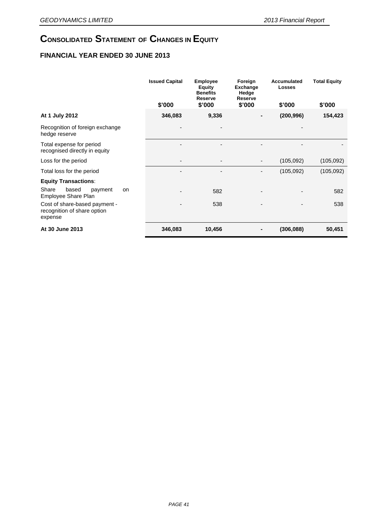# **CONSOLIDATED STATEMENT OF CHANGES IN EQUITY**

## **FINANCIAL YEAR ENDED 30 JUNE 2013**

|                                                                         | <b>Issued Capital</b> | <b>Employee</b><br><b>Equity</b><br><b>Benefits</b><br><b>Reserve</b> | Foreign<br>Exchange<br>Hedge<br><b>Reserve</b> | Accumulated<br><b>Losses</b> | <b>Total Equity</b> |
|-------------------------------------------------------------------------|-----------------------|-----------------------------------------------------------------------|------------------------------------------------|------------------------------|---------------------|
|                                                                         | \$'000                | \$'000                                                                | \$'000                                         | \$'000                       | \$'000              |
| At 1 July 2012                                                          | 346,083               | 9,336                                                                 |                                                | (200, 996)                   | 154,423             |
| Recognition of foreign exchange<br>hedge reserve                        |                       |                                                                       |                                                |                              |                     |
| Total expense for period<br>recognised directly in equity               |                       |                                                                       |                                                |                              |                     |
| Loss for the period                                                     |                       |                                                                       |                                                | (105,092)                    | (105, 092)          |
| Total loss for the period                                               |                       |                                                                       | -                                              | (105,092)                    | (105,092)           |
| <b>Equity Transactions:</b>                                             |                       |                                                                       |                                                |                              |                     |
| Share<br>based<br>payment<br><b>on</b><br>Employee Share Plan           |                       | 582                                                                   |                                                |                              | 582                 |
| Cost of share-based payment -<br>recognition of share option<br>expense |                       | 538                                                                   |                                                |                              | 538                 |
| At 30 June 2013                                                         | 346,083               | 10,456                                                                |                                                | (306, 088)                   | 50,451              |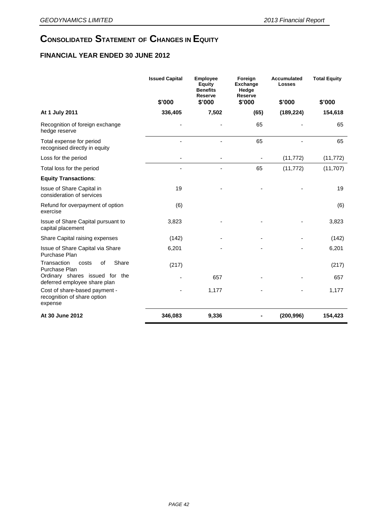# **CONSOLIDATED STATEMENT OF CHANGES IN EQUITY**

## **FINANCIAL YEAR ENDED 30 JUNE 2012**

|                                                                         | <b>Issued Capital</b> | <b>Employee</b><br><b>Equity</b><br><b>Benefits</b><br>Reserve | Foreign<br><b>Exchange</b><br>Hedge<br>Reserve | <b>Accumulated</b><br><b>Losses</b> | <b>Total Equity</b> |
|-------------------------------------------------------------------------|-----------------------|----------------------------------------------------------------|------------------------------------------------|-------------------------------------|---------------------|
|                                                                         | \$'000                | \$'000                                                         | \$'000                                         | \$'000                              | \$'000              |
| At 1 July 2011                                                          | 336,405               | 7,502                                                          | (65)                                           | (189, 224)                          | 154,618             |
| Recognition of foreign exchange<br>hedge reserve                        |                       |                                                                | 65                                             |                                     | 65                  |
| Total expense for period<br>recognised directly in equity               |                       |                                                                | 65                                             |                                     | 65                  |
| Loss for the period                                                     |                       |                                                                |                                                | (11, 772)                           | (11, 772)           |
| Total loss for the period                                               |                       |                                                                | 65                                             | (11, 772)                           | (11, 707)           |
| <b>Equity Transactions:</b>                                             |                       |                                                                |                                                |                                     |                     |
| Issue of Share Capital in<br>consideration of services                  | 19                    |                                                                |                                                |                                     | 19                  |
| Refund for overpayment of option<br>exercise                            | (6)                   |                                                                |                                                |                                     | (6)                 |
| Issue of Share Capital pursuant to<br>capital placement                 | 3,823                 |                                                                |                                                |                                     | 3,823               |
| Share Capital raising expenses                                          | (142)                 |                                                                |                                                |                                     | (142)               |
| Issue of Share Capital via Share<br>Purchase Plan                       | 6,201                 |                                                                |                                                |                                     | 6,201               |
| Transaction<br>Share<br>0f<br>costs<br>Purchase Plan                    | (217)                 |                                                                |                                                |                                     | (217)               |
| Ordinary shares issued for the<br>deferred employee share plan          |                       | 657                                                            |                                                |                                     | 657                 |
| Cost of share-based payment -<br>recognition of share option<br>expense |                       | 1,177                                                          |                                                |                                     | 1,177               |
| At 30 June 2012                                                         | 346,083               | 9,336                                                          |                                                | (200, 996)                          | 154,423             |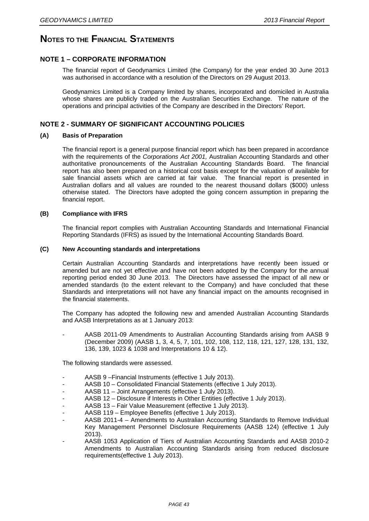## **NOTES TO THE FINANCIAL STATEMENTS**

## **NOTE 1 – CORPORATE INFORMATION**

The financial report of Geodynamics Limited (the Company) for the year ended 30 June 2013 was authorised in accordance with a resolution of the Directors on 29 August 2013.

Geodynamics Limited is a Company limited by shares, incorporated and domiciled in Australia whose shares are publicly traded on the Australian Securities Exchange. The nature of the operations and principal activities of the Company are described in the Directors' Report.

## **NOTE 2 - SUMMARY OF SIGNIFICANT ACCOUNTING POLICIES**

## **(A) Basis of Preparation**

The financial report is a general purpose financial report which has been prepared in accordance with the requirements of the *Corporations Act 2001,* Australian Accounting Standards and other authoritative pronouncements of the Australian Accounting Standards Board. The financial report has also been prepared on a historical cost basis except for the valuation of available for sale financial assets which are carried at fair value. The financial report is presented in Australian dollars and all values are rounded to the nearest thousand dollars (\$000) unless otherwise stated. The Directors have adopted the going concern assumption in preparing the financial report.

## **(B) Compliance with IFRS**

The financial report complies with Australian Accounting Standards and International Financial Reporting Standards (IFRS) as issued by the International Accounting Standards Board.

## **(C) New Accounting standards and interpretations**

Certain Australian Accounting Standards and interpretations have recently been issued or amended but are not yet effective and have not been adopted by the Company for the annual reporting period ended 30 June 2013. The Directors have assessed the impact of all new or amended standards (to the extent relevant to the Company) and have concluded that these Standards and interpretations will not have any financial impact on the amounts recognised in the financial statements.

The Company has adopted the following new and amended Australian Accounting Standards and AASB Interpretations as at 1 January 2013:

AASB 2011-09 Amendments to Australian Accounting Standards arising from AASB 9 (December 2009) (AASB 1, 3, 4, 5, 7, 101, 102, 108, 112, 118, 121, 127, 128, 131, 132, 136, 139, 1023 & 1038 and Interpretations 10 & 12).

The following standards were assessed.

- AASB 9 Financial Instruments (effective 1 July 2013).
- AASB 10 Consolidated Financial Statements (effective 1 July 2013).
- AASB 11 Joint Arrangements (effective 1 July 2013).
- AASB 12 Disclosure if Interests in Other Entities (effective 1 July 2013).
- AASB 13 Fair Value Measurement (effective 1 July 2013).
- AASB 119 Employee Benefits (effective 1 July 2013).
- AASB 2011-4 Amendments to Australian Accounting Standards to Remove Individual Key Management Personnel Disclosure Requirements (AASB 124) (effective 1 July 2013).
- AASB 1053 Application of Tiers of Australian Accounting Standards and AASB 2010-2 Amendments to Australian Accounting Standards arising from reduced disclosure requirements(effective 1 July 2013).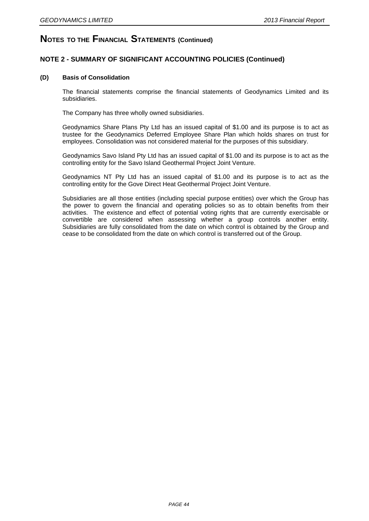## **NOTE 2 - SUMMARY OF SIGNIFICANT ACCOUNTING POLICIES (Continued)**

## **(D) Basis of Consolidation**

The financial statements comprise the financial statements of Geodynamics Limited and its subsidiaries.

The Company has three wholly owned subsidiaries.

Geodynamics Share Plans Pty Ltd has an issued capital of \$1.00 and its purpose is to act as trustee for the Geodynamics Deferred Employee Share Plan which holds shares on trust for employees. Consolidation was not considered material for the purposes of this subsidiary.

Geodynamics Savo Island Pty Ltd has an issued capital of \$1.00 and its purpose is to act as the controlling entity for the Savo Island Geothermal Project Joint Venture.

Geodynamics NT Pty Ltd has an issued capital of \$1.00 and its purpose is to act as the controlling entity for the Gove Direct Heat Geothermal Project Joint Venture.

Subsidiaries are all those entities (including special purpose entities) over which the Group has the power to govern the financial and operating policies so as to obtain benefits from their activities. The existence and effect of potential voting rights that are currently exercisable or convertible are considered when assessing whether a group controls another entity. Subsidiaries are fully consolidated from the date on which control is obtained by the Group and cease to be consolidated from the date on which control is transferred out of the Group.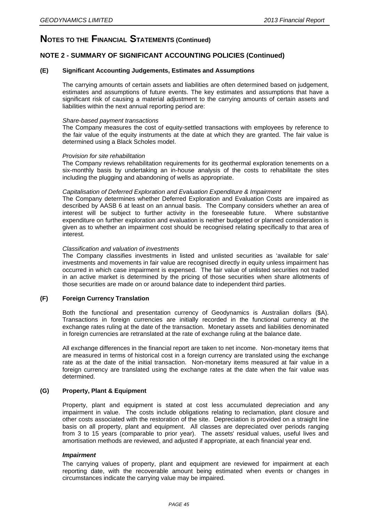## **NOTE 2 - SUMMARY OF SIGNIFICANT ACCOUNTING POLICIES (Continued)**

### **(E) Significant Accounting Judgements, Estimates and Assumptions**

The carrying amounts of certain assets and liabilities are often determined based on judgement, estimates and assumptions of future events. The key estimates and assumptions that have a significant risk of causing a material adjustment to the carrying amounts of certain assets and liabilities within the next annual reporting period are:

#### *Share-based payment transactions*

The Company measures the cost of equity-settled transactions with employees by reference to the fair value of the equity instruments at the date at which they are granted. The fair value is determined using a Black Scholes model.

### *Provision for site rehabilitation*

The Company reviews rehabilitation requirements for its geothermal exploration tenements on a six-monthly basis by undertaking an in-house analysis of the costs to rehabilitate the sites including the plugging and abandoning of wells as appropriate.

### *Capitalisation of Deferred Exploration and Evaluation Expenditure & Impairment*

The Company determines whether Deferred Exploration and Evaluation Costs are impaired as described by AASB 6 at least on an annual basis. The Company considers whether an area of interest will be subject to further activity in the foreseeable future. Where substantive expenditure on further exploration and evaluation is neither budgeted or planned consideration is given as to whether an impairment cost should be recognised relating specifically to that area of interest.

### *Classification and valuation of investments*

The Company classifies investments in listed and unlisted securities as 'available for sale' investments and movements in fair value are recognised directly in equity unless impairment has occurred in which case impairment is expensed. The fair value of unlisted securities not traded in an active market is determined by the pricing of those securities when share allotments of those securities are made on or around balance date to independent third parties.

## **(F) Foreign Currency Translation**

Both the functional and presentation currency of Geodynamics is Australian dollars (\$A). Transactions in foreign currencies are initially recorded in the functional currency at the exchange rates ruling at the date of the transaction. Monetary assets and liabilities denominated in foreign currencies are retranslated at the rate of exchange ruling at the balance date.

All exchange differences in the financial report are taken to net income. Non-monetary items that are measured in terms of historical cost in a foreign currency are translated using the exchange rate as at the date of the initial transaction. Non-monetary items measured at fair value in a foreign currency are translated using the exchange rates at the date when the fair value was determined.

#### **(G) Property, Plant & Equipment**

Property, plant and equipment is stated at cost less accumulated depreciation and any impairment in value. The costs include obligations relating to reclamation, plant closure and other costs associated with the restoration of the site. Depreciation is provided on a straight line basis on all property, plant and equipment. All classes are depreciated over periods ranging from 3 to 15 years (comparable to prior year). The assets' residual values, useful lives and amortisation methods are reviewed, and adjusted if appropriate, at each financial year end.

#### *Impairment*

The carrying values of property, plant and equipment are reviewed for impairment at each reporting date, with the recoverable amount being estimated when events or changes in circumstances indicate the carrying value may be impaired.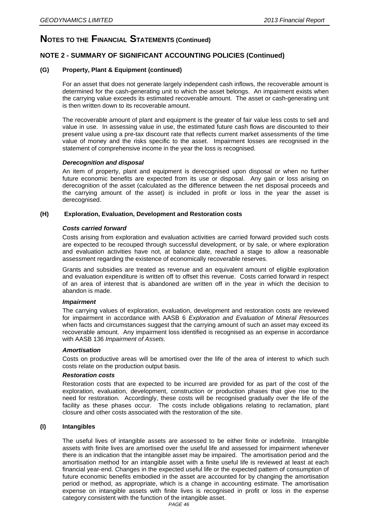## **NOTE 2 - SUMMARY OF SIGNIFICANT ACCOUNTING POLICIES (Continued)**

## **(G) Property, Plant & Equipment (continued)**

For an asset that does not generate largely independent cash inflows, the recoverable amount is determined for the cash-generating unit to which the asset belongs. An impairment exists when the carrying value exceeds its estimated recoverable amount. The asset or cash-generating unit is then written down to its recoverable amount.

The recoverable amount of plant and equipment is the greater of fair value less costs to sell and value in use. In assessing value in use, the estimated future cash flows are discounted to their present value using a pre-tax discount rate that reflects current market assessments of the time value of money and the risks specific to the asset. Impairment losses are recognised in the statement of comprehensive income in the year the loss is recognised.

## *Derecognition and disposal*

An item of property, plant and equipment is derecognised upon disposal or when no further future economic benefits are expected from its use or disposal. Any gain or loss arising on derecognition of the asset (calculated as the difference between the net disposal proceeds and the carrying amount of the asset) is included in profit or loss in the year the asset is derecognised.

### **(H) Exploration, Evaluation, Development and Restoration costs**

### *Costs carried forward*

Costs arising from exploration and evaluation activities are carried forward provided such costs are expected to be recouped through successful development, or by sale, or where exploration and evaluation activities have not, at balance date, reached a stage to allow a reasonable assessment regarding the existence of economically recoverable reserves.

Grants and subsidies are treated as revenue and an equivalent amount of eligible exploration and evaluation expenditure is written off to offset this revenue. Costs carried forward in respect of an area of interest that is abandoned are written off in the year in which the decision to abandon is made.

#### *Impairment*

The carrying values of exploration, evaluation, development and restoration costs are reviewed for impairment in accordance with AASB 6 *Exploration and Evaluation of Mineral Resources*  when facts and circumstances suggest that the carrying amount of such an asset may exceed its recoverable amount. Any impairment loss identified is recognised as an expense in accordance with AASB 136 *Impairment of Assets*.

#### *Amortisation*

Costs on productive areas will be amortised over the life of the area of interest to which such costs relate on the production output basis.

#### *Restoration costs*

Restoration costs that are expected to be incurred are provided for as part of the cost of the exploration, evaluation, development, construction or production phases that give rise to the need for restoration. Accordingly, these costs will be recognised gradually over the life of the facility as these phases occur. The costs include obligations relating to reclamation, plant closure and other costs associated with the restoration of the site.

## **(I) Intangibles**

The useful lives of intangible assets are assessed to be either finite or indefinite. Intangible assets with finite lives are amortised over the useful life and assessed for impairment whenever there is an indication that the intangible asset may be impaired. The amortisation period and the amortisation method for an intangible asset with a finite useful life is reviewed at least at each financial year-end. Changes in the expected useful life or the expected pattern of consumption of future economic benefits embodied in the asset are accounted for by changing the amortisation period or method, as appropriate, which is a change in accounting estimate. The amortisation expense on intangible assets with finite lives is recognised in profit or loss in the expense category consistent with the function of the intangible asset.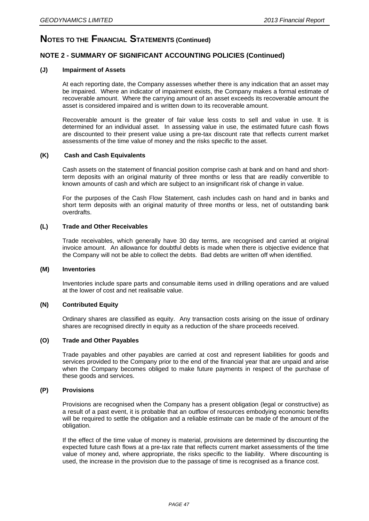## **NOTE 2 - SUMMARY OF SIGNIFICANT ACCOUNTING POLICIES (Continued)**

### **(J) Impairment of Assets**

At each reporting date, the Company assesses whether there is any indication that an asset may be impaired. Where an indicator of impairment exists, the Company makes a formal estimate of recoverable amount. Where the carrying amount of an asset exceeds its recoverable amount the asset is considered impaired and is written down to its recoverable amount.

Recoverable amount is the greater of fair value less costs to sell and value in use. It is determined for an individual asset. In assessing value in use, the estimated future cash flows are discounted to their present value using a pre-tax discount rate that reflects current market assessments of the time value of money and the risks specific to the asset.

### **(K) Cash and Cash Equivalents**

Cash assets on the statement of financial position comprise cash at bank and on hand and shortterm deposits with an original maturity of three months or less that are readily convertible to known amounts of cash and which are subject to an insignificant risk of change in value.

For the purposes of the Cash Flow Statement, cash includes cash on hand and in banks and short term deposits with an original maturity of three months or less, net of outstanding bank overdrafts.

### **(L) Trade and Other Receivables**

Trade receivables, which generally have 30 day terms, are recognised and carried at original invoice amount. An allowance for doubtful debts is made when there is objective evidence that the Company will not be able to collect the debts. Bad debts are written off when identified.

#### **(M) Inventories**

Inventories include spare parts and consumable items used in drilling operations and are valued at the lower of cost and net realisable value.

## **(N) Contributed Equity**

Ordinary shares are classified as equity. Any transaction costs arising on the issue of ordinary shares are recognised directly in equity as a reduction of the share proceeds received.

#### **(O) Trade and Other Payables**

Trade payables and other payables are carried at cost and represent liabilities for goods and services provided to the Company prior to the end of the financial year that are unpaid and arise when the Company becomes obliged to make future payments in respect of the purchase of these goods and services.

#### **(P) Provisions**

Provisions are recognised when the Company has a present obligation (legal or constructive) as a result of a past event, it is probable that an outflow of resources embodying economic benefits will be required to settle the obligation and a reliable estimate can be made of the amount of the obligation.

If the effect of the time value of money is material, provisions are determined by discounting the expected future cash flows at a pre-tax rate that reflects current market assessments of the time value of money and, where appropriate, the risks specific to the liability. Where discounting is used, the increase in the provision due to the passage of time is recognised as a finance cost.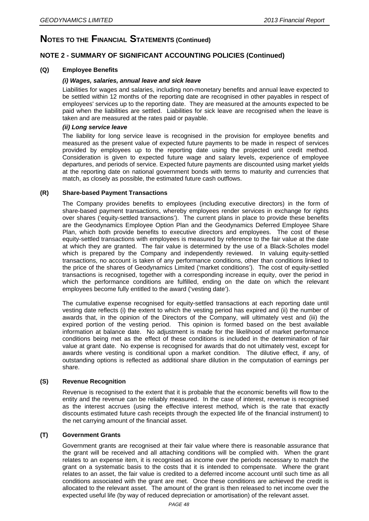## **NOTE 2 - SUMMARY OF SIGNIFICANT ACCOUNTING POLICIES (Continued)**

## **(Q) Employee Benefits**

## *(i) Wages, salaries, annual leave and sick leave*

Liabilities for wages and salaries, including non-monetary benefits and annual leave expected to be settled within 12 months of the reporting date are recognised in other payables in respect of employees' services up to the reporting date. They are measured at the amounts expected to be paid when the liabilities are settled. Liabilities for sick leave are recognised when the leave is taken and are measured at the rates paid or payable.

### *(ii) Long service leave*

The liability for long service leave is recognised in the provision for employee benefits and measured as the present value of expected future payments to be made in respect of services provided by employees up to the reporting date using the projected unit credit method. Consideration is given to expected future wage and salary levels, experience of employee departures, and periods of service. Expected future payments are discounted using market yields at the reporting date on national government bonds with terms to maturity and currencies that match, as closely as possible, the estimated future cash outflows.

### **(R) Share-based Payment Transactions**

The Company provides benefits to employees (including executive directors) in the form of share-based payment transactions, whereby employees render services in exchange for rights over shares ('equity-settled transactions'). The current plans in place to provide these benefits are the Geodynamics Employee Option Plan and the Geodynamics Deferred Employee Share Plan, which both provide benefits to executive directors and employees. The cost of these equity-settled transactions with employees is measured by reference to the fair value at the date at which they are granted. The fair value is determined by the use of a Black-Scholes model which is prepared by the Company and independently reviewed. In valuing equity-settled transactions, no account is taken of any performance conditions, other than conditions linked to the price of the shares of Geodynamics Limited ('market conditions'). The cost of equity-settled transactions is recognised, together with a corresponding increase in equity, over the period in which the performance conditions are fulfilled, ending on the date on which the relevant employees become fully entitled to the award ('vesting date').

The cumulative expense recognised for equity-settled transactions at each reporting date until vesting date reflects (i) the extent to which the vesting period has expired and (ii) the number of awards that, in the opinion of the Directors of the Company, will ultimately vest and (iii) the expired portion of the vesting period. This opinion is formed based on the best available information at balance date. No adjustment is made for the likelihood of market performance conditions being met as the effect of these conditions is included in the determination of fair value at grant date. No expense is recognised for awards that do not ultimately vest, except for awards where vesting is conditional upon a market condition. The dilutive effect, if any, of outstanding options is reflected as additional share dilution in the computation of earnings per share.

## **(S) Revenue Recognition**

Revenue is recognised to the extent that it is probable that the economic benefits will flow to the entity and the revenue can be reliably measured. In the case of interest, revenue is recognised as the interest accrues (using the effective interest method, which is the rate that exactly discounts estimated future cash receipts through the expected life of the financial instrument) to the net carrying amount of the financial asset.

## **(T) Government Grants**

Government grants are recognised at their fair value where there is reasonable assurance that the grant will be received and all attaching conditions will be complied with. When the grant relates to an expense item, it is recognised as income over the periods necessary to match the grant on a systematic basis to the costs that it is intended to compensate. Where the grant relates to an asset, the fair value is credited to a deferred income account until such time as all conditions associated with the grant are met. Once these conditions are achieved the credit is allocated to the relevant asset. The amount of the grant is then released to net income over the expected useful life (by way of reduced depreciation or amortisation) of the relevant asset.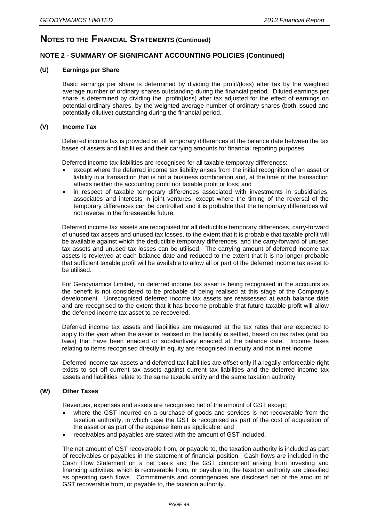## **NOTE 2 - SUMMARY OF SIGNIFICANT ACCOUNTING POLICIES (Continued)**

### **(U) Earnings per Share**

Basic earnings per share is determined by dividing the profit/(loss) after tax by the weighted average number of ordinary shares outstanding during the financial period. Diluted earnings per share is determined by dividing the profit/(loss) after tax adjusted for the effect of earnings on potential ordinary shares, by the weighted average number of ordinary shares (both issued and potentially dilutive) outstanding during the financial period.

### **(V) Income Tax**

Deferred income tax is provided on all temporary differences at the balance date between the tax bases of assets and liabilities and their carrying amounts for financial reporting purposes.

Deferred income tax liabilities are recognised for all taxable temporary differences:

- except where the deferred income tax liability arises from the initial recognition of an asset or liability in a transaction that is not a business combination and, at the time of the transaction affects neither the accounting profit nor taxable profit or loss; and
- in respect of taxable temporary differences associated with investments in subsidiaries, associates and interests in joint ventures, except where the timing of the reversal of the temporary differences can be controlled and it is probable that the temporary differences will not reverse in the foreseeable future.

Deferred income tax assets are recognised for all deductible temporary differences, carry-forward of unused tax assets and unused tax losses, to the extent that it is probable that taxable profit will be available against which the deductible temporary differences, and the carry-forward of unused tax assets and unused tax losses can be utilised. The carrying amount of deferred income tax assets is reviewed at each balance date and reduced to the extent that it is no longer probable that sufficient taxable profit will be available to allow all or part of the deferred income tax asset to be utilised.

For Geodynamics Limited, no deferred income tax asset is being recognised in the accounts as the benefit is not considered to be probable of being realised at this stage of the Company's development. Unrecognised deferred income tax assets are reassessed at each balance date and are recognised to the extent that it has become probable that future taxable profit will allow the deferred income tax asset to be recovered.

Deferred income tax assets and liabilities are measured at the tax rates that are expected to apply to the year when the asset is realised or the liability is settled, based on tax rates (and tax laws) that have been enacted or substantively enacted at the balance date. Income taxes relating to items recognised directly in equity are recognised in equity and not in net income.

Deferred income tax assets and deferred tax liabilities are offset only if a legally enforceable right exists to set off current tax assets against current tax liabilities and the deferred income tax assets and liabilities relate to the same taxable entity and the same taxation authority.

#### **(W) Other Taxes**

Revenues, expenses and assets are recognised net of the amount of GST except:

- where the GST incurred on a purchase of goods and services is not recoverable from the taxation authority, in which case the GST is recognised as part of the cost of acquisition of the asset or as part of the expense item as applicable; and
- receivables and payables are stated with the amount of GST included.

The net amount of GST recoverable from, or payable to, the taxation authority is included as part of receivables or payables in the statement of financial position. Cash flows are included in the Cash Flow Statement on a net basis and the GST component arising from investing and financing activities, which is recoverable from, or payable to, the taxation authority are classified as operating cash flows. Commitments and contingencies are disclosed net of the amount of GST recoverable from, or payable to, the taxation authority.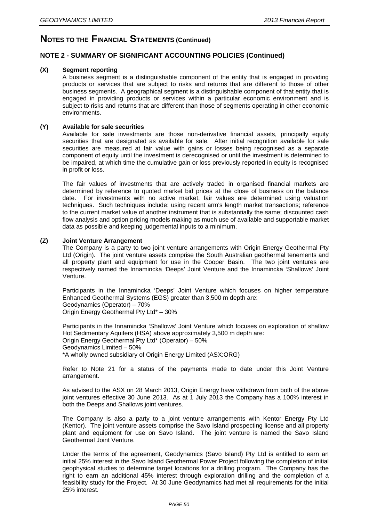## **NOTE 2 - SUMMARY OF SIGNIFICANT ACCOUNTING POLICIES (Continued)**

### **(X) Segment reporting**

A business segment is a distinguishable component of the entity that is engaged in providing products or services that are subject to risks and returns that are different to those of other business segments. A geographical segment is a distinguishable component of that entity that is engaged in providing products or services within a particular economic environment and is subject to risks and returns that are different than those of segments operating in other economic environments.

### **(Y) Available for sale securities**

Available for sale investments are those non-derivative financial assets, principally equity securities that are designated as available for sale. After initial recognition available for sale securities are measured at fair value with gains or losses being recognised as a separate component of equity until the investment is derecognised or until the investment is determined to be impaired, at which time the cumulative gain or loss previously reported in equity is recognised in profit or loss.

The fair values of investments that are actively traded in organised financial markets are determined by reference to quoted market bid prices at the close of business on the balance date. For investments with no active market, fair values are determined using valuation techniques. Such techniques include: using recent arm's length market transactions; reference to the current market value of another instrument that is substantially the same; discounted cash flow analysis and option pricing models making as much use of available and supportable market data as possible and keeping judgemental inputs to a minimum.

### **(Z) Joint Venture Arrangement**

The Company is a party to two joint venture arrangements with Origin Energy Geothermal Pty Ltd (Origin). The joint venture assets comprise the South Australian geothermal tenements and all property plant and equipment for use in the Cooper Basin. The two joint ventures are respectively named the Innamincka 'Deeps' Joint Venture and the Innamincka 'Shallows' Joint Venture.

Participants in the Innamincka 'Deeps' Joint Venture which focuses on higher temperature Enhanced Geothermal Systems (EGS) greater than 3,500 m depth are: Geodynamics (Operator) – 70%

Origin Energy Geothermal Pty Ltd\* – 30%

Participants in the Innamincka 'Shallows' Joint Venture which focuses on exploration of shallow Hot Sedimentary Aquifers (HSA) above approximately 3,500 m depth are: Origin Energy Geothermal Pty Ltd\* (Operator) – 50% Geodynamics Limited – 50% \*A wholly owned subsidiary of Origin Energy Limited (ASX:ORG)

Refer to Note 21 for a status of the payments made to date under this Joint Venture arrangement.

As advised to the ASX on 28 March 2013, Origin Energy have withdrawn from both of the above joint ventures effective 30 June 2013. As at 1 July 2013 the Company has a 100% interest in both the Deeps and Shallows joint ventures.

The Company is also a party to a joint venture arrangements with Kentor Energy Pty Ltd (Kentor). The joint venture assets comprise the Savo Island prospecting license and all property plant and equipment for use on Savo Island. The joint venture is named the Savo Island Geothermal Joint Venture.

Under the terms of the agreement, Geodynamics (Savo Island) Pty Ltd is entitled to earn an initial 25% interest in the Savo Island Geothermal Power Project following the completion of initial geophysical studies to determine target locations for a drilling program. The Company has the right to earn an additional 45% interest through exploration drilling and the completion of a feasibility study for the Project. At 30 June Geodynamics had met all requirements for the initial 25% interest.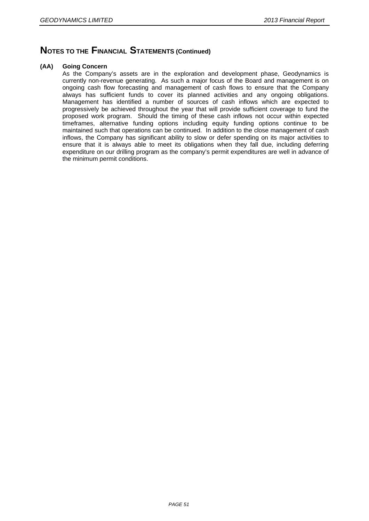## **(AA) Going Concern**

As the Company's assets are in the exploration and development phase, Geodynamics is currently non-revenue generating. As such a major focus of the Board and management is on ongoing cash flow forecasting and management of cash flows to ensure that the Company always has sufficient funds to cover its planned activities and any ongoing obligations. Management has identified a number of sources of cash inflows which are expected to progressively be achieved throughout the year that will provide sufficient coverage to fund the proposed work program. Should the timing of these cash inflows not occur within expected timeframes, alternative funding options including equity funding options continue to be maintained such that operations can be continued. In addition to the close management of cash inflows, the Company has significant ability to slow or defer spending on its major activities to ensure that it is always able to meet its obligations when they fall due, including deferring expenditure on our drilling program as the company's permit expenditures are well in advance of the minimum permit conditions.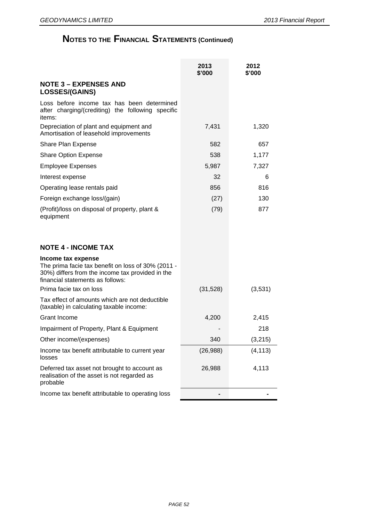|                                                                                                                                                                  | 2013<br>\$'000 | 2012<br>\$'000 |
|------------------------------------------------------------------------------------------------------------------------------------------------------------------|----------------|----------------|
| <b>NOTE 3 - EXPENSES AND</b><br><b>LOSSES/(GAINS)</b>                                                                                                            |                |                |
| Loss before income tax has been determined<br>after charging/(crediting) the following specific<br><i>items:</i>                                                 |                |                |
| Depreciation of plant and equipment and<br>Amortisation of leasehold improvements                                                                                | 7,431          | 1,320          |
| Share Plan Expense                                                                                                                                               | 582            | 657            |
| <b>Share Option Expense</b>                                                                                                                                      | 538            | 1,177          |
| <b>Employee Expenses</b>                                                                                                                                         | 5,987          | 7,327          |
| Interest expense                                                                                                                                                 | 32             | 6              |
| Operating lease rentals paid                                                                                                                                     | 856            | 816            |
| Foreign exchange loss/(gain)                                                                                                                                     | (27)           | 130            |
| (Profit)/loss on disposal of property, plant &<br>equipment                                                                                                      | (79)           | 877            |
|                                                                                                                                                                  |                |                |
| <b>NOTE 4 - INCOME TAX</b>                                                                                                                                       |                |                |
| Income tax expense<br>The prima facie tax benefit on loss of 30% (2011 -<br>30%) differs from the income tax provided in the<br>financial statements as follows: |                |                |
| Prima facie tax on loss                                                                                                                                          | (31, 528)      | (3,531)        |
| Tax effect of amounts which are not deductible<br>(taxable) in calculating taxable income:                                                                       |                |                |
| <b>Grant Income</b>                                                                                                                                              | 4,200          | 2,415          |
| Impairment of Property, Plant & Equipment                                                                                                                        |                | 218            |
| Other income/(expenses)                                                                                                                                          | 340            | (3,215)        |
| Income tax benefit attributable to current year<br>losses                                                                                                        | (26, 988)      | (4, 113)       |
| Deferred tax asset not brought to account as<br>realisation of the asset is not regarded as<br>probable                                                          | 26,988         | 4,113          |
| Income tax benefit attributable to operating loss                                                                                                                |                |                |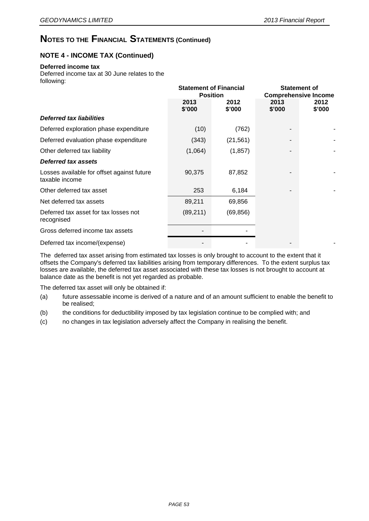## **NOTE 4 - INCOME TAX (Continued)**

### **Deferred income tax**

Deferred income tax at 30 June relates to the following:

|                                                              | <b>Statement of Financial</b><br><b>Position</b> |                | <b>Statement of</b><br><b>Comprehensive Income</b> |                |
|--------------------------------------------------------------|--------------------------------------------------|----------------|----------------------------------------------------|----------------|
|                                                              | 2013<br>\$'000                                   | 2012<br>\$'000 | 2013<br>\$'000                                     | 2012<br>\$'000 |
| Deferred tax liabilities                                     |                                                  |                |                                                    |                |
| Deferred exploration phase expenditure                       | (10)                                             | (762)          |                                                    |                |
| Deferred evaluation phase expenditure                        | (343)                                            | (21, 561)      |                                                    |                |
| Other deferred tax liability                                 | (1,064)                                          | (1, 857)       |                                                    |                |
| Deferred tax assets                                          |                                                  |                |                                                    |                |
| Losses available for offset against future<br>taxable income | 90,375                                           | 87,852         |                                                    |                |
| Other deferred tax asset                                     | 253                                              | 6,184          |                                                    |                |
| Net deferred tax assets                                      | 89,211                                           | 69,856         |                                                    |                |
| Deferred tax asset for tax losses not<br>recognised          | (89, 211)                                        | (69, 856)      |                                                    |                |
| Gross deferred income tax assets                             |                                                  |                |                                                    |                |
| Deferred tax income/(expense)                                |                                                  |                |                                                    |                |

The deferred tax asset arising from estimated tax losses is only brought to account to the extent that it offsets the Company's deferred tax liabilities arising from temporary differences. To the extent surplus tax losses are available, the deferred tax asset associated with these tax losses is not brought to account at balance date as the benefit is not yet regarded as probable.

The deferred tax asset will only be obtained if:

- (a) future assessable income is derived of a nature and of an amount sufficient to enable the benefit to be realised;
- (b) the conditions for deductibility imposed by tax legislation continue to be complied with; and
- (c) no changes in tax legislation adversely affect the Company in realising the benefit.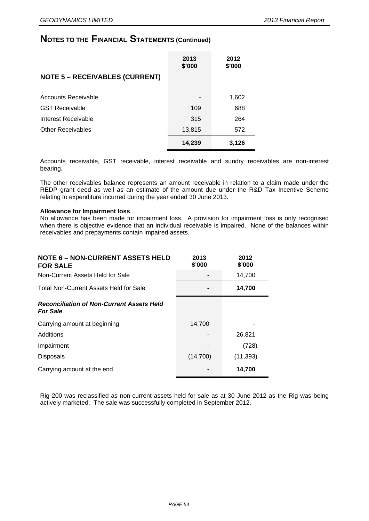|                                       | 2013<br>\$'000 | 2012<br>\$'000 |
|---------------------------------------|----------------|----------------|
| <b>NOTE 5 - RECEIVABLES (CURRENT)</b> |                |                |
| Accounts Receivable                   |                | 1,602          |
| <b>GST Receivable</b>                 | 109            | 688            |
| Interest Receivable                   | 315            | 264            |
| <b>Other Receivables</b>              | 13,815         | 572            |
|                                       | 14,239         | 3,126          |

Accounts receivable, GST receivable, interest receivable and sundry receivables are non-interest bearing.

The other receivables balance represents an amount receivable in relation to a claim made under the REDP grant deed as well as an estimate of the amount due under the R&D Tax Incentive Scheme relating to expenditure incurred during the year ended 30 June 2013.

### **Allowance for Impairment loss**.

No allowance has been made for impairment loss. A provision for impairment loss is only recognised when there is objective evidence that an individual receivable is impaired. None of the balances within receivables and prepayments contain impaired assets.

| <b>NOTE 6 - NON-CURRENT ASSETS HELD</b><br><b>FOR SALE</b>          | 2013<br>\$'000 | 2012<br>\$'000 |
|---------------------------------------------------------------------|----------------|----------------|
| Non-Current Assets Held for Sale                                    |                | 14,700         |
| <b>Total Non-Current Assets Held for Sale</b>                       |                | 14,700         |
| <b>Reconciliation of Non-Current Assets Held</b><br><b>For Sale</b> |                |                |
| Carrying amount at beginning                                        | 14,700         |                |
| Additions                                                           |                | 26,821         |
| Impairment                                                          |                | (728)          |
| <b>Disposals</b>                                                    | (14,700)       | (11, 393)      |
| Carrying amount at the end                                          |                | 14,700         |

Rig 200 was reclassified as non-current assets held for sale as at 30 June 2012 as the Rig was being actively marketed. The sale was successfully completed in September 2012.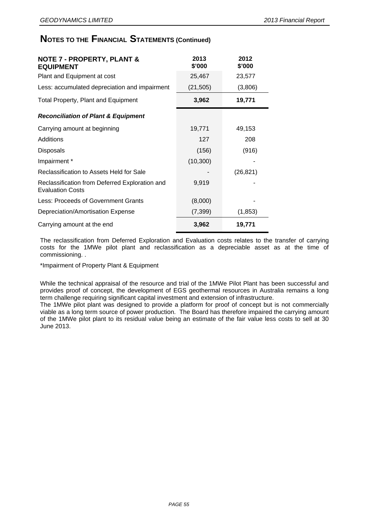| <b>NOTE 7 - PROPERTY, PLANT &amp;</b><br><b>EQUIPMENT</b>                 | 2013<br>\$'000 | 2012<br>\$'000 |
|---------------------------------------------------------------------------|----------------|----------------|
| Plant and Equipment at cost                                               | 25,467         | 23,577         |
| Less: accumulated depreciation and impairment                             | (21, 505)      | (3,806)        |
| Total Property, Plant and Equipment                                       | 3,962          | 19,771         |
| <b>Reconciliation of Plant &amp; Equipment</b>                            |                |                |
| Carrying amount at beginning                                              | 19,771         | 49,153         |
| Additions                                                                 | 127            | 208            |
| <b>Disposals</b>                                                          | (156)          | (916)          |
| Impairment *                                                              | (10, 300)      |                |
| Reclassification to Assets Held for Sale                                  |                | (26, 821)      |
| Reclassification from Deferred Exploration and<br><b>Evaluation Costs</b> | 9,919          |                |
| Less: Proceeds of Government Grants                                       | (8,000)        |                |
| Depreciation/Amortisation Expense                                         | (7, 399)       | (1, 853)       |
| Carrying amount at the end                                                | 3,962          | 19,771         |

The reclassification from Deferred Exploration and Evaluation costs relates to the transfer of carrying costs for the 1MWe pilot plant and reclassification as a depreciable asset as at the time of commissioning. .

\*Impairment of Property Plant & Equipment

While the technical appraisal of the resource and trial of the 1MWe Pilot Plant has been successful and provides proof of concept, the development of EGS geothermal resources in Australia remains a long term challenge requiring significant capital investment and extension of infrastructure.

The 1MWe pilot plant was designed to provide a platform for proof of concept but is not commercially viable as a long term source of power production. The Board has therefore impaired the carrying amount of the 1MWe pilot plant to its residual value being an estimate of the fair value less costs to sell at 30 June 2013.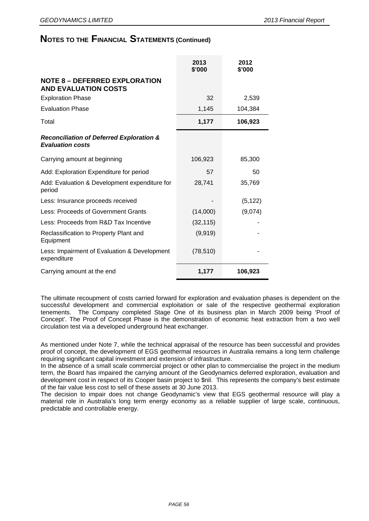|                                                                                | 2013<br>\$'000 | 2012<br>\$'000 |
|--------------------------------------------------------------------------------|----------------|----------------|
| <b>NOTE 8 - DEFERRED EXPLORATION</b><br><b>AND EVALUATION COSTS</b>            |                |                |
| <b>Exploration Phase</b>                                                       | 32             | 2,539          |
| <b>Evaluation Phase</b>                                                        | 1,145          | 104,384        |
| Total                                                                          | 1,177          | 106,923        |
| <b>Reconciliation of Deferred Exploration &amp;</b><br><b>Evaluation costs</b> |                |                |
| Carrying amount at beginning                                                   | 106,923        | 85,300         |
| Add: Exploration Expenditure for period                                        | 57             | 50             |
| Add: Evaluation & Development expenditure for<br>period                        | 28,741         | 35,769         |
| Less: Insurance proceeds received                                              |                | (5, 122)       |
| Less: Proceeds of Government Grants                                            | (14,000)       | (9,074)        |
| Less: Proceeds from R&D Tax Incentive                                          | (32, 115)      |                |
| Reclassification to Property Plant and<br>Equipment                            | (9,919)        |                |
| Less: Impairment of Evaluation & Development<br>expenditure                    | (78, 510)      |                |
| Carrying amount at the end                                                     | 1,177          | 106,923        |

The ultimate recoupment of costs carried forward for exploration and evaluation phases is dependent on the successful development and commercial exploitation or sale of the respective geothermal exploration tenements. The Company completed Stage One of its business plan in March 2009 being 'Proof of Concept'. The Proof of Concept Phase is the demonstration of economic heat extraction from a two well circulation test via a developed underground heat exchanger.

As mentioned under Note 7, while the technical appraisal of the resource has been successful and provides proof of concept, the development of EGS geothermal resources in Australia remains a long term challenge requiring significant capital investment and extension of infrastructure.

In the absence of a small scale commercial project or other plan to commercialise the project in the medium term, the Board has impaired the carrying amount of the Geodynamics deferred exploration, evaluation and development cost in respect of its Cooper basin project to \$nil. This represents the company's best estimate of the fair value less cost to sell of these assets at 30 June 2013.

The decision to impair does not change Geodynamic's view that EGS geothermal resource will play a material role in Australia's long term energy economy as a reliable supplier of large scale, continuous, predictable and controllable energy.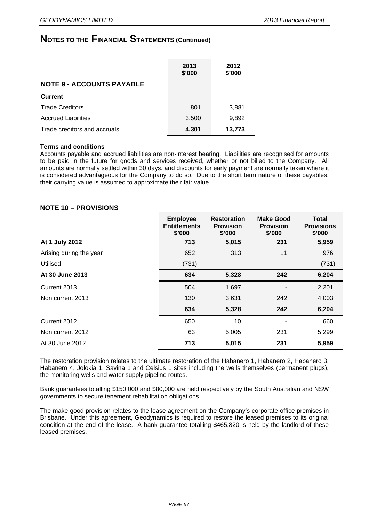|                                  | 2013<br>\$'000 | 2012<br>\$'000 |
|----------------------------------|----------------|----------------|
| <b>NOTE 9 - ACCOUNTS PAYABLE</b> |                |                |
| <b>Current</b>                   |                |                |
| <b>Trade Creditors</b>           | 801            | 3,881          |
| <b>Accrued Liabilities</b>       | 3,500          | 9,892          |
| Trade creditors and accruals     | 4,301          | 13,773         |

#### **Terms and conditions**

Accounts payable and accrued liabilities are non-interest bearing. Liabilities are recognised for amounts to be paid in the future for goods and services received, whether or not billed to the Company. All amounts are normally settled within 30 days, and discounts for early payment are normally taken where it is considered advantageous for the Company to do so. Due to the short term nature of these payables, their carrying value is assumed to approximate their fair value.

## **NOTE 10 – PROVISIONS**

|                         | <b>Employee</b><br><b>Entitlements</b><br>\$'000 | <b>Restoration</b><br><b>Provision</b><br>\$'000 | <b>Make Good</b><br><b>Provision</b><br>\$'000 | <b>Total</b><br><b>Provisions</b><br>\$'000 |
|-------------------------|--------------------------------------------------|--------------------------------------------------|------------------------------------------------|---------------------------------------------|
| At 1 July 2012          | 713                                              | 5,015                                            | 231                                            | 5,959                                       |
| Arising during the year | 652                                              | 313                                              | 11                                             | 976                                         |
| <b>Utilised</b>         | (731)                                            |                                                  |                                                | (731)                                       |
| At 30 June 2013         | 634                                              | 5,328                                            | 242                                            | 6,204                                       |
| Current 2013            | 504                                              | 1,697                                            |                                                | 2,201                                       |
| Non current 2013        | 130                                              | 3,631                                            | 242                                            | 4,003                                       |
|                         | 634                                              | 5,328                                            | 242                                            | 6,204                                       |
| Current 2012            | 650                                              | 10                                               |                                                | 660                                         |
| Non current 2012        | 63                                               | 5,005                                            | 231                                            | 5,299                                       |
| At 30 June 2012         | 713                                              | 5,015                                            | 231                                            | 5,959                                       |

The restoration provision relates to the ultimate restoration of the Habanero 1, Habanero 2, Habanero 3, Habanero 4, Jolokia 1, Savina 1 and Celsius 1 sites including the wells themselves (permanent plugs), the monitoring wells and water supply pipeline routes.

Bank guarantees totalling \$150,000 and \$80,000 are held respectively by the South Australian and NSW governments to secure tenement rehabilitation obligations.

The make good provision relates to the lease agreement on the Company's corporate office premises in Brisbane. Under this agreement, Geodynamics is required to restore the leased premises to its original condition at the end of the lease. A bank guarantee totalling \$465,820 is held by the landlord of these leased premises.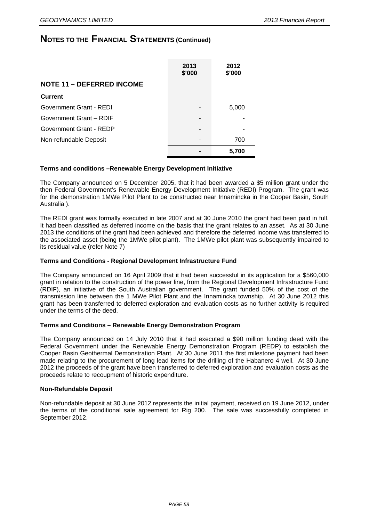|                                  | 2013<br>\$'000 | 2012<br>\$'000 |
|----------------------------------|----------------|----------------|
| <b>NOTE 11 - DEFERRED INCOME</b> |                |                |
| <b>Current</b>                   |                |                |
| Government Grant - REDI          |                | 5,000          |
| Government Grant - RDIF          |                |                |
| Government Grant - REDP          |                |                |
| Non-refundable Deposit           |                | 700            |
|                                  |                | 5.700          |

### **Terms and conditions –Renewable Energy Development Initiative**

The Company announced on 5 December 2005, that it had been awarded a \$5 million grant under the then Federal Government's Renewable Energy Development Initiative (REDI) Program. The grant was for the demonstration 1MWe Pilot Plant to be constructed near Innamincka in the Cooper Basin, South Australia ).

The REDI grant was formally executed in late 2007 and at 30 June 2010 the grant had been paid in full. It had been classified as deferred income on the basis that the grant relates to an asset. As at 30 June 2013 the conditions of the grant had been achieved and therefore the deferred income was transferred to the associated asset (being the 1MWe pilot plant). The 1MWe pilot plant was subsequently impaired to its residual value (refer Note 7)

#### **Terms and Conditions - Regional Development Infrastructure Fund**

The Company announced on 16 April 2009 that it had been successful in its application for a \$560,000 grant in relation to the construction of the power line, from the Regional Development Infrastructure Fund (RDIF), an initiative of the South Australian government. The grant funded 50% of the cost of the transmission line between the 1 MWe Pilot Plant and the Innamincka township. At 30 June 2012 this grant has been transferred to deferred exploration and evaluation costs as no further activity is required under the terms of the deed.

#### **Terms and Conditions – Renewable Energy Demonstration Program**

The Company announced on 14 July 2010 that it had executed a \$90 million funding deed with the Federal Government under the Renewable Energy Demonstration Program (REDP) to establish the Cooper Basin Geothermal Demonstration Plant. At 30 June 2011 the first milestone payment had been made relating to the procurement of long lead items for the drilling of the Habanero 4 well. At 30 June 2012 the proceeds of the grant have been transferred to deferred exploration and evaluation costs as the proceeds relate to recoupment of historic expenditure.

#### **Non-Refundable Deposit**

Non-refundable deposit at 30 June 2012 represents the initial payment, received on 19 June 2012, under the terms of the conditional sale agreement for Rig 200. The sale was successfully completed in September 2012.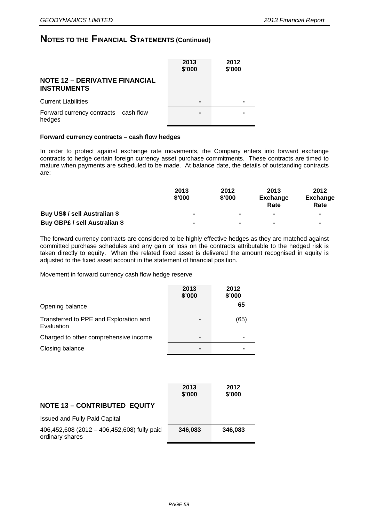| <b>NOTE 12 - DERIVATIVE FINANCIAL</b><br><b>INSTRUMENTS</b> | 2013<br>\$'000 | 2012<br>\$'000 |
|-------------------------------------------------------------|----------------|----------------|
| <b>Current Liabilities</b>                                  | -              |                |
| Forward currency contracts – cash flow<br>hedges            |                |                |

### **Forward currency contracts – cash flow hedges**

In order to protect against exchange rate movements, the Company enters into forward exchange contracts to hedge certain foreign currency asset purchase commitments. These contracts are timed to mature when payments are scheduled to be made. At balance date, the details of outstanding contracts are:

|                               | 2013<br>\$'000 | 2012<br>\$'000 | 2013<br><b>Exchange</b><br>Rate | 2012<br><b>Exchange</b><br>Rate |
|-------------------------------|----------------|----------------|---------------------------------|---------------------------------|
| Buy US\$ / sell Australian \$ | $\blacksquare$ | $\blacksquare$ | $\blacksquare$                  | $\blacksquare$                  |
| Buy GBP£ / sell Australian \$ | $\blacksquare$ | $\blacksquare$ | $\blacksquare$                  | $\overline{\phantom{0}}$        |

The forward currency contracts are considered to be highly effective hedges as they are matched against committed purchase schedules and any gain or loss on the contracts attributable to the hedged risk is taken directly to equity. When the related fixed asset is delivered the amount recognised in equity is adjusted to the fixed asset account in the statement of financial position.

Movement in forward currency cash flow hedge reserve

|                                                      | 2013<br>\$'000 | 2012<br>\$'000 |
|------------------------------------------------------|----------------|----------------|
| Opening balance                                      |                | 65             |
| Transferred to PPE and Exploration and<br>Evaluation | ٠              | (65)           |
| Charged to other comprehensive income                | -              |                |
| Closing balance                                      |                |                |

|                                                                | 2013<br>\$'000 | 2012<br>\$'000 |
|----------------------------------------------------------------|----------------|----------------|
| <b>NOTE 13 - CONTRIBUTED EQUITY</b>                            |                |                |
| <b>Issued and Fully Paid Capital</b>                           |                |                |
| 406,452,608 (2012 - 406,452,608) fully paid<br>ordinary shares | 346.083        | 346.083        |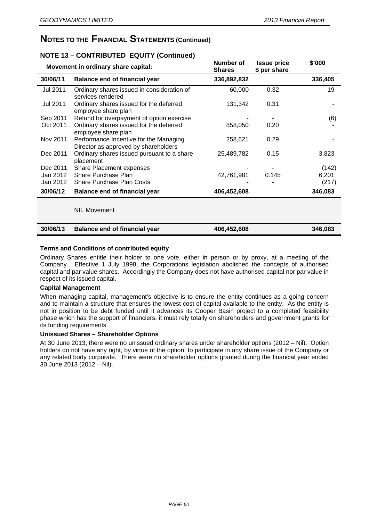## **NOTE 13 – CONTRIBUTED EQUITY (Continued)**

|          | Movement in ordinary share capital:                                            | <b>Number of</b><br><b>Shares</b> | <b>Issue price</b><br>\$ per share | \$'000  |
|----------|--------------------------------------------------------------------------------|-----------------------------------|------------------------------------|---------|
| 30/06/11 | <b>Balance end of financial year</b>                                           | 336,892,832                       |                                    | 336,405 |
| Jul 2011 | Ordinary shares issued in consideration of<br>services rendered                | 60,000                            | 0.32                               | 19      |
| Jul 2011 | Ordinary shares issued for the deferred<br>employee share plan                 | 131,342                           | 0.31                               |         |
| Sep 2011 | Refund for overpayment of option exercise                                      |                                   |                                    | (6)     |
| Oct 2011 | Ordinary shares issued for the deferred<br>employee share plan                 | 858,050                           | 0.20                               |         |
| Nov 2011 | Performance Incentive for the Managing<br>Director as approved by shareholders | 258,621                           | 0.29                               |         |
| Dec 2011 | Ordinary shares issued pursuant to a share<br>placement                        | 25,489,782                        | 0.15                               | 3,823   |
| Dec 2011 | Share Placement expenses                                                       |                                   |                                    | (142)   |
| Jan 2012 | Share Purchase Plan                                                            | 42,761,981                        | 0.145                              | 6,201   |
| Jan 2012 | <b>Share Purchase Plan Costs</b>                                               |                                   |                                    | (217)   |
| 30/06/12 | <b>Balance end of financial year</b>                                           | 406,452,608                       |                                    | 346,083 |
|          | <b>NIL Movement</b>                                                            |                                   |                                    |         |

| 30/06/13 | <b>Balance end of financial year</b> | 406,452,608 | 346,083 |
|----------|--------------------------------------|-------------|---------|
|          |                                      |             |         |

## **Terms and Conditions of contributed equity**

Ordinary Shares entitle their holder to one vote, either in person or by proxy, at a meeting of the Company. Effective 1 July 1998, the Corporations legislation abolished the concepts of authorised capital and par value shares. Accordingly the Company does not have authorised capital nor par value in respect of its issued capital.

## **Capital Management**

When managing capital, management's objective is to ensure the entity continues as a going concern and to maintain a structure that ensures the lowest cost of capital available to the entity. As the entity is not in position to be debt funded until it advances its Cooper Basin project to a completed feasibility phase which has the support of financiers, it must rely totally on shareholders and government grants for its funding requirements.

## **Unissued Shares – Shareholder Options**

At 30 June 2013, there were no unissued ordinary shares under shareholder options (2012 – Nil). Option holders do not have any right, by virtue of the option, to participate in any share issue of the Company or any related body corporate. There were no shareholder options granted during the financial year ended 30 June 2013 (2012 – Nil).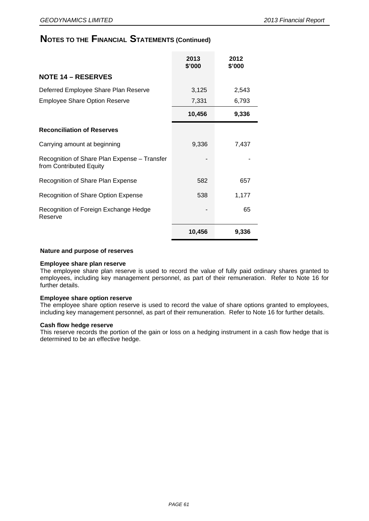|                                                                         | 2013<br>\$'000 | 2012<br>\$'000 |
|-------------------------------------------------------------------------|----------------|----------------|
| <b>NOTE 14 - RESERVES</b>                                               |                |                |
| Deferred Employee Share Plan Reserve                                    | 3,125          | 2,543          |
| <b>Employee Share Option Reserve</b>                                    | 7,331          | 6,793          |
|                                                                         | 10,456         | 9,336          |
| <b>Reconciliation of Reserves</b>                                       |                |                |
| Carrying amount at beginning                                            | 9,336          | 7,437          |
| Recognition of Share Plan Expense - Transfer<br>from Contributed Equity |                |                |
| Recognition of Share Plan Expense                                       | 582            | 657            |
| Recognition of Share Option Expense                                     | 538            | 1,177          |
| Recognition of Foreign Exchange Hedge<br>Reserve                        |                | 65             |
|                                                                         | 10,456         | 9,336          |

### **Nature and purpose of reserves**

#### **Employee share plan reserve**

The employee share plan reserve is used to record the value of fully paid ordinary shares granted to employees, including key management personnel, as part of their remuneration. Refer to Note 16 for further details.

### **Employee share option reserve**

The employee share option reserve is used to record the value of share options granted to employees, including key management personnel, as part of their remuneration. Refer to Note 16 for further details.

#### **Cash flow hedge reserve**

This reserve records the portion of the gain or loss on a hedging instrument in a cash flow hedge that is determined to be an effective hedge.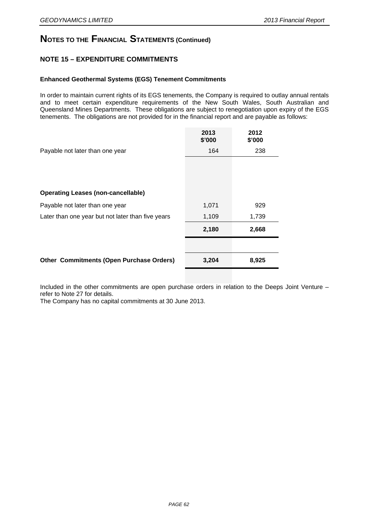## **NOTE 15 – EXPENDITURE COMMITMENTS**

## **Enhanced Geothermal Systems (EGS) Tenement Commitments**

In order to maintain current rights of its EGS tenements, the Company is required to outlay annual rentals and to meet certain expenditure requirements of the New South Wales, South Australian and Queensland Mines Departments. These obligations are subject to renegotiation upon expiry of the EGS tenements. The obligations are not provided for in the financial report and are payable as follows:

|                                                   | 2013<br>\$'000 | 2012<br>\$'000 |
|---------------------------------------------------|----------------|----------------|
| Payable not later than one year                   | 164            | 238            |
|                                                   |                |                |
| <b>Operating Leases (non-cancellable)</b>         |                |                |
| Payable not later than one year                   | 1,071          | 929            |
| Later than one year but not later than five years | 1,109          | 1,739          |
|                                                   | 2,180          | 2,668          |
|                                                   |                |                |
| <b>Other Commitments (Open Purchase Orders)</b>   | 3,204          | 8,925          |
|                                                   |                |                |

Included in the other commitments are open purchase orders in relation to the Deeps Joint Venture – refer to Note 27 for details.

The Company has no capital commitments at 30 June 2013.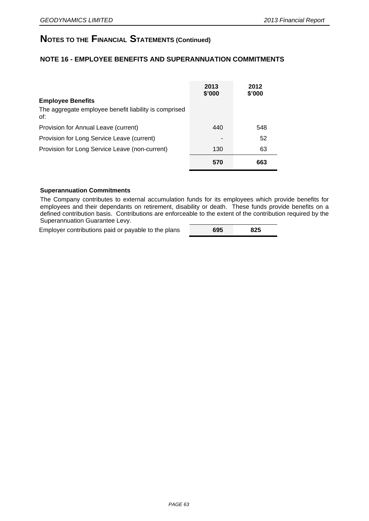## **NOTE 16 - EMPLOYEE BENEFITS AND SUPERANNUATION COMMITMENTS**

| <b>Employee Benefits</b><br>The aggregate employee benefit liability is comprised<br>of: | 2013<br>\$'000 | 2012<br>\$'000 |
|------------------------------------------------------------------------------------------|----------------|----------------|
| Provision for Annual Leave (current)                                                     | 440            | 548            |
| Provision for Long Service Leave (current)                                               |                | 52             |
| Provision for Long Service Leave (non-current)                                           | 130            | 63             |
|                                                                                          | 570            | 663            |

## **Superannuation Commitments**

The Company contributes to external accumulation funds for its employees which provide benefits for employees and their dependants on retirement, disability or death. These funds provide benefits on a defined contribution basis. Contributions are enforceable to the extent of the contribution required by the Superannuation Guarantee Levy.

Employer contributions paid or payable to the plans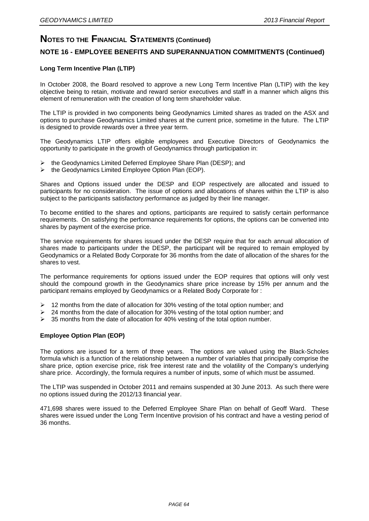## **NOTE 16 - EMPLOYEE BENEFITS AND SUPERANNUATION COMMITMENTS (Continued)**

## **Long Term Incentive Plan (LTIP)**

In October 2008, the Board resolved to approve a new Long Term Incentive Plan (LTIP) with the key objective being to retain, motivate and reward senior executives and staff in a manner which aligns this element of remuneration with the creation of long term shareholder value.

The LTIP is provided in two components being Geodynamics Limited shares as traded on the ASX and options to purchase Geodynamics Limited shares at the current price, sometime in the future. The LTIP is designed to provide rewards over a three year term.

The Geodynamics LTIP offers eligible employees and Executive Directors of Geodynamics the opportunity to participate in the growth of Geodynamics through participation in:

- the Geodynamics Limited Deferred Employee Share Plan (DESP); and
- $\triangleright$  the Geodynamics Limited Employee Option Plan (EOP).

Shares and Options issued under the DESP and EOP respectively are allocated and issued to participants for no consideration. The issue of options and allocations of shares within the LTIP is also subject to the participants satisfactory performance as judged by their line manager.

To become entitled to the shares and options, participants are required to satisfy certain performance requirements. On satisfying the performance requirements for options, the options can be converted into shares by payment of the exercise price.

The service requirements for shares issued under the DESP require that for each annual allocation of shares made to participants under the DESP, the participant will be required to remain employed by Geodynamics or a Related Body Corporate for 36 months from the date of allocation of the shares for the shares to vest.

The performance requirements for options issued under the EOP requires that options will only vest should the compound growth in the Geodynamics share price increase by 15% per annum and the participant remains employed by Geodynamics or a Related Body Corporate for :

- 12 months from the date of allocation for 30% vesting of the total option number; and
- 24 months from the date of allocation for 30% vesting of the total option number; and
- 35 months from the date of allocation for 40% vesting of the total option number.

## **Employee Option Plan (EOP)**

The options are issued for a term of three years. The options are valued using the Black-Scholes formula which is a function of the relationship between a number of variables that principally comprise the share price, option exercise price, risk free interest rate and the volatility of the Company's underlying share price. Accordingly, the formula requires a number of inputs, some of which must be assumed.

The LTIP was suspended in October 2011 and remains suspended at 30 June 2013. As such there were no options issued during the 2012/13 financial year.

471,698 shares were issued to the Deferred Employee Share Plan on behalf of Geoff Ward. These shares were issued under the Long Term Incentive provision of his contract and have a vesting period of 36 months.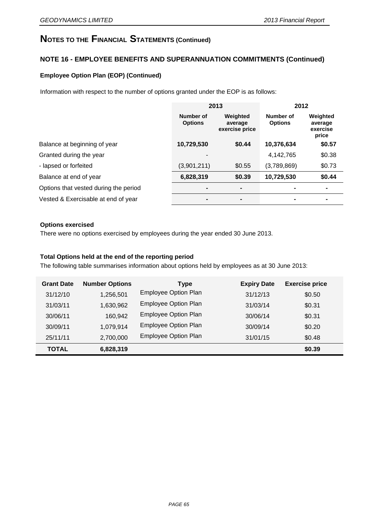## **NOTE 16 - EMPLOYEE BENEFITS AND SUPERANNUATION COMMITMENTS (Continued)**

## **Employee Option Plan (EOP) (Continued)**

Information with respect to the number of options granted under the EOP is as follows:

|                                       | 2013                        |                                       | 2012                        |                                          |
|---------------------------------------|-----------------------------|---------------------------------------|-----------------------------|------------------------------------------|
|                                       | Number of<br><b>Options</b> | Weighted<br>average<br>exercise price | Number of<br><b>Options</b> | Weighted<br>average<br>exercise<br>price |
| Balance at beginning of year          | 10,729,530                  | \$0.44                                | 10,376,634                  | \$0.57                                   |
| Granted during the year               |                             |                                       | 4,142,765                   | \$0.38                                   |
| - lapsed or forfeited                 | (3,901,211)                 | \$0.55                                | (3,789,869)                 | \$0.73                                   |
| Balance at end of year                | 6,828,319                   | \$0.39                                | 10,729,530                  | \$0.44                                   |
| Options that vested during the period | $\blacksquare$              | $\blacksquare$                        |                             | $\blacksquare$                           |
| Vested & Exercisable at end of year   | $\blacksquare$              | $\blacksquare$                        | $\blacksquare$              | $\blacksquare$                           |

## **Options exercised**

There were no options exercised by employees during the year ended 30 June 2013.

## **Total Options held at the end of the reporting period**

The following table summarises information about options held by employees as at 30 June 2013:

| <b>Grant Date</b> | <b>Number Options</b> | <b>Type</b>                 | <b>Expiry Date</b> | <b>Exercise price</b> |
|-------------------|-----------------------|-----------------------------|--------------------|-----------------------|
| 31/12/10          | 1,256,501             | <b>Employee Option Plan</b> | 31/12/13           | \$0.50                |
| 31/03/11          | 1,630,962             | <b>Employee Option Plan</b> | 31/03/14           | \$0.31                |
| 30/06/11          | 160.942               | <b>Employee Option Plan</b> | 30/06/14           | \$0.31                |
| 30/09/11          | 1,079,914             | <b>Employee Option Plan</b> | 30/09/14           | \$0.20                |
| 25/11/11          | 2,700,000             | <b>Employee Option Plan</b> | 31/01/15           | \$0.48                |
| <b>TOTAL</b>      | 6,828,319             |                             |                    | \$0.39                |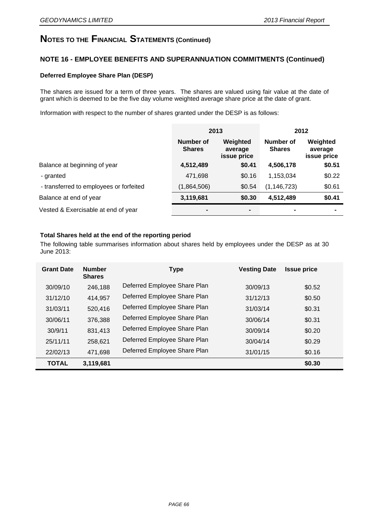## **NOTE 16 - EMPLOYEE BENEFITS AND SUPERANNUATION COMMITMENTS (Continued)**

## **Deferred Employee Share Plan (DESP)**

The shares are issued for a term of three years. The shares are valued using fair value at the date of grant which is deemed to be the five day volume weighted average share price at the date of grant.

Information with respect to the number of shares granted under the DESP is as follows:

|                                         | 2013                              |                                    | 2012                              |                                    |
|-----------------------------------------|-----------------------------------|------------------------------------|-----------------------------------|------------------------------------|
|                                         | <b>Number of</b><br><b>Shares</b> | Weighted<br>average<br>issue price | <b>Number of</b><br><b>Shares</b> | Weighted<br>average<br>issue price |
| Balance at beginning of year            | 4,512,489                         | \$0.41                             | 4,506,178                         | \$0.51                             |
| - granted                               | 471,698                           | \$0.16                             | 1,153,034                         | \$0.22                             |
| - transferred to employees or forfeited | (1,864,506)                       | \$0.54                             | (1, 146, 723)                     | \$0.61                             |
| Balance at end of year                  | 3,119,681                         | \$0.30                             | 4,512,489                         | \$0.41                             |
| Vested & Exercisable at end of year     |                                   |                                    |                                   |                                    |

## **Total Shares held at the end of the reporting period**

The following table summarises information about shares held by employees under the DESP as at 30 June 2013:

| <b>Grant Date</b> | <b>Number</b><br><b>Shares</b> | Type                         | <b>Vesting Date</b> | <b>Issue price</b> |
|-------------------|--------------------------------|------------------------------|---------------------|--------------------|
| 30/09/10          | 246,188                        | Deferred Employee Share Plan | 30/09/13            | \$0.52             |
| 31/12/10          | 414,957                        | Deferred Employee Share Plan | 31/12/13            | \$0.50             |
| 31/03/11          | 520,416                        | Deferred Employee Share Plan | 31/03/14            | \$0.31             |
| 30/06/11          | 376,388                        | Deferred Employee Share Plan | 30/06/14            | \$0.31             |
| 30/9/11           | 831.413                        | Deferred Employee Share Plan | 30/09/14            | \$0.20             |
| 25/11/11          | 258,621                        | Deferred Employee Share Plan | 30/04/14            | \$0.29             |
| 22/02/13          | 471,698                        | Deferred Employee Share Plan | 31/01/15            | \$0.16             |
| <b>TOTAL</b>      | 3,119,681                      |                              |                     | \$0.30             |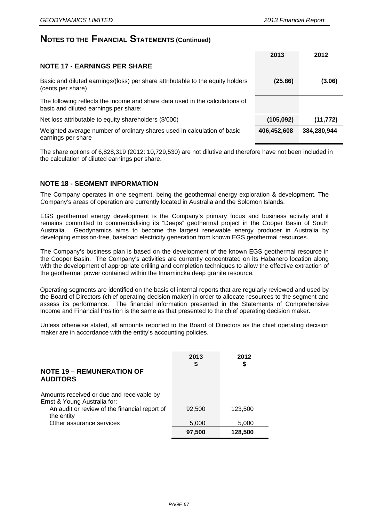|                                                                                                                       | 2013        | 2012        |
|-----------------------------------------------------------------------------------------------------------------------|-------------|-------------|
| <b>NOTE 17 - EARNINGS PER SHARE</b>                                                                                   |             |             |
| Basic and diluted earnings/(loss) per share attributable to the equity holders<br>(cents per share)                   | (25.86)     | (3.06)      |
| The following reflects the income and share data used in the calculations of<br>basic and diluted earnings per share: |             |             |
| Net loss attributable to equity shareholders (\$'000)                                                                 | (105, 092)  | (11, 772)   |
| Weighted average number of ordinary shares used in calculation of basic<br>earnings per share                         | 406,452,608 | 384,280,944 |

The share options of 6,828,319 (2012: 10,729,530) are not dilutive and therefore have not been included in the calculation of diluted earnings per share.

## **NOTE 18 - SEGMENT INFORMATION**

The Company operates in one segment, being the geothermal energy exploration & development. The Company's areas of operation are currently located in Australia and the Solomon Islands.

EGS geothermal energy development is the Company's primary focus and business activity and it remains committed to commercialising its "Deeps" geothermal project in the Cooper Basin of South Australia. Geodynamics aims to become the largest renewable energy producer in Australia by developing emission-free, baseload electricity generation from known EGS geothermal resources.

The Company's business plan is based on the development of the known EGS geothermal resource in the Cooper Basin. The Company's activities are currently concentrated on its Habanero location along with the development of appropriate drilling and completion techniques to allow the effective extraction of the geothermal power contained within the Innamincka deep granite resource.

Operating segments are identified on the basis of internal reports that are regularly reviewed and used by the Board of Directors (chief operating decision maker) in order to allocate resources to the segment and assess its performance. The financial information presented in the Statements of Comprehensive Income and Financial Position is the same as that presented to the chief operating decision maker.

Unless otherwise stated, all amounts reported to the Board of Directors as the chief operating decision maker are in accordance with the entity's accounting policies.

|                                                                           | 2013<br>\$ | 2012<br>\$ |
|---------------------------------------------------------------------------|------------|------------|
| <b>NOTE 19 – REMUNERATION OF</b><br><b>AUDITORS</b>                       |            |            |
| Amounts received or due and receivable by<br>Ernst & Young Australia for: |            |            |
| An audit or review of the financial report of<br>the entity               | 92,500     | 123,500    |
| Other assurance services                                                  | 5,000      | 5,000      |
|                                                                           | 97,500     | 128,500    |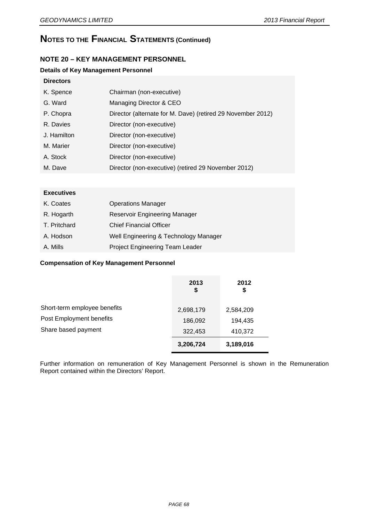## **NOTE 20 – KEY MANAGEMENT PERSONNEL**

## **Details of Key Management Personnel**

| Chairman (non-executive)                                    |
|-------------------------------------------------------------|
| Managing Director & CEO                                     |
| Director (alternate for M. Dave) (retired 29 November 2012) |
| Director (non-executive)                                    |
| Director (non-executive)                                    |
| Director (non-executive)                                    |
| Director (non-executive)                                    |
| Director (non-executive) (retired 29 November 2012)         |
|                                                             |

## **Executives**

| K. Coates    | <b>Operations Manager</b>             |
|--------------|---------------------------------------|
| R. Hogarth   | Reservoir Engineering Manager         |
| T. Pritchard | <b>Chief Financial Officer</b>        |
| A. Hodson    | Well Engineering & Technology Manager |
| A. Mills     | Project Engineering Team Leader       |

## **Compensation of Key Management Personnel**

|                              | 2013<br>S | 2012<br>S |
|------------------------------|-----------|-----------|
| Short-term employee benefits | 2,698,179 | 2,584,209 |
| Post Employment benefits     | 186,092   | 194,435   |
| Share based payment          | 322,453   | 410,372   |
|                              | 3,206,724 | 3,189,016 |

Further information on remuneration of Key Management Personnel is shown in the Remuneration Report contained within the Directors' Report.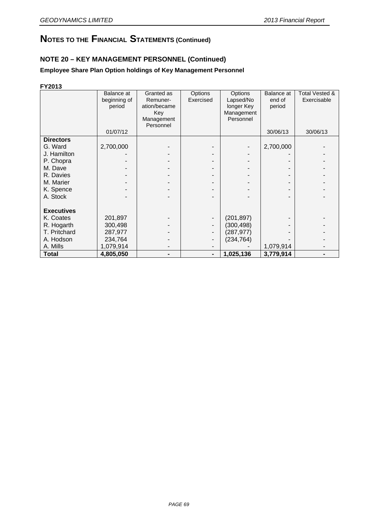## **NOTE 20 – KEY MANAGEMENT PERSONNEL (Continued)**

## **Employee Share Plan Option holdings of Key Management Personnel**

## **FY2013**

|                   | Balance at<br>beginning of<br>period | Granted as<br>Remuner-<br>ation/became<br>Key | Options<br>Exercised | Options<br>Lapsed/No<br>longer Key<br>Management | <b>Balance</b> at<br>end of<br>period | Total Vested &<br>Exercisable |
|-------------------|--------------------------------------|-----------------------------------------------|----------------------|--------------------------------------------------|---------------------------------------|-------------------------------|
|                   |                                      | Management<br>Personnel                       |                      | Personnel                                        |                                       |                               |
|                   | 01/07/12                             |                                               |                      |                                                  | 30/06/13                              | 30/06/13                      |
| <b>Directors</b>  |                                      |                                               |                      |                                                  |                                       |                               |
| G. Ward           | 2,700,000                            |                                               |                      |                                                  | 2,700,000                             |                               |
| J. Hamilton       |                                      |                                               |                      |                                                  |                                       |                               |
| P. Chopra         |                                      |                                               |                      |                                                  |                                       |                               |
| M. Dave           |                                      |                                               |                      |                                                  |                                       |                               |
| R. Davies         |                                      |                                               |                      |                                                  |                                       |                               |
| M. Marier         |                                      |                                               |                      |                                                  |                                       |                               |
| K. Spence         |                                      |                                               |                      |                                                  |                                       |                               |
| A. Stock          |                                      |                                               |                      |                                                  |                                       |                               |
|                   |                                      |                                               |                      |                                                  |                                       |                               |
| <b>Executives</b> |                                      |                                               |                      |                                                  |                                       |                               |
| K. Coates         | 201,897                              |                                               | ٠                    | (201, 897)                                       |                                       |                               |
| R. Hogarth        | 300,498                              |                                               |                      | (300, 498)                                       |                                       |                               |
| T. Pritchard      | 287,977                              |                                               | $\blacksquare$       | (287, 977)                                       |                                       |                               |
| A. Hodson         | 234,764                              |                                               |                      | (234, 764)                                       |                                       |                               |
| A. Mills          | 1,079,914                            |                                               |                      |                                                  | 1,079,914                             |                               |
| <b>Total</b>      | 4,805,050                            |                                               | $\blacksquare$       | 1,025,136                                        | 3,779,914                             |                               |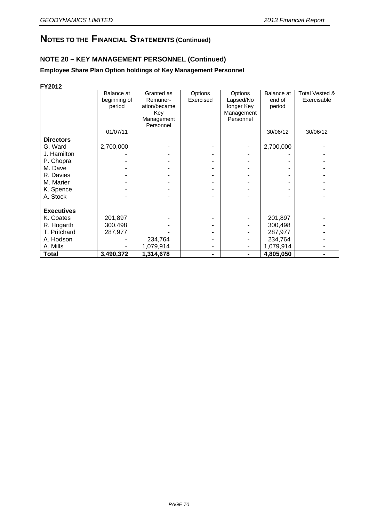## **NOTE 20 – KEY MANAGEMENT PERSONNEL (Continued)**

## **Employee Share Plan Option holdings of Key Management Personnel**

## **FY2012**

|                   | Balance at<br>beginning of<br>period<br>01/07/11 | Granted as<br>Remuner-<br>ation/became<br>Key<br>Management<br>Personnel | Options<br>Exercised | Options<br>Lapsed/No<br>longer Key<br>Management<br>Personnel | Balance at<br>end of<br>period<br>30/06/12 | Total Vested &<br>Exercisable<br>30/06/12 |
|-------------------|--------------------------------------------------|--------------------------------------------------------------------------|----------------------|---------------------------------------------------------------|--------------------------------------------|-------------------------------------------|
| <b>Directors</b>  |                                                  |                                                                          |                      |                                                               |                                            |                                           |
| G. Ward           | 2,700,000                                        |                                                                          |                      |                                                               | 2,700,000                                  |                                           |
| J. Hamilton       |                                                  |                                                                          |                      |                                                               |                                            |                                           |
| P. Chopra         |                                                  |                                                                          |                      |                                                               |                                            |                                           |
| M. Dave           |                                                  |                                                                          |                      |                                                               |                                            |                                           |
| R. Davies         |                                                  |                                                                          |                      |                                                               |                                            |                                           |
| M. Marier         |                                                  |                                                                          |                      |                                                               |                                            |                                           |
| K. Spence         |                                                  |                                                                          |                      |                                                               |                                            |                                           |
| A. Stock          |                                                  |                                                                          |                      |                                                               |                                            |                                           |
|                   |                                                  |                                                                          |                      |                                                               |                                            |                                           |
| <b>Executives</b> |                                                  |                                                                          |                      |                                                               |                                            |                                           |
| K. Coates         | 201,897                                          |                                                                          |                      |                                                               | 201,897                                    |                                           |
| R. Hogarth        | 300,498                                          |                                                                          |                      |                                                               | 300,498                                    |                                           |
| T. Pritchard      | 287,977                                          |                                                                          |                      |                                                               | 287,977                                    |                                           |
| A. Hodson         |                                                  | 234,764                                                                  |                      |                                                               | 234,764                                    |                                           |
| A. Mills          |                                                  | 1,079,914                                                                |                      |                                                               | 1,079,914                                  |                                           |
| <b>Total</b>      | 3,490,372                                        | 1,314,678                                                                |                      |                                                               | 4,805,050                                  |                                           |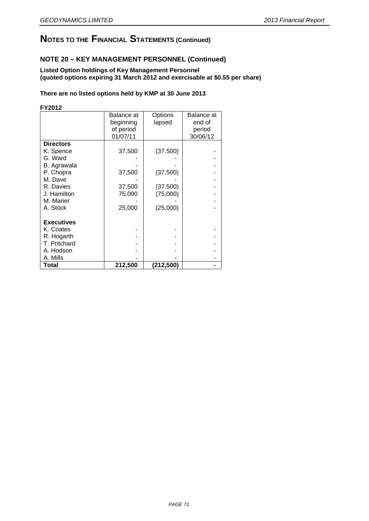## **NOTE 20 – KEY MANAGEMENT PERSONNEL (Continued)**

## **Listed Option holdings of Key Management Personnel (quoted options expiring 31 March 2012 and exercisable at \$0.55 per share)**

## **There are no listed options held by KMP at 30 June 2013**

### **FY2012**

|                   | Balance at | Options   | Balance at |
|-------------------|------------|-----------|------------|
|                   | beginning  | lapsed    | end of     |
|                   | of period  |           | period     |
|                   | 01/07/11   |           | 30/06/12   |
| <b>Directors</b>  |            |           |            |
| K. Spence         | 37,500     | (37,500)  |            |
| G. Ward           |            |           |            |
| B. Agrawala       |            |           |            |
| P. Chopra         | 37,500     | (37, 500) |            |
| M. Dave           |            |           |            |
| R. Davies         | 37,500     | (37,500)  |            |
| J. Hamilton       | 75,000     | (75,000)  |            |
| M. Marier         |            |           |            |
| A. Stock          | 25,000     | (25,000)  |            |
|                   |            |           |            |
| <b>Executives</b> |            |           |            |
| K. Coates         |            |           |            |
| R. Hogarth        |            |           |            |
| T. Pritchard      |            |           |            |
| A. Hodson         |            |           |            |
| A. Mills          |            |           |            |
| <b>Total</b>      | 212,500    | (212,500) |            |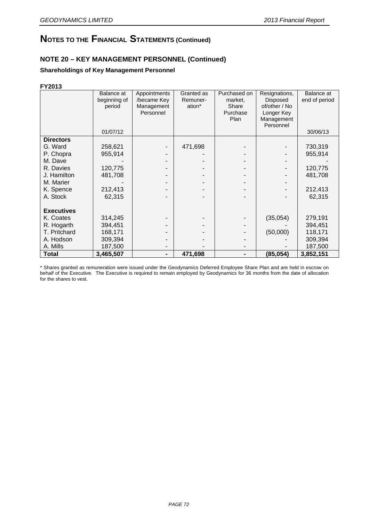## **NOTE 20 – KEY MANAGEMENT PERSONNEL (Continued)**

#### **Shareholdings of Key Management Personnel**

#### **FY2013**

|                   | Balance at<br>beginning of<br>period | Appointments<br>/became Key<br>Management<br>Personnel | Granted as<br>Remuner-<br>ation* | Purchased on<br>market,<br>Share<br>Purchase<br>Plan | Resignations,<br><b>Disposed</b><br>of/other / No<br>Longer Key<br>Management | Balance at<br>end of period |
|-------------------|--------------------------------------|--------------------------------------------------------|----------------------------------|------------------------------------------------------|-------------------------------------------------------------------------------|-----------------------------|
|                   | 01/07/12                             |                                                        |                                  |                                                      | Personnel                                                                     | 30/06/13                    |
|                   |                                      |                                                        |                                  |                                                      |                                                                               |                             |
| <b>Directors</b>  |                                      |                                                        |                                  |                                                      |                                                                               |                             |
| G. Ward           | 258,621                              |                                                        | 471,698                          |                                                      |                                                                               | 730,319                     |
| P. Chopra         | 955,914                              |                                                        |                                  |                                                      |                                                                               | 955,914                     |
| M. Dave           |                                      |                                                        |                                  |                                                      |                                                                               |                             |
| R. Davies         | 120,775                              |                                                        |                                  |                                                      |                                                                               | 120,775                     |
| J. Hamilton       | 481,708                              |                                                        |                                  |                                                      |                                                                               | 481,708                     |
| M. Marier         |                                      |                                                        |                                  |                                                      |                                                                               |                             |
| K. Spence         | 212,413                              |                                                        |                                  |                                                      |                                                                               | 212,413                     |
| A. Stock          | 62,315                               |                                                        |                                  |                                                      |                                                                               | 62,315                      |
| <b>Executives</b> |                                      |                                                        |                                  |                                                      |                                                                               |                             |
| K. Coates         | 314,245                              |                                                        |                                  |                                                      | (35,054)                                                                      | 279,191                     |
| R. Hogarth        | 394,451                              |                                                        |                                  |                                                      |                                                                               | 394,451                     |
| T. Pritchard      | 168,171                              |                                                        |                                  |                                                      | (50,000)                                                                      | 118,171                     |
| A. Hodson         | 309,394                              |                                                        |                                  |                                                      |                                                                               | 309,394                     |
| A. Mills          | 187,500                              |                                                        |                                  |                                                      |                                                                               | 187,500                     |
|                   |                                      |                                                        |                                  |                                                      |                                                                               |                             |
| <b>Total</b>      | 3,465,507                            |                                                        | 471,698                          |                                                      | (85, 054)                                                                     | 3,852,151                   |

\* Shares granted as remuneration were issued under the Geodynamics Deferred Employee Share Plan and are held in escrow on behalf of the Executive. The Executive is required to remain employed by Geodynamics for 36 months from the date of allocation for the shares to vest.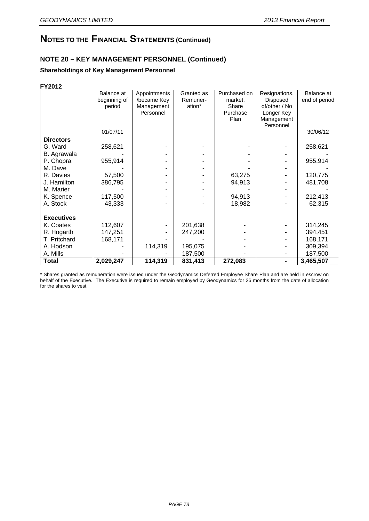## **NOTE 20 – KEY MANAGEMENT PERSONNEL (Continued)**

#### **Shareholdings of Key Management Personnel**

#### **FY2012**

|                   | Balance at<br>beginning of<br>period | Appointments<br>/became Key<br>Management | Granted as<br>Remuner-<br>ation* | Purchased on<br>market,<br>Share | Resignations,<br>Disposed<br>of/other / No | Balance at<br>end of period |
|-------------------|--------------------------------------|-------------------------------------------|----------------------------------|----------------------------------|--------------------------------------------|-----------------------------|
|                   |                                      | Personnel                                 |                                  | Purchase<br>Plan                 | Longer Key<br>Management                   |                             |
|                   |                                      |                                           |                                  |                                  | Personnel                                  |                             |
|                   | 01/07/11                             |                                           |                                  |                                  |                                            | 30/06/12                    |
| <b>Directors</b>  |                                      |                                           |                                  |                                  |                                            |                             |
| G. Ward           | 258,621                              |                                           |                                  |                                  |                                            | 258,621                     |
| B. Agrawala       |                                      |                                           |                                  |                                  |                                            |                             |
| P. Chopra         | 955,914                              |                                           |                                  |                                  |                                            | 955,914                     |
| M. Dave           |                                      |                                           |                                  |                                  |                                            |                             |
| R. Davies         | 57,500                               |                                           |                                  | 63,275                           |                                            | 120,775                     |
| J. Hamilton       | 386,795                              |                                           |                                  | 94,913                           |                                            | 481,708                     |
| M. Marier         |                                      |                                           |                                  |                                  |                                            |                             |
| K. Spence         | 117,500                              |                                           |                                  | 94,913                           |                                            | 212,413                     |
| A. Stock          | 43,333                               |                                           |                                  | 18,982                           |                                            | 62,315                      |
|                   |                                      |                                           |                                  |                                  |                                            |                             |
| <b>Executives</b> |                                      |                                           |                                  |                                  |                                            |                             |
| K. Coates         | 112,607                              |                                           | 201,638                          |                                  |                                            | 314,245                     |
| R. Hogarth        | 147,251                              |                                           | 247,200                          |                                  |                                            | 394,451                     |
| T. Pritchard      | 168,171                              |                                           |                                  |                                  |                                            | 168,171                     |
| A. Hodson         |                                      | 114,319                                   | 195,075                          |                                  |                                            | 309,394                     |
| A. Mills          |                                      |                                           | 187,500                          |                                  |                                            | 187,500                     |
| <b>Total</b>      | 2,029,247                            | 114,319                                   | 831,413                          | 272,083                          |                                            | 3,465,507                   |

\* Shares granted as remuneration were issued under the Geodynamics Deferred Employee Share Plan and are held in escrow on behalf of the Executive. The Executive is required to remain employed by Geodynamics for 36 months from the date of allocation for the shares to vest.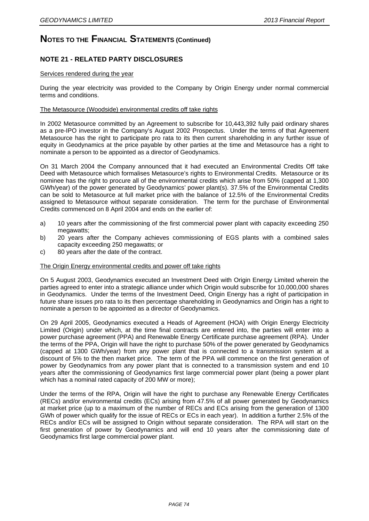### **NOTE 21 - RELATED PARTY DISCLOSURES**

#### Services rendered during the year

During the year electricity was provided to the Company by Origin Energy under normal commercial terms and conditions.

#### The Metasource (Woodside) environmental credits off take rights

In 2002 Metasource committed by an Agreement to subscribe for 10,443,392 fully paid ordinary shares as a pre-IPO investor in the Company's August 2002 Prospectus. Under the terms of that Agreement Metasource has the right to participate pro rata to its then current shareholding in any further issue of equity in Geodynamics at the price payable by other parties at the time and Metasource has a right to nominate a person to be appointed as a director of Geodynamics.

On 31 March 2004 the Company announced that it had executed an Environmental Credits Off take Deed with Metasource which formalises Metasource's rights to Environmental Credits. Metasource or its nominee has the right to procure all of the environmental credits which arise from 50% (capped at 1,300 GWh/year) of the power generated by Geodynamics' power plant(s). 37.5% of the Environmental Credits can be sold to Metasource at full market price with the balance of 12.5% of the Environmental Credits assigned to Metasource without separate consideration. The term for the purchase of Environmental Credits commenced on 8 April 2004 and ends on the earlier of:

- a) 10 years after the commissioning of the first commercial power plant with capacity exceeding 250 megawatts:
- b) 20 years after the Company achieves commissioning of EGS plants with a combined sales capacity exceeding 250 megawatts; or
- c) 80 years after the date of the contract.

#### The Origin Energy environmental credits and power off take rights

On 5 August 2003, Geodynamics executed an Investment Deed with Origin Energy Limited wherein the parties agreed to enter into a strategic alliance under which Origin would subscribe for 10,000,000 shares in Geodynamics. Under the terms of the Investment Deed, Origin Energy has a right of participation in future share issues pro rata to its then percentage shareholding in Geodynamics and Origin has a right to nominate a person to be appointed as a director of Geodynamics.

On 29 April 2005, Geodynamics executed a Heads of Agreement (HOA) with Origin Energy Electricity Limited (Origin) under which, at the time final contracts are entered into, the parties will enter into a power purchase agreement (PPA) and Renewable Energy Certificate purchase agreement (RPA). Under the terms of the PPA, Origin will have the right to purchase 50% of the power generated by Geodynamics (capped at 1300 GWh/year) from any power plant that is connected to a transmission system at a discount of 5% to the then market price. The term of the PPA will commence on the first generation of power by Geodynamics from any power plant that is connected to a transmission system and end 10 years after the commissioning of Geodynamics first large commercial power plant (being a power plant which has a nominal rated capacity of 200 MW or more);

Under the terms of the RPA, Origin will have the right to purchase any Renewable Energy Certificates (RECs) and/or environmental credits (ECs) arising from 47.5% of all power generated by Geodynamics at market price (up to a maximum of the number of RECs and ECs arising from the generation of 1300 GWh of power which qualify for the issue of RECs or ECs in each year). In addition a further 2.5% of the RECs and/or ECs will be assigned to Origin without separate consideration. The RPA will start on the first generation of power by Geodynamics and will end 10 years after the commissioning date of Geodynamics first large commercial power plant.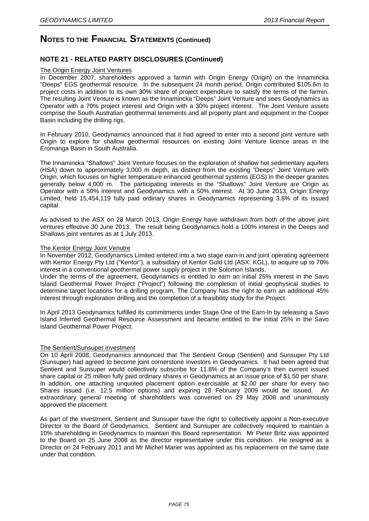### **NOTE 21 - RELATED PARTY DISCLOSURES (Continued)**

#### The Origin Energy Joint Ventures

In December 2007, shareholders approved a farmin with Origin Energy (Origin) on the Innamincka "Deeps" EGS geothermal resource. In the subsequent 24 month period, Origin contributed \$105.6m to project costs in addition to its own 30% share of project expenditure to satisfy the terms of the farmin. The resulting Joint Venture is known as the Innamincka "Deeps" Joint Venture and sees Geodynamics as Operator with a 70% project interest and Origin with a 30% project interest. The Joint Venture assets comprise the South Australian geothermal tenements and all property plant and equipment in the Cooper Basin including the drilling rigs.

In February 2010, Geodynamics announced that it had agreed to enter into a second joint venture with Origin to explore for shallow geothermal resources on existing Joint Venture licence areas in the Eromanga Basin in South Australia.

The Innamincka "Shallows" Joint Venture focuses on the exploration of shallow hot sedimentary aquifers (HSA) down to approximately 3,000 m depth, as distinct from the existing "Deeps" Joint Venture with Origin, which focuses on higher temperature enhanced geothermal systems (EGS) in the deeper granites generally below 4,000 m. The participating interests in the "Shallows" Joint Venture are Origin as Operator with a 50% interest and Geodynamics with a 50% interest. At 30 June 2013, Origin Energy Limited, held 15,454,119 fully paid ordinary shares in Geodynamics representing 3.8% of its issued capital.

As advised to the ASX on 28 March 2013, Origin Energy have withdrawn from both of the above joint ventures effective 30 June 2013. The result being Geodynamics hold a 100% interest in the Deeps and Shallows joint ventures as at 1 July 2013.

#### The Kentor Energy Joint Venutre

In November 2012, Geodynamics Limited entered into a two stage earn-in and joint operating agreement with Kentor Energy Pty Ltd ("Kentor"), a subsidiary of Kentor Gold Ltd (ASX: KGL), to acquire up to 70% interest in a conventional geothermal power supply project in the Solomon Islands.

Under the terms of the agreement, Geodynamics is entitled to earn an initial 25% interest in the Savo Island Geothermal Power Project ("Project") following the completion of initial geophysical studies to determine target locations for a drilling program. The Company has the right to earn an additional 45% interest through exploration drilling and the completion of a feasibility study for the Project.

In April 2013 Geodynamics fulfilled its commitments under Stage One of the Earn-In by releasing a Savo Island Inferred Geothermal Resource Assessment and became entitled to the initial 25% in the Savo Island Geothermal Power Project.

#### The Sentient/Sunsuper investment

On 10 April 2008, Geodynamics announced that The Sentient Group (Sentient) and Sunsuper Pty Ltd (Sunsuper) had agreed to become joint cornerstone investors in Geodynamics. It had been agreed that Sentient and Sunsuper would collectively subscribe for 11.8% of the Company's then current issued share capital or 25 million fully paid ordinary shares in Geodynamics at an issue price of \$1.50 per share. In addition, one attaching unquoted placement option exercisable at \$2.00 per share for every two Shares issued (i.e. 12.5 million options) and expiring 28 February 2009 would be issued. An extraordinary general meeting of shareholders was convened on 29 May 2008 and unanimously approved the placement.

As part of the investment, Sentient and Sunsuper have the right to collectively appoint a Non-executive Director to the Board of Geodynamics. Sentient and Sunsuper are collectively required to maintain a 10% shareholding in Geodynamics to maintain this Board representation. Mr Pieter Britz was appointed to the Board on 25 June 2008 as the director representative under this condition. He resigned as a Director on 24 February 2011 and Mr Michel Marier was appointed as his replacement on the same date under that condition.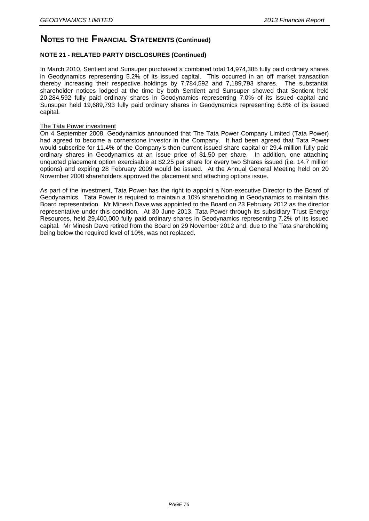### **NOTE 21 - RELATED PARTY DISCLOSURES (Continued)**

In March 2010, Sentient and Sunsuper purchased a combined total 14,974,385 fully paid ordinary shares in Geodynamics representing 5.2% of its issued capital. This occurred in an off market transaction thereby increasing their respective holdings by 7,784,592 and 7,189,793 shares. The substantial shareholder notices lodged at the time by both Sentient and Sunsuper showed that Sentient held 20,284,592 fully paid ordinary shares in Geodynamics representing 7.0% of its issued capital and Sunsuper held 19,689,793 fully paid ordinary shares in Geodynamics representing 6.8% of its issued capital.

#### The Tata Power investment

On 4 September 2008, Geodynamics announced that The Tata Power Company Limited (Tata Power) had agreed to become a cornerstone investor in the Company. It had been agreed that Tata Power would subscribe for 11.4% of the Company's then current issued share capital or 29.4 million fully paid ordinary shares in Geodynamics at an issue price of \$1.50 per share. In addition, one attaching unquoted placement option exercisable at \$2.25 per share for every two Shares issued (i.e. 14.7 million options) and expiring 28 February 2009 would be issued. At the Annual General Meeting held on 20 November 2008 shareholders approved the placement and attaching options issue.

As part of the investment, Tata Power has the right to appoint a Non-executive Director to the Board of Geodynamics. Tata Power is required to maintain a 10% shareholding in Geodynamics to maintain this Board representation. Mr Minesh Dave was appointed to the Board on 23 February 2012 as the director representative under this condition. At 30 June 2013, Tata Power through its subsidiary Trust Energy Resources, held 29,400,000 fully paid ordinary shares in Geodynamics representing 7.2% of its issued capital. Mr Minesh Dave retired from the Board on 29 November 2012 and, due to the Tata shareholding being below the required level of 10%, was not replaced.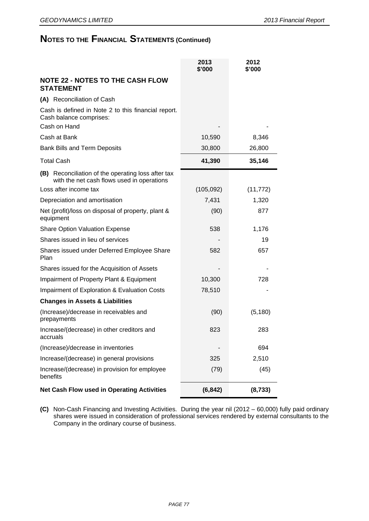|                                                                                                  | 2013<br>\$'000 | 2012<br>\$'000 |
|--------------------------------------------------------------------------------------------------|----------------|----------------|
| <b>NOTE 22 - NOTES TO THE CASH FLOW</b><br><b>STATEMENT</b>                                      |                |                |
| (A) Reconciliation of Cash                                                                       |                |                |
| Cash is defined in Note 2 to this financial report.                                              |                |                |
| Cash balance comprises:                                                                          |                |                |
| Cash on Hand                                                                                     |                |                |
| Cash at Bank                                                                                     | 10,590         | 8,346          |
| <b>Bank Bills and Term Deposits</b>                                                              | 30,800         | 26,800         |
| <b>Total Cash</b>                                                                                | 41,390         | 35,146         |
| (B) Reconciliation of the operating loss after tax<br>with the net cash flows used in operations |                |                |
| Loss after income tax                                                                            | (105,092)      | (11, 772)      |
| Depreciation and amortisation                                                                    | 7,431          | 1,320          |
| Net (profit)/loss on disposal of property, plant &<br>equipment                                  | (90)           | 877            |
| <b>Share Option Valuation Expense</b>                                                            | 538            | 1,176          |
| Shares issued in lieu of services                                                                |                | 19             |
| Shares issued under Deferred Employee Share<br>Plan                                              | 582            | 657            |
| Shares issued for the Acquisition of Assets                                                      |                |                |
| Impairment of Property Plant & Equipment                                                         | 10,300         | 728            |
| Impairment of Exploration & Evaluation Costs                                                     | 78,510         |                |
| <b>Changes in Assets &amp; Liabilities</b>                                                       |                |                |
| (Increase)/decrease in receivables and<br>prepayments                                            | (90)           | (5, 180)       |
| Increase/(decrease) in other creditors and<br>accruals                                           | 823            | 283            |
| (Increase)/decrease in inventories                                                               |                | 694            |
| Increase/(decrease) in general provisions                                                        | 325            | 2,510          |
| Increase/(decrease) in provision for employee<br>benefits                                        | (79)           | (45)           |
| <b>Net Cash Flow used in Operating Activities</b>                                                | (6, 842)       | (8, 733)       |

**(C)** Non-Cash Financing and Investing Activities. During the year nil (2012 – 60,000) fully paid ordinary shares were issued in consideration of professional services rendered by external consultants to the Company in the ordinary course of business.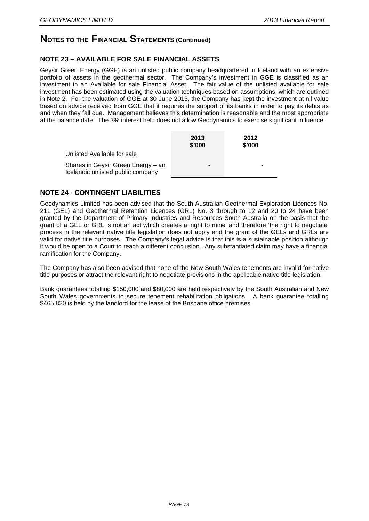### **NOTE 23 – AVAILABLE FOR SALE FINANCIAL ASSETS**

Geysir Green Energy (GGE) is an unlisted public company headquartered in Iceland with an extensive portfolio of assets in the geothermal sector. The Company's investment in GGE is classified as an investment in an Available for sale Financial Asset. The fair value of the unlisted available for sale investment has been estimated using the valuation techniques based on assumptions, which are outlined in Note 2. For the valuation of GGE at 30 June 2013, the Company has kept the investment at nil value based on advice received from GGE that it requires the support of its banks in order to pay its debts as and when they fall due. Management believes this determination is reasonable and the most appropriate at the balance date. The 3% interest held does not allow Geodynamics to exercise significant influence.

|                                                                         | 2013<br>\$'000 | 2012<br>\$'000 |
|-------------------------------------------------------------------------|----------------|----------------|
| Unlisted Available for sale                                             |                |                |
| Shares in Geysir Green Energy - an<br>Icelandic unlisted public company | ۰              |                |

### **NOTE 24 - CONTINGENT LIABILITIES**

Geodynamics Limited has been advised that the South Australian Geothermal Exploration Licences No. 211 (GEL) and Geothermal Retention Licences (GRL) No. 3 through to 12 and 20 to 24 have been granted by the Department of Primary Industries and Resources South Australia on the basis that the grant of a GEL or GRL is not an act which creates a 'right to mine' and therefore 'the right to negotiate' process in the relevant native title legislation does not apply and the grant of the GELs and GRLs are valid for native title purposes. The Company's legal advice is that this is a sustainable position although it would be open to a Court to reach a different conclusion. Any substantiated claim may have a financial ramification for the Company.

The Company has also been advised that none of the New South Wales tenements are invalid for native title purposes or attract the relevant right to negotiate provisions in the applicable native title legislation.

Bank guarantees totalling \$150,000 and \$80,000 are held respectively by the South Australian and New South Wales governments to secure tenement rehabilitation obligations. A bank guarantee totalling \$465,820 is held by the landlord for the lease of the Brisbane office premises.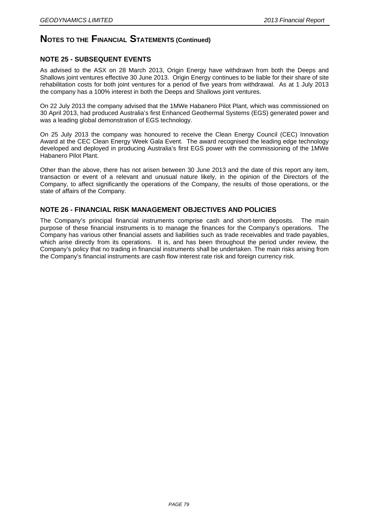### **NOTE 25 - SUBSEQUENT EVENTS**

As advised to the ASX on 28 March 2013, Origin Energy have withdrawn from both the Deeps and Shallows joint ventures effective 30 June 2013. Origin Energy continues to be liable for their share of site rehabilitation costs for both joint ventures for a period of five years from withdrawal. As at 1 July 2013 the company has a 100% interest in both the Deeps and Shallows joint ventures.

On 22 July 2013 the company advised that the 1MWe Habanero Pilot Plant, which was commissioned on 30 April 2013, had produced Australia's first Enhanced Geothermal Systems (EGS) generated power and was a leading global demonstration of EGS technology.

On 25 July 2013 the company was honoured to receive the Clean Energy Council (CEC) Innovation Award at the CEC Clean Energy Week Gala Event. The award recognised the leading edge technology developed and deployed in producing Australia's first EGS power with the commissioning of the 1MWe Habanero Pilot Plant.

Other than the above, there has not arisen between 30 June 2013 and the date of this report any item, transaction or event of a relevant and unusual nature likely, in the opinion of the Directors of the Company, to affect significantly the operations of the Company, the results of those operations, or the state of affairs of the Company.

### **NOTE 26 - FINANCIAL RISK MANAGEMENT OBJECTIVES AND POLICIES**

The Company's principal financial instruments comprise cash and short-term deposits. The main purpose of these financial instruments is to manage the finances for the Company's operations. The Company has various other financial assets and liabilities such as trade receivables and trade payables, which arise directly from its operations. It is, and has been throughout the period under review, the Company's policy that no trading in financial instruments shall be undertaken. The main risks arising from the Company's financial instruments are cash flow interest rate risk and foreign currency risk.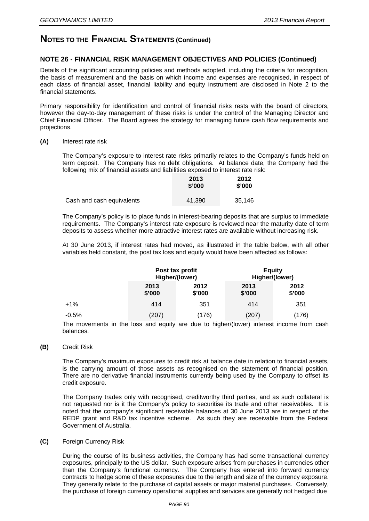### **NOTE 26 - FINANCIAL RISK MANAGEMENT OBJECTIVES AND POLICIES (Continued)**

Details of the significant accounting policies and methods adopted, including the criteria for recognition, the basis of measurement and the basis on which income and expenses are recognised, in respect of each class of financial asset, financial liability and equity instrument are disclosed in Note 2 to the financial statements.

Primary responsibility for identification and control of financial risks rests with the board of directors, however the day-to-day management of these risks is under the control of the Managing Director and Chief Financial Officer. The Board agrees the strategy for managing future cash flow requirements and projections.

**(A)** Interest rate risk

The Company's exposure to interest rate risks primarily relates to the Company's funds held on term deposit. The Company has no debt obligations. At balance date, the Company had the following mix of financial assets and liabilities exposed to interest rate risk:

|                           | 2013<br>\$'000 | 2012<br>\$'000 |
|---------------------------|----------------|----------------|
| Cash and cash equivalents | 41.390         | 35.146         |

The Company's policy is to place funds in interest-bearing deposits that are surplus to immediate requirements. The Company's interest rate exposure is reviewed near the maturity date of term deposits to assess whether more attractive interest rates are available without increasing risk.

At 30 June 2013, if interest rates had moved, as illustrated in the table below, with all other variables held constant, the post tax loss and equity would have been affected as follows:

|         | Post tax profit<br>Higher/(lower) |                | <b>Equity</b><br>Higher/(lower) |                |
|---------|-----------------------------------|----------------|---------------------------------|----------------|
|         | 2013<br>\$'000                    | 2012<br>\$'000 | 2013<br>\$'000                  | 2012<br>\$'000 |
| $+1%$   | 414                               | 351            | 414                             | 351            |
| $-0.5%$ | (207)                             | (176)          | (207)                           | (176)          |

The movements in the loss and equity are due to higher/(lower) interest income from cash balances.

#### **(B)** Credit Risk

The Company's maximum exposures to credit risk at balance date in relation to financial assets, is the carrying amount of those assets as recognised on the statement of financial position. There are no derivative financial instruments currently being used by the Company to offset its credit exposure.

The Company trades only with recognised, creditworthy third parties, and as such collateral is not requested nor is it the Company's policy to securitise its trade and other receivables. It is noted that the company's significant receivable balances at 30 June 2013 are in respect of the REDP grant and R&D tax incentive scheme. As such they are receivable from the Federal Government of Australia.

#### **(C)** Foreign Currency Risk

During the course of its business activities, the Company has had some transactional currency exposures, principally to the US dollar. Such exposure arises from purchases in currencies other than the Company's functional currency. The Company has entered into forward currency contracts to hedge some of these exposures due to the length and size of the currency exposure. They generally relate to the purchase of capital assets or major material purchases. Conversely, the purchase of foreign currency operational supplies and services are generally not hedged due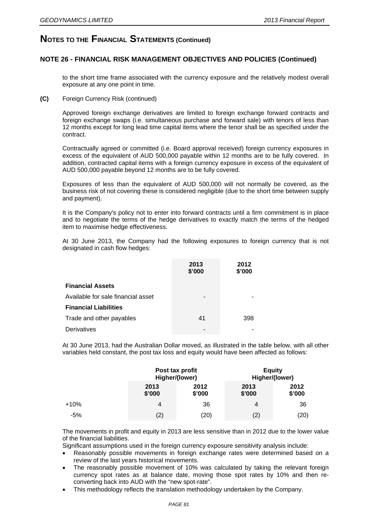### **NOTE 26 - FINANCIAL RISK MANAGEMENT OBJECTIVES AND POLICIES (Continued)**

to the short time frame associated with the currency exposure and the relatively modest overall exposure at any one point in time.

**(C)** Foreign Currency Risk (continued)

Approved foreign exchange derivatives are limited to foreign exchange forward contracts and foreign exchange swaps (i.e. simultaneous purchase and forward sale) with tenors of less than 12 months except for long lead time capital items where the tenor shall be as specified under the contract.

Contractually agreed or committed (i.e. Board approval received) foreign currency exposures in excess of the equivalent of AUD 500,000 payable within 12 months are to be fully covered. In addition, contracted capital items with a foreign currency exposure in excess of the equivalent of AUD 500,000 payable beyond 12 months are to be fully covered.

Exposures of less than the equivalent of AUD 500,000 will not normally be covered, as the business risk of not covering these is considered negligible (due to the short time between supply and payment).

It is the Company's policy not to enter into forward contracts until a firm commitment is in place and to negotiate the terms of the hedge derivatives to exactly match the terms of the hedged item to maximise hedge effectiveness.

At 30 June 2013, the Company had the following exposures to foreign currency that is not designated in cash flow hedges:

|                                    | 2013<br>\$'000 | 2012<br>\$'000 |
|------------------------------------|----------------|----------------|
| <b>Financial Assets</b>            |                |                |
| Available for sale financial asset | ٠              |                |
| <b>Financial Liabilities</b>       |                |                |
| Trade and other payables           | 41             | 398            |
| Derivatives                        |                |                |

At 30 June 2013, had the Australian Dollar moved, as illustrated in the table below, with all other variables held constant, the post tax loss and equity would have been affected as follows:

|        | Post tax profit<br>Higher/(lower) |                | <b>Equity</b><br>Higher/(lower) |                |
|--------|-----------------------------------|----------------|---------------------------------|----------------|
|        | 2013<br>\$'000                    | 2012<br>\$'000 | 2013<br>\$'000                  | 2012<br>\$'000 |
| $+10%$ | 4                                 | 36             | 4                               | 36             |
| -5%    | (2)                               | (20)           | (2)                             | (20)           |

The movements in profit and equity in 2013 are less sensitive than in 2012 due to the lower value of the financial liabilities.

Significant assumptions used in the foreign currency exposure sensitivity analysis include:

- Reasonably possible movements in foreign exchange rates were determined based on a review of the last years historical movements.
- The reasonably possible movement of 10% was calculated by taking the relevant foreign currency spot rates as at balance date, moving those spot rates by 10% and then reconverting back into AUD with the "new spot-rate".
- This methodology reflects the translation methodology undertaken by the Company.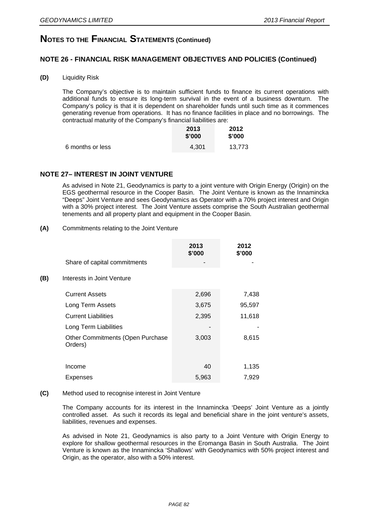### **NOTE 26 - FINANCIAL RISK MANAGEMENT OBJECTIVES AND POLICIES (Continued)**

**(D)** Liquidity Risk

The Company's objective is to maintain sufficient funds to finance its current operations with additional funds to ensure its long-term survival in the event of a business downturn. The Company's policy is that it is dependent on shareholder funds until such time as it commences generating revenue from operations. It has no finance facilities in place and no borrowings. The contractual maturity of the Company's financial liabilities are:

|                  | 2013<br>\$'000 | 2012<br>\$'000 |
|------------------|----------------|----------------|
| 6 months or less | 4.301          | 13,773         |

### **NOTE 27– INTEREST IN JOINT VENTURE**

As advised in Note 21, Geodynamics is party to a joint venture with Origin Energy (Origin) on the EGS geothermal resource in the Cooper Basin. The Joint Venture is known as the Innamincka "Deeps" Joint Venture and sees Geodynamics as Operator with a 70% project interest and Origin with a 30% project interest. The Joint Venture assets comprise the South Australian geothermal tenements and all property plant and equipment in the Cooper Basin.

**(A)** Commitments relating to the Joint Venture

|                                             | 2013<br>\$'000 | 2012<br>\$'000 |
|---------------------------------------------|----------------|----------------|
| Share of capital commitments                |                |                |
| (B)<br>Interests in Joint Venture           |                |                |
| <b>Current Assets</b>                       | 2,696          | 7,438          |
| Long Term Assets                            | 3,675          | 95,597         |
| <b>Current Liabilities</b>                  | 2,395          | 11,618         |
| Long Term Liabilities                       |                |                |
| Other Commitments (Open Purchase<br>Orders) | 3,003          | 8,615          |
| Income                                      | 40             | 1,135          |
| Expenses                                    | 5,963          | 7,929          |

#### **(C)** Method used to recognise interest in Joint Venture

The Company accounts for its interest in the Innamincka 'Deeps' Joint Venture as a jointly controlled asset. As such it records its legal and beneficial share in the joint venture's assets, liabilities, revenues and expenses.

As advised in Note 21, Geodynamics is also party to a Joint Venture with Origin Energy to explore for shallow geothermal resources in the Eromanga Basin in South Australia. The Joint Venture is known as the Innamincka 'Shallows' with Geodynamics with 50% project interest and Origin, as the operator, also with a 50% interest.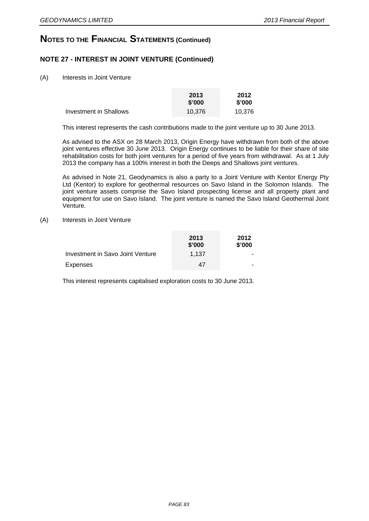### **NOTE 27 - INTEREST IN JOINT VENTURE (Continued)**

(A) Interests in Joint Venture

|                        | 2013<br>\$'000 | 2012<br>\$'000 |
|------------------------|----------------|----------------|
| Investment in Shallows | 10.376         | 10.376         |

This interest represents the cash contributions made to the joint venture up to 30 June 2013.

As advised to the ASX on 28 March 2013, Origin Energy have withdrawn from both of the above joint ventures effective 30 June 2013. Origin Energy continues to be liable for their share of site rehabilitation costs for both joint ventures for a period of five years from withdrawal. As at 1 July 2013 the company has a 100% interest in both the Deeps and Shallows joint ventures.

As advised in Note 21, Geodynamics is also a party to a Joint Venture with Kentor Energy Pty Ltd (Kentor) to explore for geothermal resources on Savo Island in the Solomon Islands. The joint venture assets comprise the Savo Island prospecting license and all property plant and equipment for use on Savo Island. The joint venture is named the Savo Island Geothermal Joint Venture.

(A) Interests in Joint Venture

|                                  | 2013<br>\$'000 | 2012<br>\$'000 |
|----------------------------------|----------------|----------------|
| Investment in Savo Joint Venture | 1.137          |                |
| Expenses                         | 47             |                |

This interest represents capitalised exploration costs to 30 June 2013.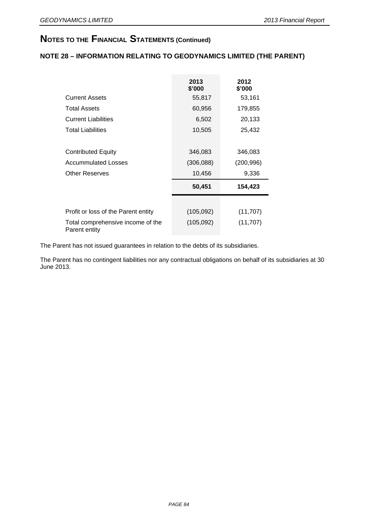## **NOTE 28 – INFORMATION RELATING TO GEODYNAMICS LIMITED (THE PARENT)**

|                                                    | 2013       | 2012       |
|----------------------------------------------------|------------|------------|
|                                                    | \$'000     | \$'000     |
| <b>Current Assets</b>                              | 55,817     | 53,161     |
| <b>Total Assets</b>                                | 60,956     | 179,855    |
| <b>Current Liabilities</b>                         | 6,502      | 20,133     |
| <b>Total Liabilities</b>                           | 10,505     | 25,432     |
|                                                    |            |            |
| <b>Contributed Equity</b>                          | 346,083    | 346,083    |
| <b>Accummulated Losses</b>                         | (306, 088) | (200, 996) |
| <b>Other Reserves</b>                              | 10,456     | 9,336      |
|                                                    | 50,451     | 154,423    |
|                                                    |            |            |
| Profit or loss of the Parent entity                | (105, 092) | (11, 707)  |
| Total comprehensive income of the<br>Parent entity | (105, 092) | (11, 707)  |

The Parent has not issued guarantees in relation to the debts of its subsidiaries.

The Parent has no contingent liabilities nor any contractual obligations on behalf of its subsidiaries at 30 June 2013.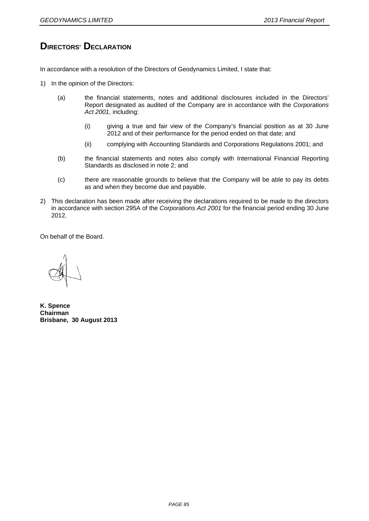## **DIRECTORS' DECLARATION**

In accordance with a resolution of the Directors of Geodynamics Limited, I state that:

- 1) In the opinion of the Directors:
	- (a) the financial statements, notes and additional disclosures included in the Directors' Report designated as audited of the Company are in accordance with the *Corporations Act 2001*, including:
		- (i) giving a true and fair view of the Company's financial position as at 30 June 2012 and of their performance for the period ended on that date; and
		- (ii) complying with Accounting Standards and Corporations Regulations 2001; and
	- (b) the financial statements and notes also comply with International Financial Reporting Standards as disclosed in note 2; and
	- (c) there are reasonable grounds to believe that the Company will be able to pay its debts as and when they become due and payable.
- 2) This declaration has been made after receiving the declarations required to be made to the directors in accordance with section 295A of the *Corporations Act 2001* for the financial period ending 30 June 2012.

On behalf of the Board.

**K. Spence Chairman Brisbane, 30 August 2013**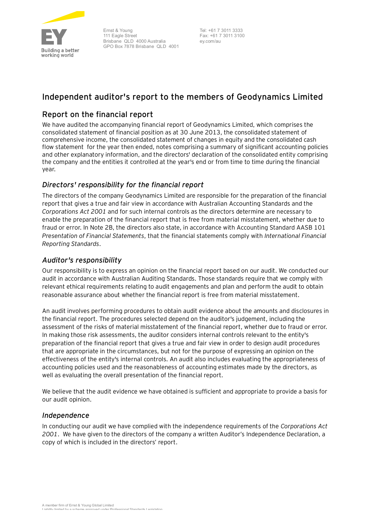

Ernst & Young 111 Eagle Street Brisbane QLD 4000 Australia GPO Box 7878 Brisbane QLD 4001

Tel: +61 7 3011 3333 Fax: +61 7 3011 3100 ey.com/au

## **Independent auditor's report to the members of Geodynamics Limited**

## Report on the financial report

We have audited the accompanying financial report of Geodynamics Limited, which comprises the consolidated statement of financial position as at 30 June 2013, the consolidated statement of comprehensive income, the consolidated statement of changes in equity and the consolidated cash flow statement for the year then ended, notes comprising a summary of significant accounting policies and other explanatory information, and the directors' declaration of the consolidated entity comprising the company and the entities it controlled at the year's end or from time to time during the financial year.

### *Directors' responsibility for the financial report*

The directors of the company Geodynamics Limited are responsible for the preparation of the financial report that gives a true and fair view in accordance with Australian Accounting Standards and the *Corporations Act 2001* and for such internal controls as the directors determine are necessary to enable the preparation of the financial report that is free from material misstatement, whether due to fraud or error. In Note 2B, the directors also state, in accordance with Accounting Standard AASB 101 *Presentation of Financial Statements*, that the financial statements comply with *International Financial Reporting Standards*.

### *Auditor's responsibility*

Our responsibility is to express an opinion on the financial report based on our audit. We conducted our audit in accordance with Australian Auditing Standards. Those standards require that we comply with relevant ethical requirements relating to audit engagements and plan and perform the audit to obtain reasonable assurance about whether the financial report is free from material misstatement.

An audit involves performing procedures to obtain audit evidence about the amounts and disclosures in the financial report. The procedures selected depend on the auditor's judgement, including the assessment of the risks of material misstatement of the financial report, whether due to fraud or error. In making those risk assessments, the auditor considers internal controls relevant to the entity's preparation of the financial report that gives a true and fair view in order to design audit procedures that are appropriate in the circumstances, but not for the purpose of expressing an opinion on the effectiveness of the entity's internal controls. An audit also includes evaluating the appropriateness of accounting policies used and the reasonableness of accounting estimates made by the directors, as well as evaluating the overall presentation of the financial report.

We believe that the audit evidence we have obtained is sufficient and appropriate to provide a basis for our audit opinion.

### *Independence*

In conducting our audit we have complied with the independence requirements of the *Corporations Act 2001*. We have given to the directors of the company a written Auditor's Independence Declaration, a copy of which is included in the directors' report.